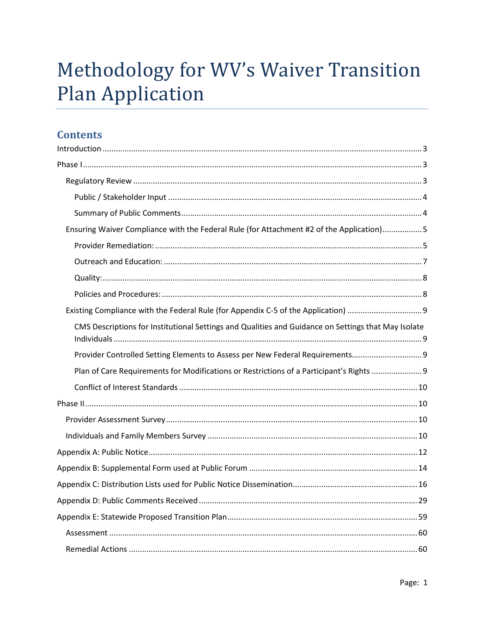# Methodology for WV's Waiver Transition **Plan Application**

# **Contents**

| Ensuring Waiver Compliance with the Federal Rule (for Attachment #2 of the Application)5            |
|-----------------------------------------------------------------------------------------------------|
|                                                                                                     |
|                                                                                                     |
|                                                                                                     |
|                                                                                                     |
|                                                                                                     |
| CMS Descriptions for Institutional Settings and Qualities and Guidance on Settings that May Isolate |
| Provider Controlled Setting Elements to Assess per New Federal Requirements9                        |
| Plan of Care Requirements for Modifications or Restrictions of a Participant's Rights               |
|                                                                                                     |
|                                                                                                     |
|                                                                                                     |
|                                                                                                     |
|                                                                                                     |
|                                                                                                     |
|                                                                                                     |
|                                                                                                     |
|                                                                                                     |
|                                                                                                     |
|                                                                                                     |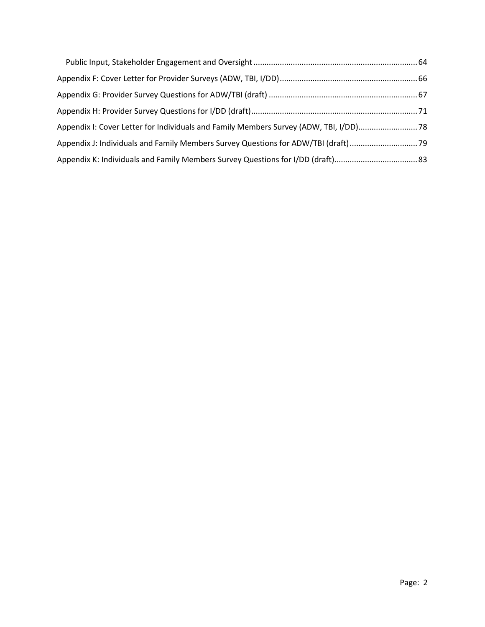| Appendix I: Cover Letter for Individuals and Family Members Survey (ADW, TBI, I/DD) 78 |  |
|----------------------------------------------------------------------------------------|--|
| Appendix J: Individuals and Family Members Survey Questions for ADW/TBI (draft)        |  |
|                                                                                        |  |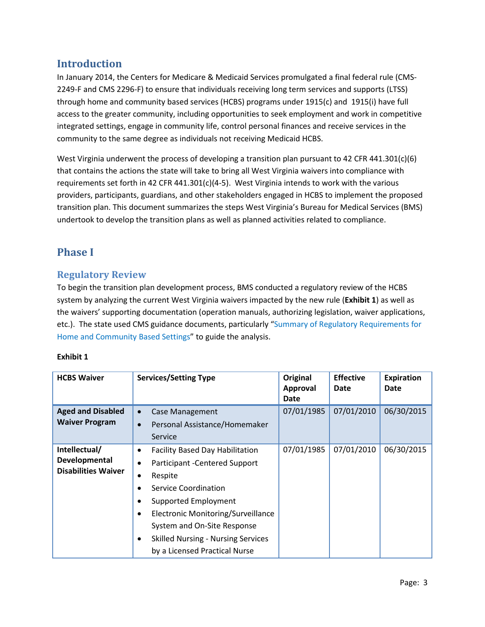# <span id="page-2-0"></span>**Introduction**

In January 2014, the Centers for Medicare & Medicaid Services promulgated a final federal rule (CMS-2249-F and CMS 2296-F) to ensure that individuals receiving long term services and supports (LTSS) through home and community based services (HCBS) programs under 1915(c) and 1915(i) have full access to the greater community, including opportunities to seek employment and work in competitive integrated settings, engage in community life, control personal finances and receive services in the community to the same degree as individuals not receiving Medicaid HCBS.

West Virginia underwent the process of developing a transition plan pursuant to 42 CFR 441.301(c)(6) that contains the actions the state will take to bring all West Virginia waivers into compliance with requirements set forth in 42 CFR 441.301(c)(4-5). West Virginia intends to work with the various providers, participants, guardians, and other stakeholders engaged in HCBS to implement the proposed transition plan. This document summarizes the steps West Virginia's Bureau for Medical Services (BMS) undertook to develop the transition plans as well as planned activities related to compliance.

# <span id="page-2-1"></span>**Phase I**

## <span id="page-2-2"></span>**Regulatory Review**

To begin the transition plan development process, BMS conducted a regulatory review of the HCBS system by analyzing the current West Virginia waivers impacted by the new rule (**Exhibit 1**) as well as the waivers' supporting documentation (operation manuals, authorizing legislation, waiver applications, etc.). The state used CMS guidance documents, particularly ["Summary of Regulatory Requirements for](http://www.medicaid.gov/Medicaid-CHIP-Program-Information/By-Topics/Long-Term-Services-and-Supports/Home-and-Community-Based-Services/Downloads/Requirements-for-Home-and-Community-Settings.pdf)  [Home and Community Based Settings"](http://www.medicaid.gov/Medicaid-CHIP-Program-Information/By-Topics/Long-Term-Services-and-Supports/Home-and-Community-Based-Services/Downloads/Requirements-for-Home-and-Community-Settings.pdf) to guide the analysis.

#### **Exhibit 1**

| <b>HCBS Waiver</b>                                           | <b>Services/Setting Type</b>                                                                                                                                                                                                                                                                                      | Original<br>Approval<br>Date | <b>Effective</b><br>Date | <b>Expiration</b><br>Date |
|--------------------------------------------------------------|-------------------------------------------------------------------------------------------------------------------------------------------------------------------------------------------------------------------------------------------------------------------------------------------------------------------|------------------------------|--------------------------|---------------------------|
| <b>Aged and Disabled</b><br><b>Waiver Program</b>            | <b>Case Management</b><br>$\bullet$<br>Personal Assistance/Homemaker<br>$\bullet$<br>Service                                                                                                                                                                                                                      | 07/01/1985                   | 07/01/2010               | 06/30/2015                |
| Intellectual/<br>Developmental<br><b>Disabilities Waiver</b> | <b>Facility Based Day Habilitation</b><br>$\bullet$<br>Participant - Centered Support<br>Respite<br><b>Service Coordination</b><br><b>Supported Employment</b><br>Electronic Monitoring/Surveillance<br>System and On-Site Response<br><b>Skilled Nursing - Nursing Services</b><br>by a Licensed Practical Nurse | 07/01/1985                   | 07/01/2010               | 06/30/2015                |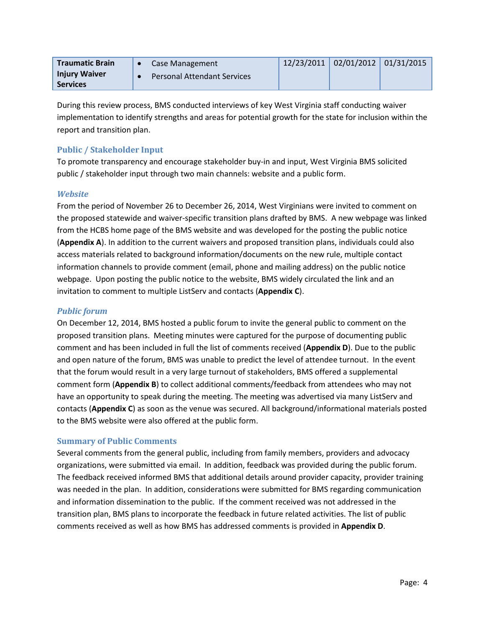| <b>Traumatic Brain</b>                  | Case Management                    |  | 12/23/2011 02/01/2012 01/31/2015 |
|-----------------------------------------|------------------------------------|--|----------------------------------|
| <b>Injury Waiver</b><br><b>Services</b> | <b>Personal Attendant Services</b> |  |                                  |

During this review process, BMS conducted interviews of key West Virginia staff conducting waiver implementation to identify strengths and areas for potential growth for the state for inclusion within the report and transition plan.

### <span id="page-3-0"></span>**Public / Stakeholder Input**

To promote transparency and encourage stakeholder buy-in and input, West Virginia BMS solicited public / stakeholder input through two main channels: website and a public form.

#### *Website*

From the period of November 26 to December 26, 2014, West Virginians were invited to comment on the proposed statewide and waiver-specific transition plans drafted by BMS. A new webpage was linked from the HCBS home page of the BMS website and was developed for the posting the public notice (**Appendix A**). In addition to the current waivers and proposed transition plans, individuals could also access materials related to background information/documents on the new rule, multiple contact information channels to provide comment (email, phone and mailing address) on the public notice webpage. Upon posting the public notice to the website, BMS widely circulated the link and an invitation to comment to multiple ListServ and contacts (**Appendix C**).

### *Public forum*

On December 12, 2014, BMS hosted a public forum to invite the general public to comment on the proposed transition plans. Meeting minutes were captured for the purpose of documenting public comment and has been included in full the list of comments received (**Appendix D**). Due to the public and open nature of the forum, BMS was unable to predict the level of attendee turnout. In the event that the forum would result in a very large turnout of stakeholders, BMS offered a supplemental comment form (**Appendix B**) to collect additional comments/feedback from attendees who may not have an opportunity to speak during the meeting. The meeting was advertised via many ListServ and contacts (**Appendix C**) as soon as the venue was secured. All background/informational materials posted to the BMS website were also offered at the public form.

#### <span id="page-3-1"></span>**Summary of Public Comments**

Several comments from the general public, including from family members, providers and advocacy organizations, were submitted via email. In addition, feedback was provided during the public forum. The feedback received informed BMS that additional details around provider capacity, provider training was needed in the plan. In addition, considerations were submitted for BMS regarding communication and information dissemination to the public. If the comment received was not addressed in the transition plan, BMS plans to incorporate the feedback in future related activities. The list of public comments received as well as how BMS has addressed comments is provided in **Appendix D**.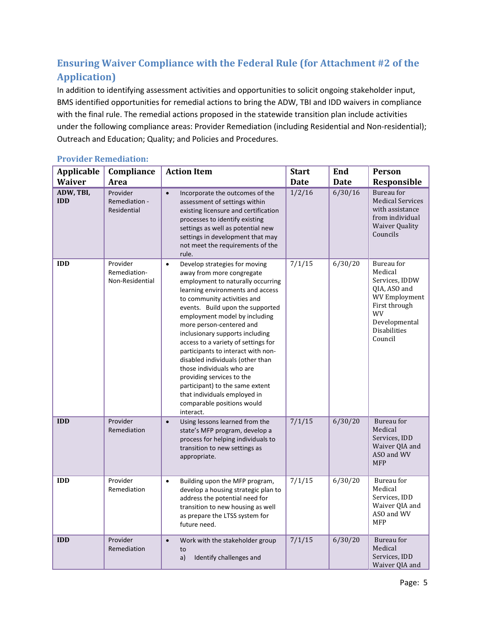# <span id="page-4-0"></span>**Ensuring Waiver Compliance with the Federal Rule (for Attachment #2 of the Application)**

In addition to identifying assessment activities and opportunities to solicit ongoing stakeholder input, BMS identified opportunities for remedial actions to bring the ADW, TBI and IDD waivers in compliance with the final rule. The remedial actions proposed in the statewide transition plan include activities under the following compliance areas: Provider Remediation (including Residential and Non-residential); Outreach and Education; Quality; and Policies and Procedures.

<span id="page-4-1"></span>

| <b>Provider Remediation:</b> |
|------------------------------|
|                              |

| <b>Applicable</b>                        | Compliance                                       | <b>Action Item</b>                                                                                                                                                                                                                                                                                                                                                                                                                                                                                                                                                                                           | <b>Start</b>          | End                    | <b>Person</b>                                                                                                                                             |
|------------------------------------------|--------------------------------------------------|--------------------------------------------------------------------------------------------------------------------------------------------------------------------------------------------------------------------------------------------------------------------------------------------------------------------------------------------------------------------------------------------------------------------------------------------------------------------------------------------------------------------------------------------------------------------------------------------------------------|-----------------------|------------------------|-----------------------------------------------------------------------------------------------------------------------------------------------------------|
| <b>Waiver</b><br>ADW, TBI,<br><b>IDD</b> | Area<br>Provider<br>Remediation -<br>Residential | $\bullet$<br>Incorporate the outcomes of the<br>assessment of settings within<br>existing licensure and certification<br>processes to identify existing<br>settings as well as potential new<br>settings in development that may<br>not meet the requirements of the<br>rule.                                                                                                                                                                                                                                                                                                                                | <b>Date</b><br>1/2/16 | <b>Date</b><br>6/30/16 | Responsible<br>Bureau for<br><b>Medical Services</b><br>with assistance<br>from individual<br><b>Waiver Quality</b><br>Councils                           |
| <b>IDD</b>                               | Provider<br>Remediation-<br>Non-Residential      | Develop strategies for moving<br>$\bullet$<br>away from more congregate<br>employment to naturally occurring<br>learning environments and access<br>to community activities and<br>events. Build upon the supported<br>employment model by including<br>more person-centered and<br>inclusionary supports including<br>access to a variety of settings for<br>participants to interact with non-<br>disabled individuals (other than<br>those individuals who are<br>providing services to the<br>participant) to the same extent<br>that individuals employed in<br>comparable positions would<br>interact. | 7/1/15                | 6/30/20                | Bureau for<br>Medical<br>Services, IDDW<br>QIA, ASO and<br><b>WV Employment</b><br>First through<br>WV<br>Developmental<br><b>Disabilities</b><br>Council |
| <b>IDD</b>                               | Provider<br>Remediation                          | $\bullet$<br>Using lessons learned from the<br>state's MFP program, develop a<br>process for helping individuals to<br>transition to new settings as<br>appropriate.                                                                                                                                                                                                                                                                                                                                                                                                                                         | 7/1/15                | 6/30/20                | Bureau for<br>Medical<br>Services, IDD<br>Waiver QIA and<br>ASO and WV<br><b>MFP</b>                                                                      |
| <b>IDD</b>                               | Provider<br>Remediation                          | Building upon the MFP program,<br>$\bullet$<br>develop a housing strategic plan to<br>address the potential need for<br>transition to new housing as well<br>as prepare the LTSS system for<br>future need.                                                                                                                                                                                                                                                                                                                                                                                                  | 7/1/15                | 6/30/20                | Bureau for<br>Medical<br>Services, IDD<br>Waiver QIA and<br>ASO and WV<br><b>MFP</b>                                                                      |
| <b>IDD</b>                               | Provider<br>Remediation                          | Work with the stakeholder group<br>$\bullet$<br>to<br>a)<br>Identify challenges and                                                                                                                                                                                                                                                                                                                                                                                                                                                                                                                          | 7/1/15                | 6/30/20                | Bureau for<br>Medical<br>Services, IDD<br>Waiver QIA and                                                                                                  |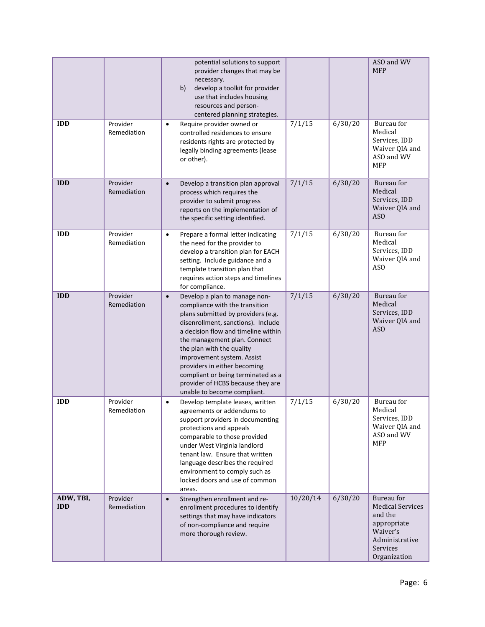|                         |                         | potential solutions to support<br>provider changes that may be<br>necessary.<br>develop a toolkit for provider<br>b)<br>use that includes housing<br>resources and person-<br>centered planning strategies.                                                                                                                                                                                                                          |          |         | ASO and WV<br><b>MFP</b>                                                                                                  |
|-------------------------|-------------------------|--------------------------------------------------------------------------------------------------------------------------------------------------------------------------------------------------------------------------------------------------------------------------------------------------------------------------------------------------------------------------------------------------------------------------------------|----------|---------|---------------------------------------------------------------------------------------------------------------------------|
| <b>IDD</b>              | Provider<br>Remediation | Require provider owned or<br>$\bullet$<br>controlled residences to ensure<br>residents rights are protected by<br>legally binding agreements (lease<br>or other).                                                                                                                                                                                                                                                                    | 7/1/15   | 6/30/20 | Bureau for<br>Medical<br>Services, IDD<br>Waiver QIA and<br>ASO and WV<br><b>MFP</b>                                      |
| <b>IDD</b>              | Provider<br>Remediation | Develop a transition plan approval<br>$\bullet$<br>process which requires the<br>provider to submit progress<br>reports on the implementation of<br>the specific setting identified.                                                                                                                                                                                                                                                 | 7/1/15   | 6/30/20 | Bureau for<br>Medical<br>Services, IDD<br>Waiver QIA and<br>ASO                                                           |
| <b>IDD</b>              | Provider<br>Remediation | Prepare a formal letter indicating<br>$\bullet$<br>the need for the provider to<br>develop a transition plan for EACH<br>setting. Include guidance and a<br>template transition plan that<br>requires action steps and timelines<br>for compliance.                                                                                                                                                                                  | 7/1/15   | 6/30/20 | Bureau for<br>Medical<br>Services, IDD<br>Waiver QIA and<br>AS <sub>O</sub>                                               |
| <b>IDD</b>              | Provider<br>Remediation | Develop a plan to manage non-<br>$\bullet$<br>compliance with the transition<br>plans submitted by providers (e.g.<br>disenrollment, sanctions). Include<br>a decision flow and timeline within<br>the management plan. Connect<br>the plan with the quality<br>improvement system. Assist<br>providers in either becoming<br>compliant or being terminated as a<br>provider of HCBS because they are<br>unable to become compliant. | 7/1/15   | 6/30/20 | Bureau for<br>Medical<br>Services, IDD<br>Waiver QIA and<br>AS <sub>O</sub>                                               |
| <b>IDD</b>              | Provider<br>Remediation | Develop template leases, written<br>$\bullet$<br>agreements or addendums to<br>support providers in documenting<br>protections and appeals<br>comparable to those provided<br>under West Virginia landlord<br>tenant law. Ensure that written<br>language describes the required<br>environment to comply such as<br>locked doors and use of common<br>areas.                                                                        | 7/1/15   | 6/30/20 | Bureau for<br>Medical<br>Services, IDD<br>Waiver QIA and<br>ASO and WV<br><b>MFP</b>                                      |
| ADW, TBI,<br><b>IDD</b> | Provider<br>Remediation | Strengthen enrollment and re-<br>$\bullet$<br>enrollment procedures to identify<br>settings that may have indicators<br>of non-compliance and require<br>more thorough review.                                                                                                                                                                                                                                                       | 10/20/14 | 6/30/20 | Bureau for<br><b>Medical Services</b><br>and the<br>appropriate<br>Waiver's<br>Administrative<br>Services<br>Organization |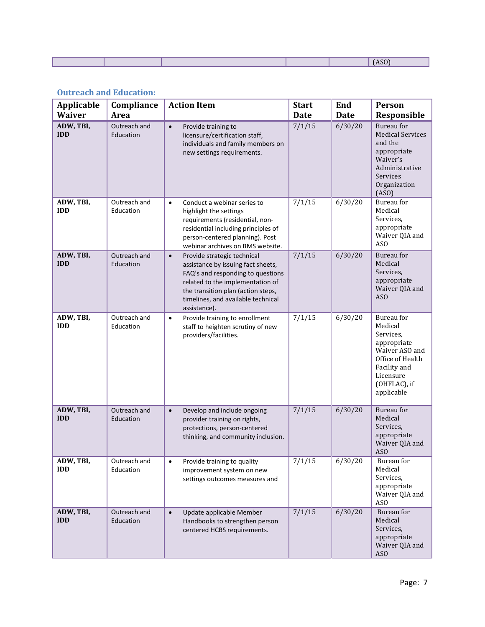|  |  | $\sim$ 0.0 |
|--|--|------------|
|  |  |            |

## <span id="page-6-0"></span>**Outreach and Education:**

| <b>Applicable</b><br><b>Waiver</b> | Compliance<br>Area        | <b>Action Item</b>                                                                                                                                                                                                                                  | <b>Start</b><br><b>Date</b> | End<br><b>Date</b> | <b>Person</b><br>Responsible                                                                                                                       |
|------------------------------------|---------------------------|-----------------------------------------------------------------------------------------------------------------------------------------------------------------------------------------------------------------------------------------------------|-----------------------------|--------------------|----------------------------------------------------------------------------------------------------------------------------------------------------|
| ADW, TBI,<br><b>IDD</b>            | Outreach and<br>Education | Provide training to<br>$\bullet$<br>licensure/certification staff,<br>individuals and family members on<br>new settings requirements.                                                                                                               | 7/1/15                      | 6/30/20            | Bureau for<br><b>Medical Services</b><br>and the<br>appropriate<br>Waiver's<br>Administrative<br>Services<br>Organization<br>(ASO)                 |
| ADW, TBI,<br><b>IDD</b>            | Outreach and<br>Education | Conduct a webinar series to<br>$\bullet$<br>highlight the settings<br>requirements (residential, non-<br>residential including principles of<br>person-centered planning). Post<br>webinar archives on BMS website.                                 | 7/1/15                      | 6/30/20            | Bureau for<br>Medical<br>Services,<br>appropriate<br>Waiver QIA and<br>AS <sub>O</sub>                                                             |
| ADW, TBI,<br><b>IDD</b>            | Outreach and<br>Education | Provide strategic technical<br>$\bullet$<br>assistance by issuing fact sheets,<br>FAQ's and responding to questions<br>related to the implementation of<br>the transition plan (action steps,<br>timelines, and available technical<br>assistance). | 7/1/15                      | 6/30/20            | Bureau for<br>Medical<br>Services,<br>appropriate<br>Waiver QIA and<br>AS <sub>O</sub>                                                             |
| ADW, TBI,<br><b>IDD</b>            | Outreach and<br>Education | Provide training to enrollment<br>$\bullet$<br>staff to heighten scrutiny of new<br>providers/facilities.                                                                                                                                           | 7/1/15                      | 6/30/20            | Bureau for<br>Medical<br>Services,<br>appropriate<br>Waiver ASO and<br>Office of Health<br>Facility and<br>Licensure<br>(OHFLAC), if<br>applicable |
| ADW, TBI,<br><b>IDD</b>            | Outreach and<br>Education | Develop and include ongoing<br>$\bullet$<br>provider training on rights,<br>protections, person-centered<br>thinking, and community inclusion.                                                                                                      | 7/1/15                      | 6/30/20            | Bureau for<br>Medical<br>Services,<br>appropriate<br>Waiver QIA and<br>ASO.                                                                        |
| ADW, TBI,<br><b>IDD</b>            | Outreach and<br>Education | Provide training to quality<br>$\bullet$<br>improvement system on new<br>settings outcomes measures and                                                                                                                                             | 7/1/15                      | 6/30/20            | Bureau for<br>Medical<br>Services,<br>appropriate<br>Waiver QIA and<br><b>ASO</b>                                                                  |
| ADW, TBI,<br><b>IDD</b>            | Outreach and<br>Education | Update applicable Member<br>$\bullet$<br>Handbooks to strengthen person<br>centered HCBS requirements.                                                                                                                                              | 7/1/15                      | 6/30/20            | Bureau for<br>Medical<br>Services,<br>appropriate<br>Waiver QIA and<br>ASO                                                                         |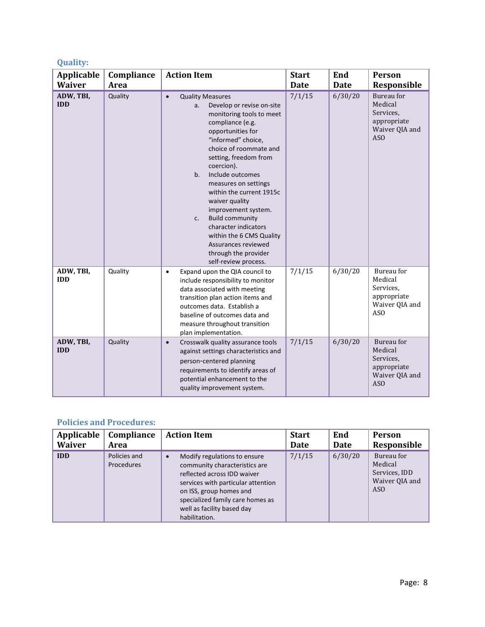## <span id="page-7-0"></span>**Quality:**

| Applicable<br><b>Waiver</b> | Compliance<br>Area | <b>Action Item</b>                                                                                                                                                                                                                                                                                                                                                                                                                                                                                                    | <b>Start</b><br><b>Date</b> | End<br><b>Date</b> | Person<br>Responsible                                                                  |
|-----------------------------|--------------------|-----------------------------------------------------------------------------------------------------------------------------------------------------------------------------------------------------------------------------------------------------------------------------------------------------------------------------------------------------------------------------------------------------------------------------------------------------------------------------------------------------------------------|-----------------------------|--------------------|----------------------------------------------------------------------------------------|
| ADW, TBI,<br><b>IDD</b>     | Quality            | <b>Quality Measures</b><br>$\bullet$<br>Develop or revise on-site<br>a.<br>monitoring tools to meet<br>compliance (e.g.<br>opportunities for<br>"informed" choice,<br>choice of roommate and<br>setting, freedom from<br>coercion).<br>b.<br>Include outcomes<br>measures on settings<br>within the current 1915c<br>waiver quality<br>improvement system.<br><b>Build community</b><br>c.<br>character indicators<br>within the 6 CMS Quality<br>Assurances reviewed<br>through the provider<br>self-review process. | 7/1/15                      | 6/30/20            | Bureau for<br>Medical<br>Services,<br>appropriate<br>Waiver QIA and<br>AS <sub>O</sub> |
| ADW, TBI,<br><b>IDD</b>     | Quality            | Expand upon the QIA council to<br>$\bullet$<br>include responsibility to monitor<br>data associated with meeting<br>transition plan action items and<br>outcomes data. Establish a<br>baseline of outcomes data and<br>measure throughout transition<br>plan implementation.                                                                                                                                                                                                                                          | 7/1/15                      | 6/30/20            | Bureau for<br>Medical<br>Services,<br>appropriate<br>Waiver QIA and<br>AS <sub>O</sub> |
| ADW, TBI,<br><b>IDD</b>     | Quality            | Crosswalk quality assurance tools<br>$\bullet$<br>against settings characteristics and<br>person-centered planning<br>requirements to identify areas of<br>potential enhancement to the<br>quality improvement system.                                                                                                                                                                                                                                                                                                | 7/1/15                      | 6/30/20            | Bureau for<br>Medical<br>Services.<br>appropriate<br>Waiver QIA and<br>AS <sub>O</sub> |

## <span id="page-7-1"></span>**Policies and Procedures:**

| Applicable    | Compliance                 | <b>Action Item</b>                                                                                                                                                                                                                                            | <b>Start</b> | End     | <b>Person</b>                                                               |
|---------------|----------------------------|---------------------------------------------------------------------------------------------------------------------------------------------------------------------------------------------------------------------------------------------------------------|--------------|---------|-----------------------------------------------------------------------------|
| <b>Waiver</b> | Area                       |                                                                                                                                                                                                                                                               | Date         | Date    | Responsible                                                                 |
| <b>IDD</b>    | Policies and<br>Procedures | Modify regulations to ensure<br>$\bullet$<br>community characteristics are<br>reflected across IDD waiver<br>services with particular attention<br>on ISS, group homes and<br>specialized family care homes as<br>well as facility based day<br>habilitation. | 7/1/15       | 6/30/20 | Bureau for<br>Medical<br>Services, IDD<br>Waiver QIA and<br>AS <sub>O</sub> |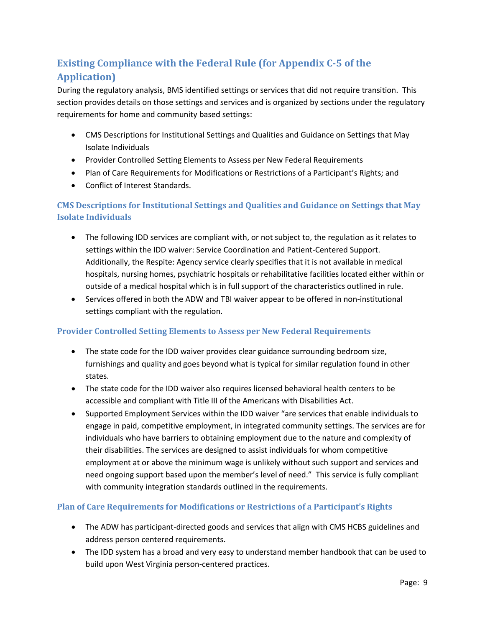# <span id="page-8-0"></span>**Existing Compliance with the Federal Rule (for Appendix C-5 of the Application)**

During the regulatory analysis, BMS identified settings or services that did not require transition. This section provides details on those settings and services and is organized by sections under the regulatory requirements for home and community based settings:

- CMS Descriptions for Institutional Settings and Qualities and Guidance on Settings that May Isolate Individuals
- Provider Controlled Setting Elements to Assess per New Federal Requirements
- Plan of Care Requirements for Modifications or Restrictions of a Participant's Rights; and
- Conflict of Interest Standards.

## <span id="page-8-1"></span>**CMS Descriptions for Institutional Settings and Qualities and Guidance on Settings that May Isolate Individuals**

- The following IDD services are compliant with, or not subject to, the regulation as it relates to settings within the IDD waiver: Service Coordination and Patient-Centered Support. Additionally, the Respite: Agency service clearly specifies that it is not available in medical hospitals, nursing homes, psychiatric hospitals or rehabilitative facilities located either within or outside of a medical hospital which is in full support of the characteristics outlined in rule.
- Services offered in both the ADW and TBI waiver appear to be offered in non-institutional settings compliant with the regulation.

#### <span id="page-8-2"></span>**Provider Controlled Setting Elements to Assess per New Federal Requirements**

- The state code for the IDD waiver provides clear guidance surrounding bedroom size, furnishings and quality and goes beyond what is typical for similar regulation found in other states.
- The state code for the IDD waiver also requires licensed behavioral health centers to be accessible and compliant with Title III of the Americans with Disabilities Act.
- Supported Employment Services within the IDD waiver "are services that enable individuals to engage in paid, competitive employment, in integrated community settings. The services are for individuals who have barriers to obtaining employment due to the nature and complexity of their disabilities. The services are designed to assist individuals for whom competitive employment at or above the minimum wage is unlikely without such support and services and need ongoing support based upon the member's level of need." This service is fully compliant with community integration standards outlined in the requirements.

## <span id="page-8-3"></span>**Plan of Care Requirements for Modifications or Restrictions of a Participant's Rights**

- The ADW has participant-directed goods and services that align with CMS HCBS guidelines and address person centered requirements.
- The IDD system has a broad and very easy to understand member handbook that can be used to build upon West Virginia person-centered practices.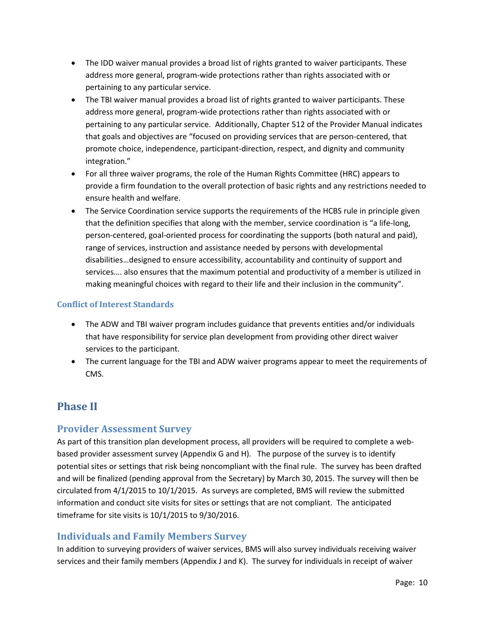- The IDD waiver manual provides a broad list of rights granted to waiver participants. These address more general, program-wide protections rather than rights associated with or pertaining to any particular service.
- The TBI waiver manual provides a broad list of rights granted to waiver participants. These address more general, program-wide protections rather than rights associated with or pertaining to any particular service. Additionally, Chapter 512 of the Provider Manual indicates that goals and objectives are "focused on providing services that are person-centered, that promote choice, independence, participant-direction, respect, and dignity and community integration."
- For all three waiver programs, the role of the Human Rights Committee (HRC) appears to provide a firm foundation to the overall protection of basic rights and any restrictions needed to ensure health and welfare.
- The Service Coordination service supports the requirements of the HCBS rule in principle given that the definition specifies that along with the member, service coordination is "a life-long, person-centered, goal-oriented process for coordinating the supports (both natural and paid), range of services, instruction and assistance needed by persons with developmental disabilities…designed to ensure accessibility, accountability and continuity of support and services…. also ensures that the maximum potential and productivity of a member is utilized in making meaningful choices with regard to their life and their inclusion in the community".

## <span id="page-9-0"></span>**Conflict of Interest Standards**

- The ADW and TBI waiver program includes guidance that prevents entities and/or individuals that have responsibility for service plan development from providing other direct waiver services to the participant.
- The current language for the TBI and ADW waiver programs appear to meet the requirements of CMS.

# <span id="page-9-1"></span>**Phase II**

## <span id="page-9-2"></span>**Provider Assessment Survey**

As part of this transition plan development process, all providers will be required to complete a webbased provider assessment survey (Appendix G and H). The purpose of the survey is to identify potential sites or settings that risk being noncompliant with the final rule. The survey has been drafted and will be finalized (pending approval from the Secretary) by March 30, 2015. The survey will then be circulated from 4/1/2015 to 10/1/2015. As surveys are completed, BMS will review the submitted information and conduct site visits for sites or settings that are not compliant. The anticipated timeframe for site visits is 10/1/2015 to 9/30/2016.

## <span id="page-9-3"></span>**Individuals and Family Members Survey**

In addition to surveying providers of waiver services, BMS will also survey individuals receiving waiver services and their family members (Appendix J and K). The survey for individuals in receipt of waiver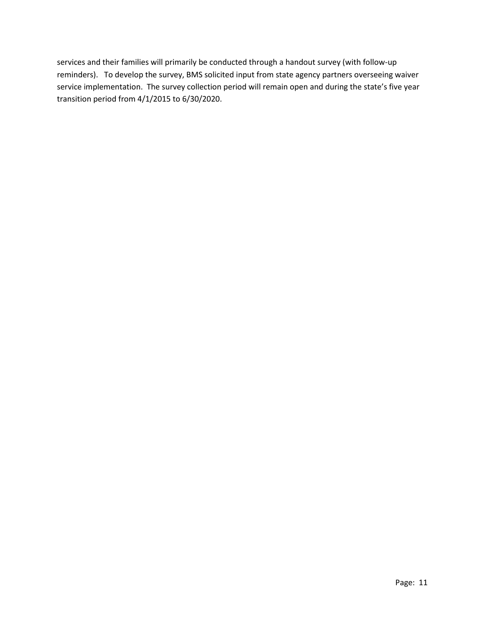services and their families will primarily be conducted through a handout survey (with follow-up reminders). To develop the survey, BMS solicited input from state agency partners overseeing waiver service implementation. The survey collection period will remain open and during the state's five year transition period from 4/1/2015 to 6/30/2020.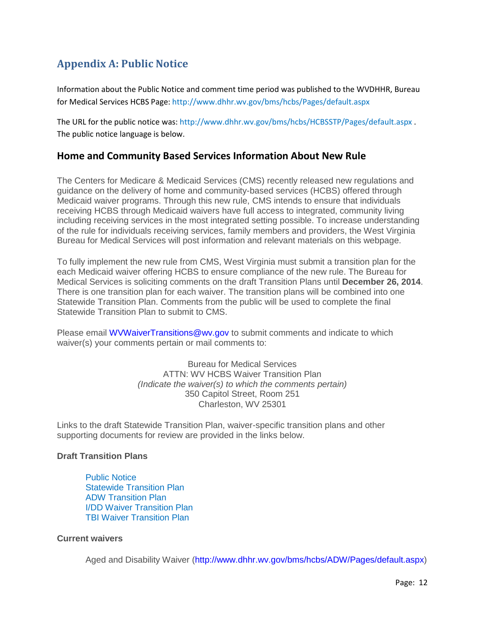# <span id="page-11-0"></span>**Appendix A: Public Notice**

Information about the Public Notice and comment time period was published to the WVDHHR, Bureau for Medical Services HCBS Page[: http://www.dhhr.wv.gov/bms/hcbs/Pages/default.aspx](http://www.dhhr.wv.gov/bms/hcbs/Pages/default.aspx)

The URL for the public notice was:<http://www.dhhr.wv.gov/bms/hcbs/HCBSSTP/Pages/default.aspx> . The public notice language is below.

## **Home and Community Based Services Information About New Rule**

The Centers for Medicare & Medicaid Services (CMS) recently released new regulations and guidance on the delivery of home and community-based services (HCBS) offered through Medicaid waiver programs. Through this new rule, CMS intends to ensure that individuals receiving HCBS through Medicaid waivers have full access to integrated, community living including receiving services in the most integrated setting possible. To increase understanding of the rule for individuals receiving services, family members and providers, the West Virginia Bureau for Medical Services will post information and relevant materials on this webpage.

To fully implement the new rule from CMS, West Virginia must submit a transition plan for the each Medicaid waiver offering HCBS to ensure compliance of the new rule. The Bureau for Medical Services is soliciting comments on the draft Transition Plans until **December 26, 2014**. There is one transition plan for each waiver. The transition plans will be combined into one Statewide Transition Plan. Comments from the public will be used to complete the final Statewide Transition Plan to submit to CMS.

Please email [WVWaiverTransitions@wv.gov](mailto:WVWaiverTransitions@wv.gov) to submit comments and indicate to which waiver(s) your comments pertain or mail comments to:

> Bureau for Medical Services ATTN: WV HCBS Waiver Transition Plan *(Indicate the waiver(s) to which the comments pertain)* 350 Capitol Street, Room 251 Charleston, WV 25301

Links to the draft Statewide Transition Plan, waiver-specific transition plans and other supporting documents for review are provided in the links below.

#### **Draft Transition Plans**

[Public Notice](http://www.dhhr.wv.gov/bms/hcbs/HCBSSTP/Pages/Public-Notice.aspx) [Statewide Transition Plan](http://www.dhhr.wv.gov/bms/hcbs/HCBSSTP/Documents/WV%20Statewide%20Transistion%20Plan%20-%20All%20Waivers.pdf) [ADW Transition Plan](http://www.dhhr.wv.gov/bms/hcbs/HCBSSTP/Documents/WV%20Statewide%20Transition%20Plan%20-%20ADW.pdf) [I/DD Waiver Transition Plan](http://www.dhhr.wv.gov/bms/hcbs/HCBSSTP/Documents/WV%20Statewide%20Transition%20Plan%20-%20IDD.pdf) [TBI Waiver Transition Plan](http://www.dhhr.wv.gov/bms/hcbs/HCBSSTP/Documents/WV%20Statewide%20Transition%20Plan%20-%20TBI.pdf)

#### **Current waivers**

Aged and Disability Waiver [\(http://www.dhhr.wv.gov/bms/hcbs/ADW/Pages/default.aspx\)](http://www.dhhr.wv.gov/bms/hcbs/ADW/Pages/default.aspx)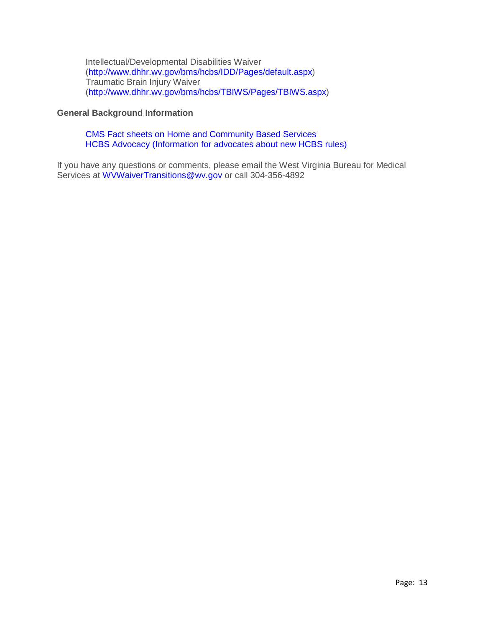Intellectual/Developmental Disabilities Waiver [\(http://www.dhhr.wv.gov/bms/hcbs/IDD/Pages/default.aspx\)](http://www.dhhr.wv.gov/bms/hcbs/IDD/Pages/default.aspx) Traumatic Brain Injury Waiver [\(http://www.dhhr.wv.gov/bms/hcbs/TBIWS/Pages/TBIWS.aspx\)](http://www.dhhr.wv.gov/bms/hcbs/TBIWS/Pages/TBIWS.aspx)

#### **General Background Information**

#### [CMS Fact sheets on Home and Community Based Services](http://www.cms.gov/Newsroom/MediaReleaseDatabase/Fact-sheets/2014-Fact-sheets-items/2014-01-10-2.html) [HCBS Advocacy \(Information for advocates about new HCBS rules\)](http://hcbsadvocacy.org/)

If you have any questions or comments, please email the West Virginia Bureau for Medical Services at [WVWaiverTransitions@wv.gov](mailto:WVWaiverTransitions@wv.gov) or call 304-356-4892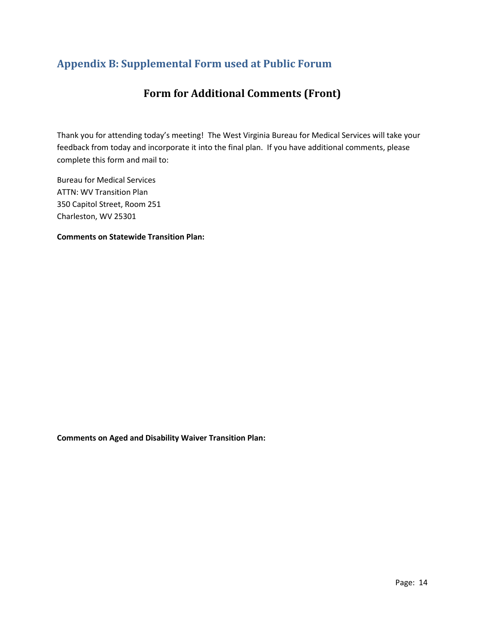# <span id="page-13-0"></span>**Appendix B: Supplemental Form used at Public Forum**

# **Form for Additional Comments (Front)**

Thank you for attending today's meeting! The West Virginia Bureau for Medical Services will take your feedback from today and incorporate it into the final plan. If you have additional comments, please complete this form and mail to:

Bureau for Medical Services ATTN: WV Transition Plan 350 Capitol Street, Room 251 Charleston, WV 25301

**Comments on Statewide Transition Plan:**

**Comments on Aged and Disability Waiver Transition Plan:**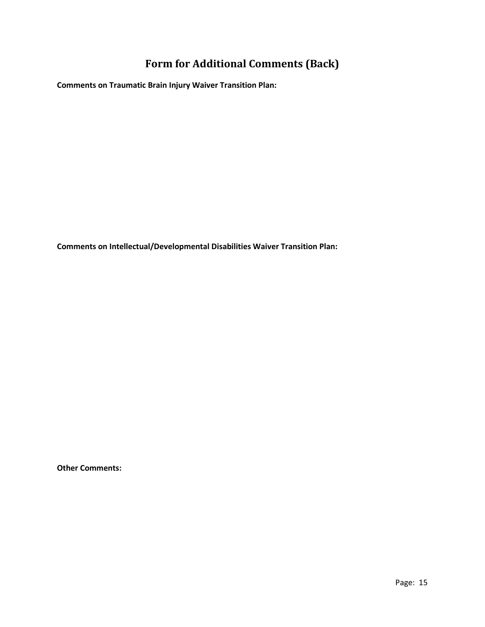# **Form for Additional Comments (Back)**

**Comments on Traumatic Brain Injury Waiver Transition Plan:**

**Comments on Intellectual/Developmental Disabilities Waiver Transition Plan:** 

**Other Comments:**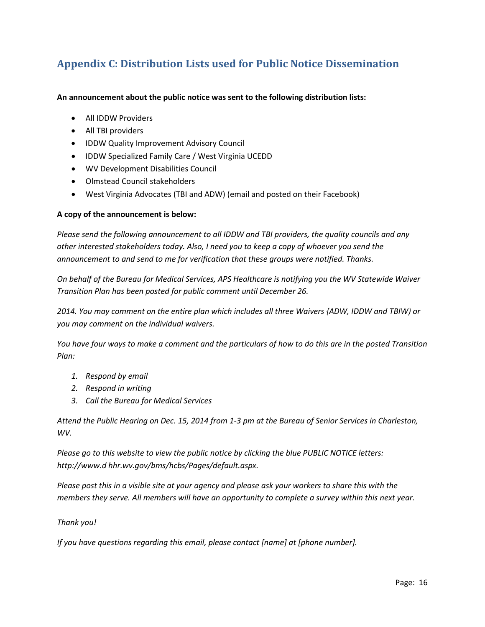# <span id="page-15-0"></span>**Appendix C: Distribution Lists used for Public Notice Dissemination**

#### **An announcement about the public notice was sent to the following distribution lists:**

- All IDDW Providers
- All TBI providers
- IDDW Quality Improvement Advisory Council
- IDDW Specialized Family Care / West Virginia UCEDD
- WV Development Disabilities Council
- Olmstead Council stakeholders
- West Virginia Advocates (TBI and ADW) (email and posted on their Facebook)

#### **A copy of the announcement is below:**

*Please send the following announcement to all IDDW and TBI providers, the quality councils and any other interested stakeholders today. Also, I need you to keep a copy of whoever you send the announcement to and send to me for verification that these groups were notified. Thanks.*

*On behalf of the Bureau for Medical Services, APS Healthcare is notifying you the WV Statewide Waiver Transition Plan has been posted for public comment until December 26.* 

*2014. You may comment on the entire plan which includes all three Waivers {ADW, IDDW and TBIW) or you may comment on the individual waivers.*

*You have four ways to make a comment and the particulars of how to do this are in the posted Transition Plan:*

- *1. Respond by email*
- *2. Respond in writing*
- *3. Call the Bureau for Medical Services*

*Attend the Public Hearing on Dec. 15, 2014 from 1-3 pm at the Bureau of Senior Services in Charleston, WV.*

*Please go to this website to view the public notice by clicking the blue PUBLIC NOTICE letters: http://www.d hhr.wv.gov/bms/hcbs/Pages/default.aspx.* 

*Please post this in a visible site at your agency and please ask your workers to share this with the members they serve. All members will have an opportunity to complete a survey within this next year.* 

#### *Thank you!*

*If you have questions regarding this email, please contact [name] at [phone number].*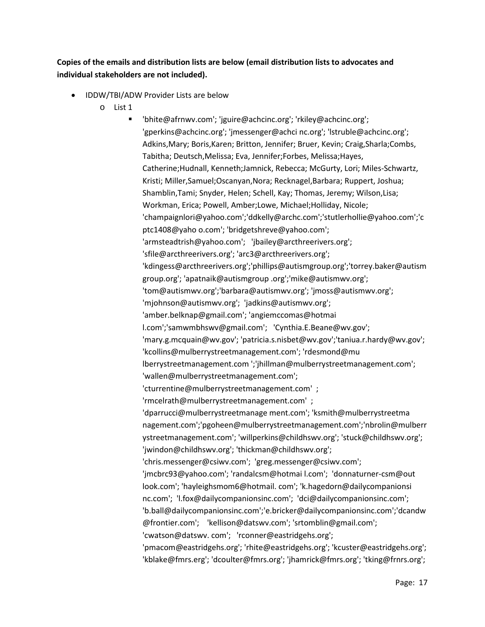## **Copies of the emails and distribution lists are below (email distribution lists to advocates and individual stakeholders are not included).**

- IDDW/TBI/ADW Provider Lists are below
	- o List 1

 'bhite@afrnwv.com'; 'jguire@achcinc.org'; 'rkiley@achcinc.org'; 'gperkins@achcinc.org'; 'jmessenger@achci nc.org'; 'lstruble@achcinc.org'; Adkins,Mary; Boris,Karen; Britton, Jennifer; Bruer, Kevin; Craig,Sharla;Combs, Tabitha; Deutsch,Melissa; Eva, Jennifer;Forbes, Melissa;Hayes, Catherine;Hudnall, Kenneth;Jamnick, Rebecca; McGurty, Lori; Miles-Schwartz, Kristi; Miller,Samuel;Oscanyan,Nora; Recknagel,Barbara; Ruppert, Joshua; Shamblin,Tami; Snyder, Helen; Schell, Kay; Thomas, Jeremy; Wilson,Lisa; Workman, Erica; Powell, Amber;Lowe, Michael;Holliday, Nicole; 'champaignlori@yahoo.com';'ddkelly@archc.com';'stutlerhollie@yahoo.com';'c ptc1408@yaho o.com'; 'bridgetshreve@yahoo.com'; 'armsteadtrish@yahoo.com'; 'jbailey@arcthreerivers.org'; 'sfile@arcthreerivers.org'; 'arc3@arcthreerivers.org'; 'kdingess@arcthreerivers.org';'phillips@autismgroup.org';'torrey.baker@autism group.org'; 'apatnaik@autismgroup .org';'mike@autismwv.org'; 'tom@autismwv.org';'barbara@autismwv.org'; 'jmoss@autismwv.org'; 'mjohnson@autismwv.org'; 'jadkins@autismwv.org'; 'amber.belknap@gmail.com'; 'angiemccomas@hotmai l.com';'samwmbhswv@gmail.com'; 'Cynthia.E.Beane@wv.gov'; 'mary.g.mcquain@wv.gov'; 'patricia.s.nisbet@wv.gov';'taniua.r.hardy@wv.gov'; 'kcollins@mulberrystreetmanagement.com'; 'rdesmond@mu lberrystreetmanagement.com ';'jhillman@mulberrystreetmanagement.com'; 'wallen@mulberrystreetmanagement.com'; 'cturrentine@mulberrystreetmanagement.com' ; 'rmcelrath@mulberrystreetmanagement.com' ; 'dparrucci@mulberrystreetmanage ment.com'; 'ksmith@mulberrystreetma nagement.com';'pgoheen@mulberrystreetmanagement.com';'nbrolin@mulberr ystreetmanagement.com'; 'willperkins@childhswv.org'; 'stuck@childhswv.org'; 'jwindon@childhswv.org'; 'thickman@childhswv.org'; 'chris.messenger@csiwv.com'; 'greg.messenger@csiwv.com'; 'jmcbrc93@yahoo.com'; 'randalcsm@hotmai l.com'; 'donnaturner-csm@out look.com'; 'hayleighsmom6@hotmail. com'; 'k.hagedorn@dailycompanionsi nc.com'; 'l.fox@dailycompanionsinc.com'; 'dci@dailycompanionsinc.com'; 'b.ball@dailycompanionsinc.com';'e.bricker@dailycompanionsinc.com';'dcandw @frontier.com'; 'kellison@datswv.com'; 'srtomblin@gmail.com'; 'cwatson@datswv. com'; 'rconner@eastridgehs.org'; 'pmacom@eastridgehs.org'; 'rhite@eastridgehs.org'; 'kcuster@eastridgehs.org'; 'kblake@fmrs.erg'; 'dcoulter@fmrs.org'; 'jhamrick@fmrs.org'; 'tking@frnrs.org';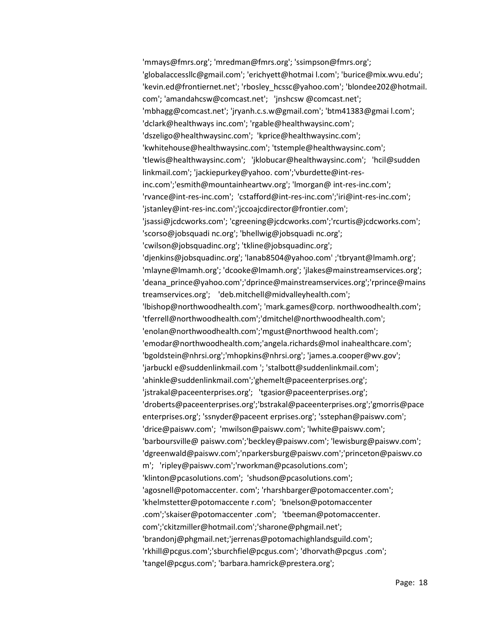'mmays@fmrs.org'; 'mredman@fmrs.org'; 'ssimpson@fmrs.org'; 'globalaccessllc@gmail.com'; 'erichyett@hotmai l.com'; 'burice@mix.wvu.edu'; 'kevin.ed@frontiernet.net'; 'rbosley\_hcssc@yahoo.com'; 'blondee202@hotmail. com'; 'amandahcsw@comcast.net'; 'jnshcsw @comcast.net'; 'mbhagg@comcast.net'; 'jryanh.c.s.w@gmail.com'; 'btm41383@gmai l.com'; 'dclark@healthways inc.com'; 'rgable@healthwaysinc.com'; 'dszeligo@healthwaysinc.com'; 'kprice@healthwaysinc.com'; 'kwhitehouse@healthwaysinc.com'; 'tstemple@healthwaysinc.com'; 'tlewis@healthwaysinc.com'; 'jklobucar@healthwaysinc.com'; 'hcil@sudden linkmail.com'; 'jackiepurkey@yahoo. com';'vburdette@int-resinc.com';'esmith@mountainheartwv.org'; 'lmorgan@ int-res-inc.com'; 'rvance@int-res-inc.com'; 'cstafford@int-res-inc.com';'iri@int-res-inc.com'; 'jstanley@int-res-inc.com';'jccoajcdirector@frontier.com'; 'jsassi@jcdcworks.com'; 'cgreening@jcdcworks.com';'rcurtis@jcdcworks.com'; 'scorso@jobsquadi nc.org'; 'bhellwig@jobsquadi nc.org'; 'cwilson@jobsquadinc.org'; 'tkline@jobsquadinc.org'; 'djenkins@jobsquadinc.org'; 'lanab8504@yahoo.com' ;'tbryant@lmamh.org'; 'mlayne@lmamh.org'; 'dcooke@lmamh.org'; 'jlakes@mainstreamservices.org'; 'deana\_prince@yahoo.com';'dprince@mainstreamservices.org';'rprince@mains treamservices.org'; 'deb.mitchell@midvalleyhealth.com'; 'lbishop@northwoodhealth.com'; 'mark.games@corp. northwoodhealth.com'; 'tferrell@northwoodhealth.com';'dmitchel@northwoodhealth.com'; 'enolan@northwoodhealth.com';'mgust@northwood health.com'; 'emodar@northwoodhealth.com;'angela.richards@mol inahealthcare.com'; 'bgoldstein@nhrsi.org';'mhopkins@nhrsi.org'; 'james.a.cooper@wv.gov'; 'jarbuckl e@suddenlinkmail.com '; 'stalbott@suddenlinkmail.com'; 'ahinkle@suddenlinkmail.com';'ghemelt@paceenterprises.org'; 'jstrakal@paceenterprises.org'; 'tgasior@paceenterprises.org'; 'droberts@paceenterprises.org';'bstrakal@paceenterprises.org';'gmorris@pace enterprises.org'; 'ssnyder@paceent erprises.org'; 'sstephan@paiswv.com'; 'drice@paiswv.com'; 'mwilson@paiswv.com'; 'lwhite@paiswv.com'; 'barboursville@ paiswv.com';'beckley@paiswv.com'; 'lewisburg@paiswv.com'; 'dgreenwald@paiswv.com';'nparkersburg@paiswv.com';'princeton@paiswv.co m'; 'ripley@paiswv.com';'rworkman@pcasolutions.com'; 'klinton@pcasolutions.com'; 'shudson@pcasolutions.com'; 'agosnell@potomaccenter. com'; 'rharshbarger@potomaccenter.com'; 'khelmstetter@potomaccente r.com'; 'bnelson@potomaccenter .com';'skaiser@potomaccenter .com'; 'tbeeman@potomaccenter. com';'ckitzmiller@hotmail.com';'sharone@phgmail.net'; 'brandonj@phgmail.net;'jerrenas@potomachighlandsguild.com'; 'rkhill@pcgus.com';'sburchfiel@pcgus.com'; 'dhorvath@pcgus .com'; 'tangel@pcgus.com'; 'barbara.hamrick@prestera.org';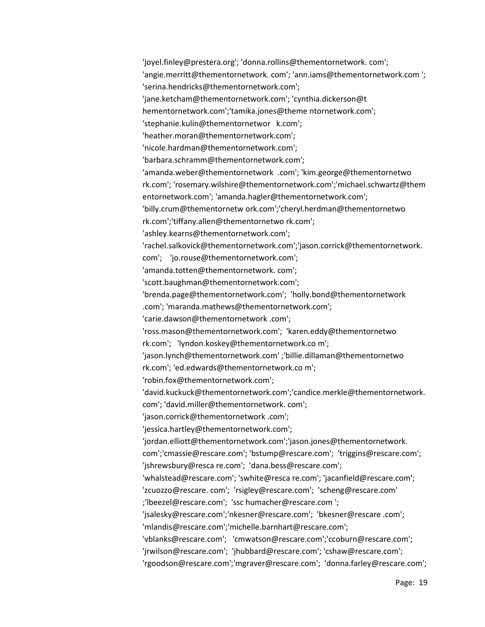'joyel.finley@prestera.org'; 'donna.rollins@thementornetwork. com'; 'angie.merritt@thementornetwork. com'; 'ann.iams@thementornetwork.com '; 'serina.hendricks@thementornetwork.com'; 'jane.ketcham@thementornetwork.com'; 'cynthia.dickerson@t hementornetwork.com';'tamika.jones@theme ntornetwork.com'; 'stephanie.kulin@thementornetwor k.com'; 'heather.moran@thementornetwork.com'; 'nicole.hardman@thementornetwork.com'; 'barbara.schramm@thementornetwork.com'; 'amanda.weber@thementornetwork .com'; 'kim.george@thementornetwo rk.com'; 'rosemary.wilshire@thementornetwork.com';'michael.schwartz@them entornetwork.com'; 'amanda.hagler@thementornetwork.com'; 'billy.crum@thementornetw ork.com';'cheryl.herdman@thementornetwo rk.com';'tiffany.allen@thementornetwo rk.com'; 'ashley.kearns@thementornetwork.com'; 'rachel.salkovick@thementornetwork.com';'jason.corrick@thementornetwork. com'; 'jo.rouse@thementornetwork.com'; 'amanda.totten@thementornetwork. com'; 'scott.baughman@thementornetwork.com'; 'brenda.page@thementornetwork.com'; 'holly.bond@thementornetwork .com'; 'maranda.mathews@thementornetwork.com'; 'carie.dawson@thementornetwork .com'; 'ross.mason@thementornetwork.com'; 'karen.eddy@thementornetwo rk.com'; 'lyndon.koskey@thementornetwork.co m'; 'jason.lynch@thementornetwork.com' ;'billie.dillaman@thementornetwo rk.com'; 'ed.edwards@thementornetwork.co m'; 'robin.fox@thementornetwork.com'; 'david.kuckuck@thementornetwork.com';'candice.merkle@thementornetwork. com'; 'david.miller@thementornetwork. com'; 'jason.corrick@thementornetwork .com'; 'jessica.hartley@thementornetwork.com'; 'jordan.elliott@thementornetwork.com';'jason.jones@thementornetwork. com';'cmassie@rescare.com'; 'bstump@rescare.com'; 'triggins@rescare.com'; 'jshrewsbury@resca re.com'; 'dana.bess@rescare.com'; 'whalstead@rescare.com'; 'swhite@resca re.com'; 'jacanfield@rescare.com'; 'zcuozzo@rescare. com'; 'rsigley@rescare.com'; 'scheng@rescare.com' ;'lbeezel@rescare.com'; 'ssc humacher@rescare.com '; 'jsalesky@rescare.com';'nkesner@rescare.com'; 'bkesner@rescare .com'; 'mlandis@rescare.com';'michelle.barnhart@rescare.com'; 'vblanks@rescare.com'; 'cmwatson@rescare.com';'ccoburn@rescare.com'; 'jrwilson@rescare.com'; 'jhubbard@rescare.com'; 'cshaw@rescare.com'; 'rgoodson@rescare.com';'mgraver@rescare.com'; 'donna.farley@rescare.com';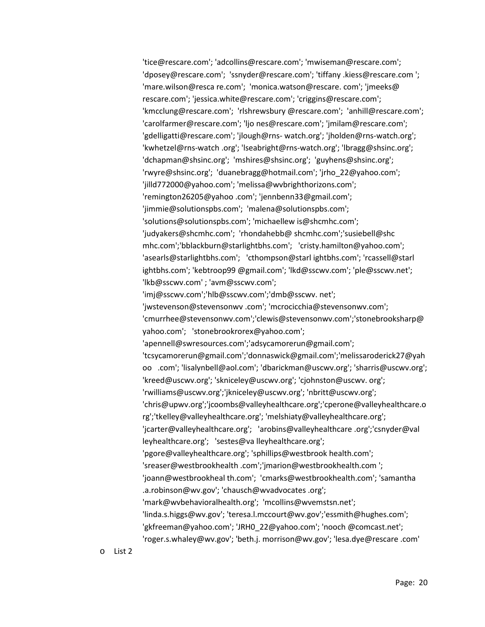'tice@rescare.com'; 'adcollins@rescare.com'; 'mwiseman@rescare.com'; 'dposey@rescare.com'; 'ssnyder@rescare.com'; 'tiffany .kiess@rescare.com '; 'mare.wilson@resca re.com'; 'monica.watson@rescare. com'; 'jmeeks@ rescare.com'; 'jessica.white@rescare.com'; 'criggins@rescare.com'; 'kmcclung@rescare.com'; 'rlshrewsbury @rescare.com'; 'anhill@rescare.com'; 'carolfarmer@rescare.com'; 'ljo nes@rescare.com'; 'jmilam@rescare.com'; 'gdelligatti@rescare.com'; 'jlough@rns- watch.org'; 'jholden@rns-watch.org'; 'kwhetzel@rns-watch .org'; 'lseabright@rns-watch.org'; 'lbragg@shsinc.org'; 'dchapman@shsinc.org'; 'mshires@shsinc.org'; 'guyhens@shsinc.org'; 'rwyre@shsinc.org'; 'duanebragg@hotmail.com'; 'jrho\_22@yahoo.com'; 'jilld772000@yahoo.com'; 'melissa@wvbrighthorizons.com'; 'remington26205@yahoo .com'; 'jennbenn33@gmail.com'; 'jimmie@solutionspbs.com'; 'malena@solutionspbs.com'; 'solutions@solutionspbs.com'; 'michaellew is@shcmhc.com'; 'judyakers@shcmhc.com'; 'rhondahebb@ shcmhc.com';'susiebell@shc mhc.com';'bblackburn@starlightbhs.com'; 'cristy.hamilton@yahoo.com'; 'asearls@starlightbhs.com'; 'cthompson@starl ightbhs.com'; 'rcassell@starl ightbhs.com'; 'kebtroop99 @gmail.com'; 'lkd@sscwv.com'; 'ple@sscwv.net'; 'lkb@sscwv.com' ; 'avm@sscwv.com'; 'imj@sscwv.com';'hlb@sscwv.com';'dmb@sscwv. net'; 'jwstevenson@stevensonwv .com'; 'mcrocicchia@stevensonwv.com'; 'cmurrhee@stevensonwv.com';'clewis@stevensonwv.com';'stonebrooksharp@ yahoo.com'; 'stonebrookrorex@yahoo.com'; 'apennell@swresources.com';'adsycamorerun@gmail.com'; 'tcsycamorerun@gmail.com';'donnaswick@gmail.com';'melissaroderick27@yah oo .com'; 'lisalynbell@aol.com'; 'dbarickman@uscwv.org'; 'sharris@uscwv.org'; 'kreed@uscwv.org'; 'skniceley@uscwv.org'; 'cjohnston@uscwv. org'; 'rwilliams@uscwv.org';'jkniceley@uscwv.org'; 'nbritt@uscwv.org'; 'chris@upwv.org';'jcoombs@valleyhealthcare.org';'cperone@valleyhealthcare.o rg';'tkelley@valleyhealthcare.org'; 'melshiaty@valleyhealthcare.org'; 'jcarter@valleyhealthcare.org'; 'arobins@valleyhealthcare .org';'csnyder@val leyhealthcare.org'; 'sestes@va lleyhealthcare.org'; 'pgore@valleyhealthcare.org'; 'sphillips@westbrook health.com'; 'sreaser@westbrookhealth .com';'jmarion@westbrookhealth.com '; 'joann@westbrookheal th.com'; 'cmarks@westbrookhealth.com'; 'samantha .a.robinson@wv.gov'; 'chausch@wvadvocates .org'; 'mark@wvbehavioralhealth.org'; 'mcollins@wvemstsn.net'; 'linda.s.higgs@wv.gov'; 'teresa.l.mccourt@wv.gov';'essmith@hughes.com'; 'gkfreeman@yahoo.com'; 'JRH0\_22@yahoo.com'; 'nooch @comcast.net'; 'roger.s.whaley@wv.gov'; 'beth.j. morrison@wv.gov'; 'lesa.dye@rescare .com'

o List 2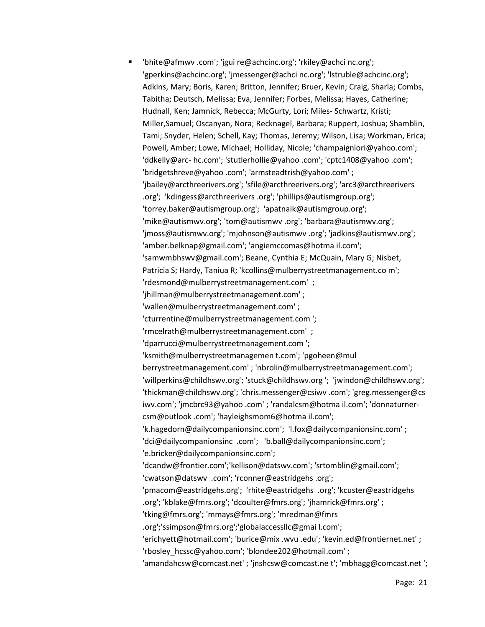'bhite@afmwv .com'; 'jgui re@achcinc.org'; 'rkiley@achci nc.org'; 'gperkins@achcinc.org'; 'jmessenger@achci nc.org'; 'lstruble@achcinc.org'; Adkins, Mary; Boris, Karen; Britton, Jennifer; Bruer, Kevin; Craig, Sharla; Combs, Tabitha; Deutsch, Melissa; Eva, Jennifer; Forbes, Melissa; Hayes, Catherine; Hudnall, Ken; Jamnick, Rebecca; McGurty, Lori; Miles- Schwartz, Kristi; Miller,Samuel; Oscanyan, Nora; Recknagel, Barbara; Ruppert, Joshua; Shamblin, Tami; Snyder, Helen; Schell, Kay; Thomas, Jeremy; Wilson, Lisa; Workman, Erica; Powell, Amber; Lowe, Michael; Holliday, Nicole; 'champaignlori@yahoo.com'; 'ddkelly@arc- hc.com'; 'stutlerhollie@yahoo .com'; 'cptc1408@yahoo .com'; 'bridgetshreve@yahoo .com'; 'armsteadtrish@yahoo.com' ; 'jbailey@arcthreerivers.org'; 'sfile@arcthreerivers.org'; 'arc3@arcthreerivers .org'; 'kdingess@arcthreerivers .org'; 'phillips@autismgroup.org'; 'torrey.baker@autismgroup.org'; 'apatnaik@autismgroup.org'; 'mike@autismwv.org'; 'tom@autismwv .org'; 'barbara@autismwv.org'; 'jmoss@autismwv.org'; 'mjohnson@autismwv .org'; 'jadkins@autismwv.org'; 'amber.belknap@gmail.com'; 'angiemccomas@hotma il.com'; 'samwmbhswv@gmail.com'; Beane, Cynthia E; McQuain, Mary G; Nisbet, Patricia S; Hardy, Taniua R; 'kcollins@mulberrystreetmanagement.co m'; 'rdesmond@mulberrystreetmanagement.com' ; 'jhillman@mulberrystreetmanagement.com' ; 'wallen@mulberrystreetmanagement.com' ; 'cturrentine@mulberrystreetmanagement.com '; 'rmcelrath@mulberrystreetmanagement.com' ; 'dparrucci@mulberrystreetmanagement.com '; 'ksmith@mulberrystreetmanagemen t.com'; 'pgoheen@mul berrystreetmanagement.com' ; 'nbrolin@mulberrystreetmanagement.com'; 'willperkins@childhswv.org'; 'stuck@childhswv.org '; 'jwindon@childhswv.org'; 'thickman@childhswv.org'; 'chris.messenger@csiwv .com'; 'greg.messenger@cs iwv.com'; 'jmcbrc93@yahoo .com' ; 'randalcsm@hotma il.com'; 'donnaturnercsm@outlook .com'; 'hayleighsmom6@hotma il.com'; 'k.hagedorn@dailycompanionsinc.com'; 'l.fox@dailycompanionsinc.com' ; 'dci@dailycompanionsinc .com'; 'b.ball@dailycompanionsinc.com'; 'e.bricker@dailycompanionsinc.com'; 'dcandw@frontier.com';'kellison@datswv.com'; 'srtomblin@gmail.com'; 'cwatson@datswv .com'; 'rconner@eastridgehs .org'; 'pmacom@eastridgehs.org'; 'rhite@eastridgehs .org'; 'kcuster@eastridgehs .org'; 'kblake@fmrs.org'; 'dcoulter@fmrs.org'; 'jhamrick@fmrs.org' ; 'tking@fmrs.org'; 'mmays@fmrs.org'; 'mredman@fmrs .org';'ssimpson@fmrs.org';'globalaccessllc@gmai l.com'; 'erichyett@hotmail.com'; 'burice@mix .wvu .edu'; 'kevin.ed@frontiernet.net' ; 'rbosley\_hcssc@yahoo.com'; 'blondee202@hotmail.com' ; 'amandahcsw@comcast.net' ; 'jnshcsw@comcast.ne t'; 'mbhagg@comcast.net ';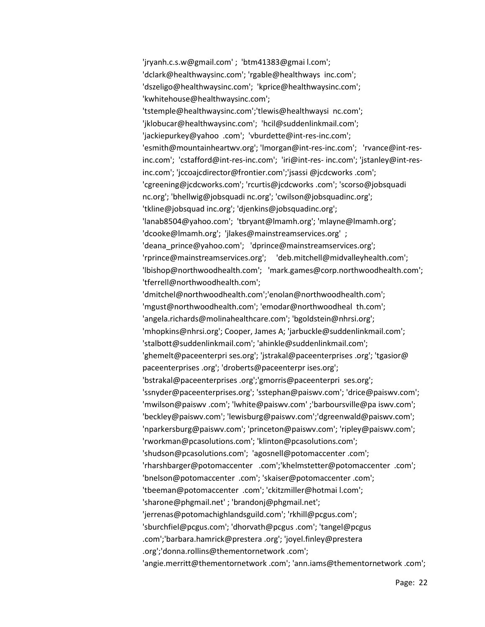'jryanh.c.s.w@gmail.com' ; 'btm41383@gmai l.com'; 'dclark@healthwaysinc.com'; 'rgable@healthways inc.com'; 'dszeligo@healthwaysinc.com'; 'kprice@healthwaysinc.com'; 'kwhitehouse@healthwaysinc.com'; 'tstemple@healthwaysinc.com';'tlewis@healthwaysi nc.com'; 'jklobucar@healthwaysinc.com'; 'hcil@suddenlinkmail.com'; 'jackiepurkey@yahoo .com'; 'vburdette@int-res-inc.com'; 'esmith@mountainheartwv.org'; 'lmorgan@int-res-inc.com'; 'rvance@int-resinc.com'; 'cstafford@int-res-inc.com'; 'iri@int-res- inc.com'; 'jstanley@int-resinc.com'; 'jccoajcdirector@frontier.com';'jsassi @jcdcworks .com'; 'cgreening@jcdcworks.com'; 'rcurtis@jcdcworks .com'; 'scorso@jobsquadi nc.org'; 'bhellwig@jobsquadi nc.org'; 'cwilson@jobsquadinc.org'; 'tkline@jobsquad inc.org'; 'djenkins@jobsquadinc.org'; 'lanab8504@yahoo.com'; 'tbryant@lmamh.org'; 'mlayne@lmamh.org'; 'dcooke@lmamh.org'; 'jlakes@mainstreamservices.org' ; 'deana prince@yahoo.com'; 'dprince@mainstreamservices.org'; 'rprince@mainstreamservices.org'; 'deb.mitchell@midvalleyhealth.com'; 'lbishop@northwoodhealth.com'; 'mark.games@corp.northwoodhealth.com'; 'tferrell@northwoodhealth.com'; 'dmitchel@northwoodhealth.com';'enolan@northwoodhealth.com'; 'mgust@northwoodhealth.com'; 'emodar@northwoodheal th.com'; 'angela.richards@molinahealthcare.com'; 'bgoldstein@nhrsi.org'; 'mhopkins@nhrsi.org'; Cooper, James A; 'jarbuckle@suddenlinkmail.com'; 'stalbott@suddenlinkmail.com'; 'ahinkle@suddenlinkmail.com'; 'ghemelt@paceenterpri ses.org'; 'jstrakal@paceenterprises .org'; 'tgasior@ paceenterprises .org'; 'droberts@paceenterpr ises.org'; 'bstrakal@paceenterprises .org';'gmorris@paceenterpri ses.org'; 'ssnyder@paceenterprises.org'; 'sstephan@paiswv.com'; 'drice@paiswv.com'; 'mwilson@paiswv .com'; 'lwhite@paiswv.com' ;'barboursville@pa iswv.com'; 'beckley@paiswv.com'; 'lewisburg@paiswv.com';'dgreenwald@paiswv.com'; 'nparkersburg@paiswv.com'; 'princeton@paiswv.com'; 'ripley@paiswv.com'; 'rworkman@pcasolutions.com'; 'klinton@pcasolutions.com'; 'shudson@pcasolutions.com'; 'agosnell@potomaccenter .com'; 'rharshbarger@potomaccenter .com';'khelmstetter@potomaccenter .com'; 'bnelson@potomaccenter .com'; 'skaiser@potomaccenter .com'; 'tbeeman@potomaccenter .com'; 'ckitzmiller@hotmai l.com'; 'sharone@phgmail.net' ; 'brandonj@phgmail.net'; 'jerrenas@potomachighlandsguild.com'; 'rkhill@pcgus.com'; 'sburchfiel@pcgus.com'; 'dhorvath@pcgus .com'; 'tangel@pcgus .com';'barbara.hamrick@prestera .org'; 'joyel.finley@prestera .org';'donna.rollins@thementornetwork .com'; 'angie.merritt@thementornetwork .com'; 'ann.iams@thementornetwork .com';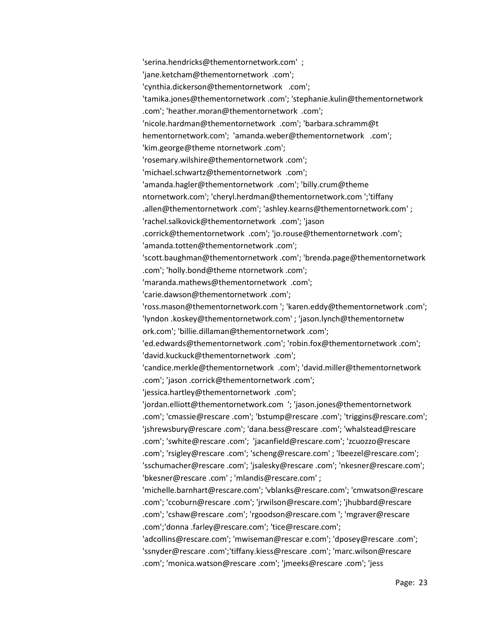'serina.hendricks@thementornetwork.com' ; 'jane.ketcham@thementornetwork .com'; 'cynthia.dickerson@thementornetwork .com'; 'tamika.jones@thementornetwork .com'; 'stephanie.kulin@thementornetwork .com'; 'heather.moran@thementornetwork .com'; 'nicole.hardman@thementornetwork .com'; 'barbara.schramm@t hementornetwork.com'; 'amanda.weber@thementornetwork .com'; 'kim.george@theme ntornetwork .com'; 'rosemary.wilshire@thementornetwork .com'; 'michael.schwartz@thementornetwork .com'; 'amanda.hagler@thementornetwork .com'; 'billy.crum@theme ntornetwork.com'; 'cheryl.herdman@thementornetwork.com ';'tiffany .allen@thementornetwork .com'; 'ashley.kearns@thementornetwork.com' ; 'rachel.salkovick@thementornetwork .com'; 'jason .corrick@thementornetwork .com'; 'jo.rouse@thementornetwork .com'; 'amanda.totten@thementornetwork .com'; 'scott.baughman@thementornetwork .com'; 'brenda.page@thementornetwork .com'; 'holly.bond@theme ntornetwork .com'; 'maranda.mathews@thementornetwork .com'; 'carie.dawson@thementornetwork .com'; 'ross.mason@thementornetwork.com '; 'karen.eddy@thementornetwork .com'; 'lyndon .koskey@thementornetwork.com' ; 'jason.lynch@thementornetw ork.com'; 'billie.dillaman@thementornetwork .com'; 'ed.edwards@thementornetwork .com'; 'robin.fox@thementornetwork .com'; 'david.kuckuck@thementornetwork .com'; 'candice.merkle@thementornetwork .com'; 'david.miller@thementornetwork .com'; 'jason .corrick@thementornetwork .com'; 'jessica.hartley@thementornetwork .com'; 'jordan.elliott@thementornetwork.com '; 'jason.jones@thementornetwork .com'; 'cmassie@rescare .com'; 'bstump@rescare .com'; 'triggins@rescare.com'; 'jshrewsbury@rescare .com'; 'dana.bess@rescare .com'; 'whalstead@rescare .com'; 'swhite@rescare .com'; 'jacanfield@rescare.com'; 'zcuozzo@rescare .com'; 'rsigley@rescare .com'; 'scheng@rescare.com' ; 'lbeezel@rescare.com'; 'sschumacher@rescare .com'; 'jsalesky@rescare .com'; 'nkesner@rescare.com'; 'bkesner@rescare .com' ; 'mlandis@rescare.com' ; 'michelle.barnhart@rescare.com'; 'vblanks@rescare.com'; 'cmwatson@rescare .com'; 'ccoburn@rescare .com'; 'jrwilson@rescare.com'; 'jhubbard@rescare .com'; 'cshaw@rescare .com'; 'rgoodson@rescare.com '; 'mgraver@rescare .com';'donna .farley@rescare.com'; 'tice@rescare.com'; 'adcollins@rescare.com'; 'mwiseman@rescar e.com'; 'dposey@rescare .com'; 'ssnyder@rescare .com';'tiffany.kiess@rescare .com'; 'marc.wilson@rescare .com'; 'monica.watson@rescare .com'; 'jmeeks@rescare .com'; 'jess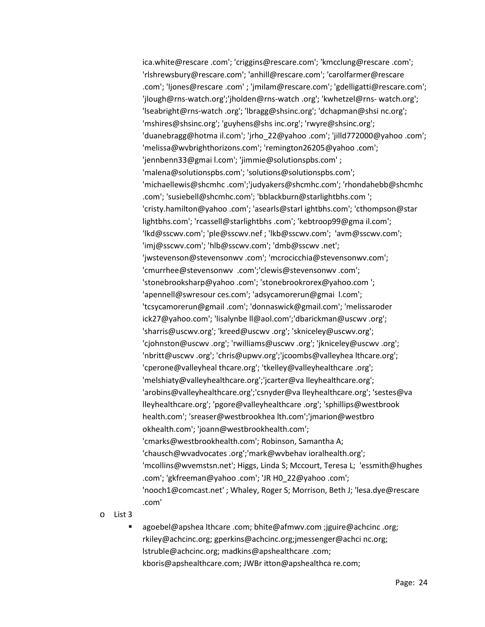ica.white@rescare .com'; 'criggins@rescare.com'; 'kmcclung@rescare .com'; 'rlshrewsbury@rescare.com'; 'anhill@rescare.com'; 'carolfarmer@rescare .com'; 'ljones@rescare .com' ; 'jmilam@rescare.com'; 'gdelligatti@rescare.com'; 'jlough@rns-watch.org';'jholden@rns-watch .org'; 'kwhetzel@rns- watch.org'; 'lseabright@rns-watch .org'; 'lbragg@shsinc.org'; 'dchapman@shsi nc.org'; 'mshires@shsinc.org'; 'guyhens@shs inc.org'; 'rwyre@shsinc.org'; 'duanebragg@hotma il.com'; 'jrho\_22@yahoo .com'; 'jilld772000@yahoo .com'; 'melissa@wvbrighthorizons.com'; 'remington26205@yahoo .com'; 'jennbenn33@gmai l.com'; 'jimmie@solutionspbs.com' ; 'malena@solutionspbs.com'; 'solutions@solutionspbs.com'; 'michaellewis@shcmhc .com';'judyakers@shcmhc.com'; 'rhondahebb@shcmhc .com'; 'susiebell@shcmhc.com'; 'bblackburn@starlightbhs.com '; 'cristy.hamilton@yahoo .com'; 'asearls@starl ightbhs.com'; 'cthompson@star lightbhs.com'; 'rcassell@starlightbhs .com'; 'kebtroop99@gma il.com'; 'lkd@sscwv.com'; 'ple@sscwv.nef ; 'lkb@sscwv.com'; 'avm@sscwv.com'; 'imj@sscwv.com'; 'hlb@sscwv.com'; 'dmb@sscwv .net'; 'jwstevenson@stevensonwv .com'; 'mcrocicchia@stevensonwv.com'; 'cmurrhee@stevensonwv .com';'clewis@stevensonwv .com'; 'stonebrooksharp@yahoo .com'; 'stonebrookrorex@yahoo.com '; 'apennell@swresour ces.com'; 'adsycamorerun@gmai l.com'; 'tcsycamorerun@gmail .com'; 'donnaswick@gmail.com'; 'melissaroder ick27@yahoo.com'; 'lisalynbe ll@aol.com';'dbarickman@uscwv .org'; 'sharris@uscwv.org'; 'kreed@uscwv .org'; 'skniceley@uscwv.org'; 'cjohnston@uscwv .org'; 'rwilliams@uscwv .org'; 'jkniceley@uscwv .org'; 'nbritt@uscwv .org'; 'chris@upwv.org';'jcoombs@valleyhea lthcare.org'; 'cperone@valleyheal thcare.org'; 'tkelley@valleyhealthcare .org'; 'melshiaty@valleyhealthcare.org';'jcarter@va lleyhealthcare.org'; 'arobins@valleyhealthcare.org';'csnyder@va lleyhealthcare.org'; 'sestes@va lleyhealthcare.org'; 'pgore@valleyhealthcare .org'; 'sphillips@westbrook health.com'; 'sreaser@westbrookhea lth.com';'jmarion@westbro okhealth.com'; 'joann@westbrookhealth.com'; 'cmarks@westbrookhealth.com'; Robinson, Samantha A; 'chausch@wvadvocates .org';'mark@wvbehav ioralhealth.org'; 'mcollins@wvemstsn.net'; Higgs, Linda S; Mccourt, Teresa L; 'essmith@hughes .com'; 'gkfreeman@yahoo .com'; 'JR H0\_22@yahoo .com'; 'nooch1@comcast.net' ; Whaley, Roger S; Morrison, Beth J; 'lesa.dye@rescare .com'

o List 3

 agoebel@apshea lthcare .com; bhite@afmwv.com ;jguire@achcinc .org; rkiley@achcinc.org; gperkins@achcinc.org;jmessenger@achci nc.org; lstruble@achcinc.org; madkins@apshealthcare .com; kboris@apshealthcare.com; JWBr itton@apshealthca re.com;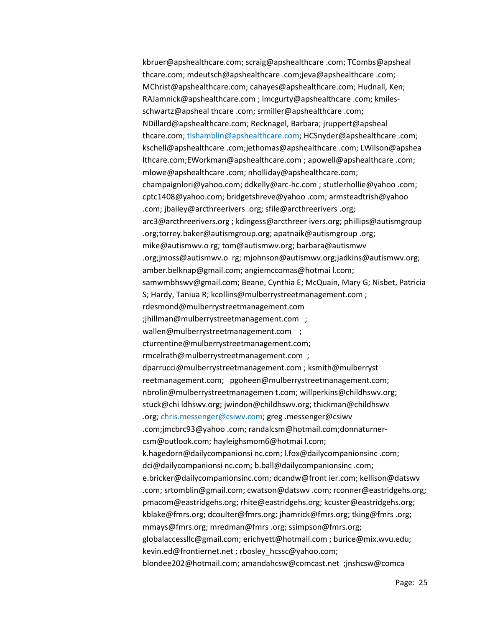kbruer@apshealthcare.com; scraig@apshealthcare .com; TCombs@apsheal thcare.com; mdeutsch@apshealthcare .com;jeva@apshealthcare .com; MChrist@apshealthcare.com; cahayes@apshealthcare.com; Hudnall, Ken; RAJamnick@apshealthcare.com ; lmcgurty@apshealthcare .com; kmilesschwartz@apsheal thcare .com; srmiller@apshealthcare .com; NDillard@apshealthcare.com; Recknagel, Barbara; jruppert@apsheal thcare.com; [tlshamblin@apshealthcare.com;](mailto:tlshamblin@apshealthcare.com) HCSnyder@apshealthcare .com; kschell@apshealthcare .com;jethomas@apshealthcare .com; LWilson@apshea lthcare.com;EWorkman@apshealthcare.com ; apowell@apshealthcare .com; mlowe@apshealthcare .com; nholliday@apshealthcare.com; champaignlori@yahoo.com; ddkelly@arc-hc.com ; stutlerhollie@yahoo .com; cptc1408@yahoo.com; bridgetshreve@yahoo .com; armsteadtrish@yahoo .com; jbailey@arcthreerivers .org; sfile@arcthreerivers .org; arc3@arcthreerivers.org ; kdingess@arcthreer ivers.org; phillips@autismgroup .org;torrey.baker@autismgroup.org; apatnaik@autismgroup .org; mike@autismwv.o rg; tom@autismwv.org; barbara@autismwv .org;jmoss@autismwv.o rg; mjohnson@autismwv.org;jadkins@autismwv.org; amber.belknap@gmail.com; angiemccomas@hotmai l.com; samwmbhswv@gmail.com; Beane, Cynthia E; McQuain, Mary G; Nisbet, Patricia S; Hardy, Taniua R; kcollins@mulberrystreetmanagement.com ; rdesmond@mulberrystreetmanagement.com ;jhillman@mulberrystreetmanagement.com ; wallen@mulberrystreetmanagement.com ; cturrentine@mulberrystreetmanagement.com; rmcelrath@mulberrystreetmanagement.com ; dparrucci@mulberrystreetmanagement.com ; ksmith@mulberryst reetmanagement.com; pgoheen@mulberrystreetmanagement.com; nbrolin@mulberrystreetmanagemen t.com; willperkins@childhswv.org; stuck@chi ldhswv.org; jwindon@childhswv.org; thickman@childhswv .org; [chris.messenger@csiwv.com;](mailto:chris.messenger@csiwv.com) greg .messenger@csiwv .com;jmcbrc93@yahoo .com; randalcsm@hotmail.com;donnaturnercsm@outlook.com; hayleighsmom6@hotmai l.com; k.hagedorn@dailycompanionsi nc.com; l.fox@dailycompanionsinc .com; dci@dailycompanionsi nc.com; b.ball@dailycompanionsinc .com; e.bricker@dailycompanionsinc.com; dcandw@front ier.com; kellison@datswv .com; srtomblin@gmail.com; cwatson@datswv .com; rconner@eastridgehs.org; pmacom@eastridgehs.org; rhite@eastridgehs.org; kcuster@eastridgehs.org; kblake@fmrs.org; dcoulter@fmrs.org; jhamrick@fmrs.org; tking@fmrs .org; mmays@fmrs.org; mredman@fmrs .org; ssimpson@fmrs.org; globalaccessllc@gmail.com; erichyett@hotmail.com ; burice@mix.wvu.edu; kevin.ed@frontiernet.net ; rbosley\_hcssc@yahoo.com; blondee202@hotmail.com; amandahcsw@comcast.net ;jnshcsw@comca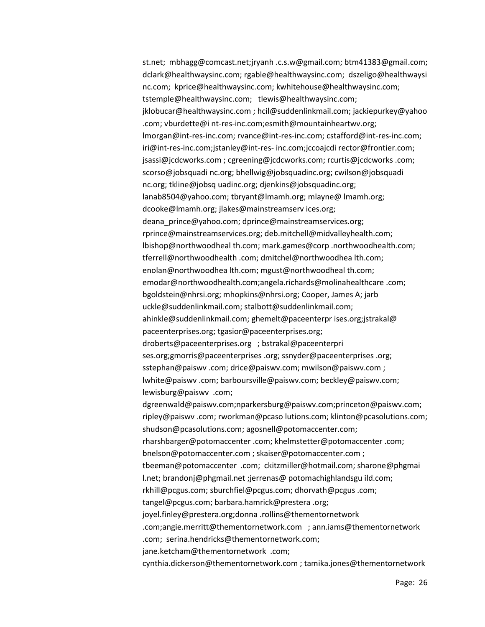st.net; mbhagg@comcast.net;jryanh .c.s.w@gmail.com; btm41383@gmail.com; dclark@healthwaysinc.com; rgable@healthwaysinc.com; dszeligo@healthwaysi nc.com; kprice@healthwaysinc.com; kwhitehouse@healthwaysinc.com; tstemple@healthwaysinc.com; tlewis@healthwaysinc.com; jklobucar@healthwaysinc.com ; hcil@suddenlinkmail.com; jackiepurkey@yahoo .com; vburdette@i nt-res-inc.com;esmith@mountainheartwv.org; lmorgan@int-res-inc.com; rvance@int-res-inc.com; cstafford@int-res-inc.com; iri@int-res-inc.com;jstanley@int-res- inc.com;jccoajcdi rector@frontier.com; jsassi@jcdcworks.com ; cgreening@jcdcworks.com; rcurtis@jcdcworks .com; scorso@jobsquadi nc.org; bhellwig@jobsquadinc.org; cwilson@jobsquadi nc.org; tkline@jobsq uadinc.org; djenkins@jobsquadinc.org; lanab8504@yahoo.com; tbryant@lmamh.org; mlayne@ lmamh.org; dcooke@lmamh.org; jlakes@mainstreamserv ices.org; deana\_prince@yahoo.com; dprince@mainstreamservices.org; rprince@mainstreamservices.org; deb.mitchell@midvalleyhealth.com; lbishop@northwoodheal th.com; mark.games@corp .northwoodhealth.com; tferrell@northwoodhealth .com; dmitchel@northwoodhea lth.com; enolan@northwoodhea lth.com; mgust@northwoodheal th.com; emodar@northwoodhealth.com;angela.richards@molinahealthcare .com; bgoldstein@nhrsi.org; mhopkins@nhrsi.org; Cooper, James A; jarb uckle@suddenlinkmail.com; stalbott@suddenlinkmail.com; ahinkle@suddenlinkmail.com; ghemelt@paceenterpr ises.org;jstrakal@ paceenterprises.org; tgasior@paceenterprises.org; droberts@paceenterprises.org ; bstrakal@paceenterpri ses.org;gmorris@paceenterprises .org; ssnyder@paceenterprises .org; sstephan@paiswv .com; drice@paiswv.com; mwilson@paiswv.com ; lwhite@paiswv .com; barboursville@paiswv.com; beckley@paiswv.com; lewisburg@paiswv .com; dgreenwald@paiswv.com;nparkersburg@paiswv.com;princeton@paiswv.com; ripley@paiswv .com; rworkman@pcaso lutions.com; klinton@pcasolutions.com; shudson@pcasolutions.com; agosnell@potomaccenter.com; rharshbarger@potomaccenter .com; khelmstetter@potomaccenter .com; bnelson@potomaccenter.com ; skaiser@potomaccenter.com ; tbeeman@potomaccenter .com; ckitzmiller@hotmail.com; sharone@phgmai l.net; brandonj@phgmail.net ;jerrenas@ potomachighlandsgu ild.com; rkhill@pcgus.com; sburchfiel@pcgus.com; dhorvath@pcgus .com; tangel@pcgus.com; barbara.hamrick@prestera .org; joyel.finley@prestera.org;donna .rollins@thementornetwork .com;angie.merritt@thementornetwork.com ; ann.iams@thementornetwork .com; serina.hendricks@thementornetwork.com; jane.ketcham@thementornetwork .com; cynthia.dickerson@thementornetwork.com ; tamika.jones@thementornetwork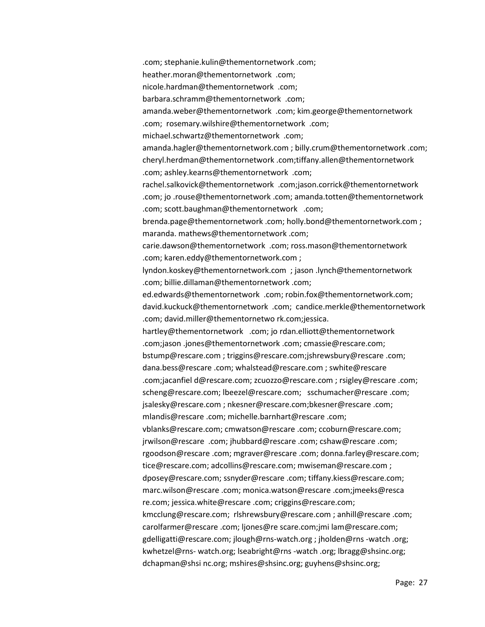.com; stephanie.kulin@thementornetwork .com; heather.moran@thementornetwork .com; nicole.hardman@thementornetwork .com; barbara.schramm@thementornetwork .com; amanda.weber@thementornetwork .com; kim.george@thementornetwork .com; rosemary.wilshire@thementornetwork .com; michael.schwartz@thementornetwork .com; amanda.hagler@thementornetwork.com ; billy.crum@thementornetwork .com; cheryl.herdman@thementornetwork .com;tiffany.allen@thementornetwork .com; ashley.kearns@thementornetwork .com; rachel.salkovick@thementornetwork .com;jason.corrick@thementornetwork .com; jo .rouse@thementornetwork .com; amanda.totten@thementornetwork .com; scott.baughman@thementornetwork .com; brenda.page@thementornetwork .com; holly.bond@thementornetwork.com ; maranda. mathews@thementornetwork .com; carie.dawson@thementornetwork .com; ross.mason@thementornetwork .com; karen.eddy@thementornetwork.com ; lyndon.koskey@thementornetwork.com ; jason .lynch@thementornetwork .com; billie.dillaman@thementornetwork .com; ed.edwards@thementornetwork .com; robin.fox@thementornetwork.com; david.kuckuck@thementornetwork .com; candice.merkle@thementornetwork .com; david.miller@thementornetwo rk.com;jessica. hartley@thementornetwork .com; jo rdan.elliott@thementornetwork .com;jason .jones@thementornetwork .com; cmassie@rescare.com; bstump@rescare.com ; triggins@rescare.com;jshrewsbury@rescare .com; dana.bess@rescare .com; whalstead@rescare.com ; swhite@rescare .com;jacanfiel d@rescare.com; zcuozzo@rescare.com ; rsigley@rescare .com; scheng@rescare.com; lbeezel@rescare.com; sschumacher@rescare .com; jsalesky@rescare.com ; nkesner@rescare.com;bkesner@rescare .com; mlandis@rescare .com; michelle.barnhart@rescare .com; vblanks@rescare.com; cmwatson@rescare .com; ccoburn@rescare.com; jrwilson@rescare .com; jhubbard@rescare .com; cshaw@rescare .com; rgoodson@rescare .com; mgraver@rescare .com; donna.farley@rescare.com; tice@rescare.com; adcollins@rescare.com; mwiseman@rescare.com ; dposey@rescare.com; ssnyder@rescare .com; tiffany.kiess@rescare.com; marc.wilson@rescare .com; monica.watson@rescare .com;jmeeks@resca re.com; jessica.white@rescare .com; criggins@rescare.com; kmcclung@rescare.com; rlshrewsbury@rescare.com ; anhill@rescare .com; carolfarmer@rescare .com; ljones@re scare.com;jmi lam@rescare.com; gdelligatti@rescare.com; jlough@rns-watch.org ; jholden@rns -watch .org; kwhetzel@rns- watch.org; lseabright@rns -watch .org; lbragg@shsinc.org; dchapman@shsi nc.org; mshires@shsinc.org; guyhens@shsinc.org;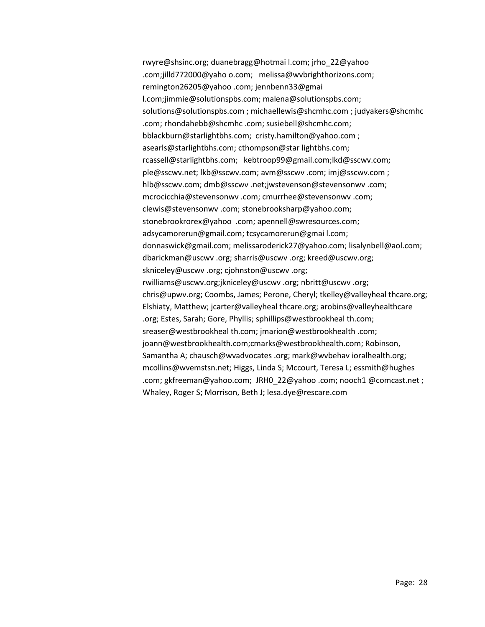rwyre@shsinc.org; duanebragg@hotmai l.com; jrho\_22@yahoo .com;jilld772000@yaho o.com; melissa@wvbrighthorizons.com; remington26205@yahoo .com; jennbenn33@gmai l.com;jimmie@solutionspbs.com; malena@solutionspbs.com; solutions@solutionspbs.com ; michaellewis@shcmhc.com ; judyakers@shcmhc .com; rhondahebb@shcmhc .com; susiebell@shcmhc.com; bblackburn@starlightbhs.com; cristy.hamilton@yahoo.com ; asearls@starlightbhs.com; cthompson@star lightbhs.com; rcassell@starlightbhs.com; kebtroop99@gmail.com;lkd@sscwv.com; ple@sscwv.net; lkb@sscwv.com; avm@sscwv .com; imj@sscwv.com ; hlb@sscwv.com; dmb@sscwv .net;jwstevenson@stevensonwv .com; mcrocicchia@stevensonwv .com; cmurrhee@stevensonwv .com; clewis@stevensonwv .com; stonebrooksharp@yahoo.com; stonebrookrorex@yahoo .com; apennell@swresources.com; adsycamorerun@gmail.com; tcsycamorerun@gmai l.com; donnaswick@gmail.com; melissaroderick27@yahoo.com; lisalynbell@aol.com; dbarickman@uscwv .org; sharris@uscwv .org; kreed@uscwv.org; skniceley@uscwv .org; cjohnston@uscwv .org; rwilliams@uscwv.org;jkniceley@uscwv .org; nbritt@uscwv .org; chris@upwv.org; Coombs, James; Perone, Cheryl; tkelley@valleyheal thcare.org; Elshiaty, Matthew; jcarter@valleyheal thcare.org; arobins@valleyhealthcare .org; Estes, Sarah; Gore, Phyllis; sphillips@westbrookheal th.com; sreaser@westbrookheal th.com; jmarion@westbrookhealth .com; joann@westbrookhealth.com;cmarks@westbrookhealth.com; Robinson, Samantha A; chausch@wvadvocates .org; mark@wvbehav ioralhealth.org; mcollins@wvemstsn.net; Higgs, Linda S; Mccourt, Teresa L; essmith@hughes .com; gkfreeman@yahoo.com; JRH0\_22@yahoo .com; nooch1 @comcast.net ; Whaley, Roger S; Morrison, Beth J; lesa.dye@rescare.com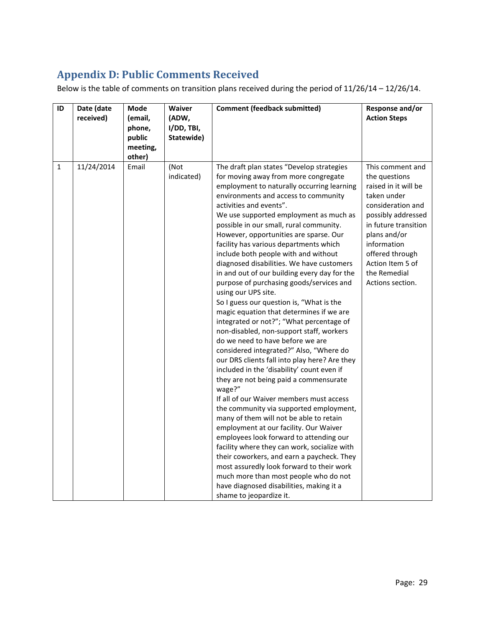# <span id="page-28-0"></span>**Appendix D: Public Comments Received**

Below is the table of comments on transition plans received during the period of 11/26/14 – 12/26/14.

| ID | Date (date<br>received) | Mode<br>(email,                        | Waiver<br>(ADW,          | <b>Comment (feedback submitted)</b>                                                                                                                                                                                                                                                                                                                                                                                                                                                                                                                                                                                                                                                                                                                                                                                                                                                                                                                                                                                                                                                                                                                                                                                                                                                                                                                                                                                                                                                     | Response and/or<br><b>Action Steps</b>                                                                                                                                                                                                                |
|----|-------------------------|----------------------------------------|--------------------------|-----------------------------------------------------------------------------------------------------------------------------------------------------------------------------------------------------------------------------------------------------------------------------------------------------------------------------------------------------------------------------------------------------------------------------------------------------------------------------------------------------------------------------------------------------------------------------------------------------------------------------------------------------------------------------------------------------------------------------------------------------------------------------------------------------------------------------------------------------------------------------------------------------------------------------------------------------------------------------------------------------------------------------------------------------------------------------------------------------------------------------------------------------------------------------------------------------------------------------------------------------------------------------------------------------------------------------------------------------------------------------------------------------------------------------------------------------------------------------------------|-------------------------------------------------------------------------------------------------------------------------------------------------------------------------------------------------------------------------------------------------------|
|    |                         | phone,<br>public<br>meeting,<br>other) | I/DD, TBI,<br>Statewide) |                                                                                                                                                                                                                                                                                                                                                                                                                                                                                                                                                                                                                                                                                                                                                                                                                                                                                                                                                                                                                                                                                                                                                                                                                                                                                                                                                                                                                                                                                         |                                                                                                                                                                                                                                                       |
| 1  | 11/24/2014              | Email                                  | (Not<br>indicated)       | The draft plan states "Develop strategies<br>for moving away from more congregate<br>employment to naturally occurring learning<br>environments and access to community<br>activities and events".<br>We use supported employment as much as<br>possible in our small, rural community.<br>However, opportunities are sparse. Our<br>facility has various departments which<br>include both people with and without<br>diagnosed disabilities. We have customers<br>in and out of our building every day for the<br>purpose of purchasing goods/services and<br>using our UPS site.<br>So I guess our question is, "What is the<br>magic equation that determines if we are<br>integrated or not?"; "What percentage of<br>non-disabled, non-support staff, workers<br>do we need to have before we are<br>considered integrated?" Also, "Where do<br>our DRS clients fall into play here? Are they<br>included in the 'disability' count even if<br>they are not being paid a commensurate<br>wage?"<br>If all of our Waiver members must access<br>the community via supported employment,<br>many of them will not be able to retain<br>employment at our facility. Our Waiver<br>employees look forward to attending our<br>facility where they can work, socialize with<br>their coworkers, and earn a paycheck. They<br>most assuredly look forward to their work<br>much more than most people who do not<br>have diagnosed disabilities, making it a<br>shame to jeopardize it. | This comment and<br>the questions<br>raised in it will be<br>taken under<br>consideration and<br>possibly addressed<br>in future transition<br>plans and/or<br>information<br>offered through<br>Action Item 5 of<br>the Remedial<br>Actions section. |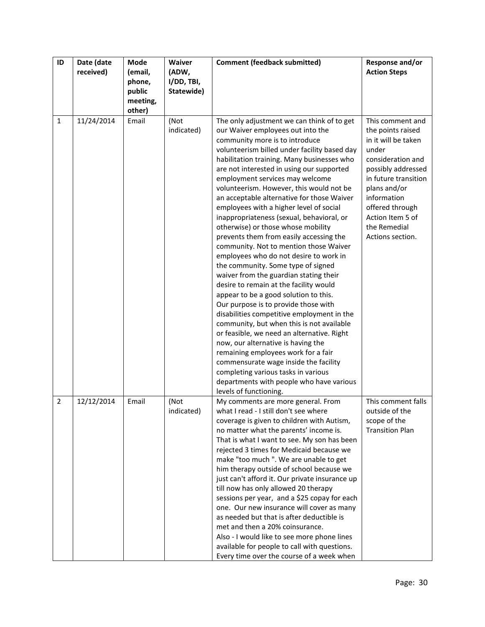| ID             | Date (date | Mode               | Waiver     | <b>Comment (feedback submitted)</b>                                                        | Response and/or        |
|----------------|------------|--------------------|------------|--------------------------------------------------------------------------------------------|------------------------|
|                | received)  | (email,            | (ADW,      |                                                                                            | <b>Action Steps</b>    |
|                |            | phone,             | I/DD, TBI, |                                                                                            |                        |
|                |            | public             | Statewide) |                                                                                            |                        |
|                |            | meeting,<br>other) |            |                                                                                            |                        |
| $\mathbf{1}$   | 11/24/2014 | Email              | (Not       | The only adjustment we can think of to get                                                 | This comment and       |
|                |            |                    | indicated) | our Waiver employees out into the                                                          | the points raised      |
|                |            |                    |            | community more is to introduce                                                             | in it will be taken    |
|                |            |                    |            | volunteerism billed under facility based day                                               | under                  |
|                |            |                    |            | habilitation training. Many businesses who                                                 | consideration and      |
|                |            |                    |            | are not interested in using our supported                                                  | possibly addressed     |
|                |            |                    |            | employment services may welcome                                                            | in future transition   |
|                |            |                    |            | volunteerism. However, this would not be                                                   | plans and/or           |
|                |            |                    |            | an acceptable alternative for those Waiver                                                 | information            |
|                |            |                    |            | employees with a higher level of social                                                    | offered through        |
|                |            |                    |            | inappropriateness (sexual, behavioral, or                                                  | Action Item 5 of       |
|                |            |                    |            | otherwise) or those whose mobility                                                         | the Remedial           |
|                |            |                    |            | prevents them from easily accessing the<br>community. Not to mention those Waiver          | Actions section.       |
|                |            |                    |            | employees who do not desire to work in                                                     |                        |
|                |            |                    |            | the community. Some type of signed                                                         |                        |
|                |            |                    |            | waiver from the guardian stating their                                                     |                        |
|                |            |                    |            | desire to remain at the facility would                                                     |                        |
|                |            |                    |            | appear to be a good solution to this.                                                      |                        |
|                |            |                    |            | Our purpose is to provide those with                                                       |                        |
|                |            |                    |            | disabilities competitive employment in the                                                 |                        |
|                |            |                    |            | community, but when this is not available                                                  |                        |
|                |            |                    |            | or feasible, we need an alternative. Right                                                 |                        |
|                |            |                    |            | now, our alternative is having the                                                         |                        |
|                |            |                    |            | remaining employees work for a fair<br>commensurate wage inside the facility               |                        |
|                |            |                    |            | completing various tasks in various                                                        |                        |
|                |            |                    |            | departments with people who have various                                                   |                        |
|                |            |                    |            | levels of functioning.                                                                     |                        |
| $\overline{2}$ | 12/12/2014 | Email              | (Not       | My comments are more general. From                                                         | This comment falls     |
|                |            |                    | indicated) | what I read - I still don't see where                                                      | outside of the         |
|                |            |                    |            | coverage is given to children with Autism,                                                 | scope of the           |
|                |            |                    |            | no matter what the parents' income is.                                                     | <b>Transition Plan</b> |
|                |            |                    |            | That is what I want to see. My son has been                                                |                        |
|                |            |                    |            | rejected 3 times for Medicaid because we                                                   |                        |
|                |            |                    |            | make "too much ". We are unable to get                                                     |                        |
|                |            |                    |            | him therapy outside of school because we<br>just can't afford it. Our private insurance up |                        |
|                |            |                    |            | till now has only allowed 20 therapy                                                       |                        |
|                |            |                    |            | sessions per year, and a \$25 copay for each                                               |                        |
|                |            |                    |            | one. Our new insurance will cover as many                                                  |                        |
|                |            |                    |            | as needed but that is after deductible is                                                  |                        |
|                |            |                    |            | met and then a 20% coinsurance.                                                            |                        |
|                |            |                    |            | Also - I would like to see more phone lines                                                |                        |
|                |            |                    |            | available for people to call with questions.                                               |                        |
|                |            |                    |            | Every time over the course of a week when                                                  |                        |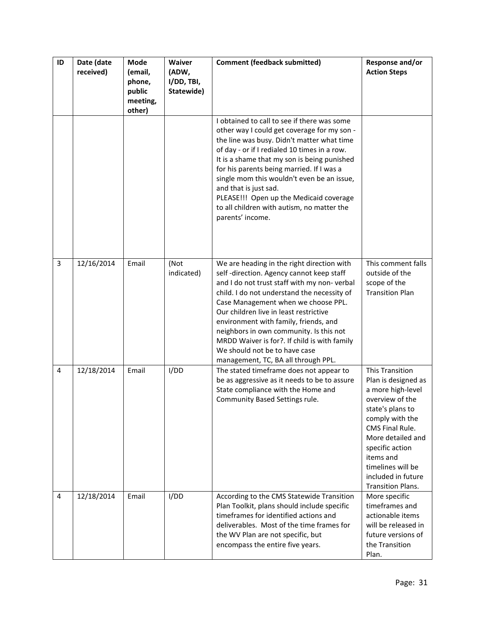| ID | Date (date<br>received) | Mode<br>(email,<br>phone,<br>public<br>meeting,<br>other) | Waiver<br>(ADW,<br>I/DD, TBI,<br>Statewide) | <b>Comment (feedback submitted)</b>                                                                                                                                                                                                                                                                                                                                                                                                                                               | Response and/or<br><b>Action Steps</b>                                                                                                                                                                                                                                      |
|----|-------------------------|-----------------------------------------------------------|---------------------------------------------|-----------------------------------------------------------------------------------------------------------------------------------------------------------------------------------------------------------------------------------------------------------------------------------------------------------------------------------------------------------------------------------------------------------------------------------------------------------------------------------|-----------------------------------------------------------------------------------------------------------------------------------------------------------------------------------------------------------------------------------------------------------------------------|
|    |                         |                                                           |                                             | I obtained to call to see if there was some<br>other way I could get coverage for my son -<br>the line was busy. Didn't matter what time<br>of day - or if I redialed 10 times in a row.<br>It is a shame that my son is being punished<br>for his parents being married. If I was a<br>single mom this wouldn't even be an issue,<br>and that is just sad.<br>PLEASE!!! Open up the Medicaid coverage<br>to all children with autism, no matter the<br>parents' income.          |                                                                                                                                                                                                                                                                             |
| 3  | 12/16/2014              | Email                                                     | (Not<br>indicated)                          | We are heading in the right direction with<br>self-direction. Agency cannot keep staff<br>and I do not trust staff with my non-verbal<br>child. I do not understand the necessity of<br>Case Management when we choose PPL.<br>Our children live in least restrictive<br>environment with family, friends, and<br>neighbors in own community. Is this not<br>MRDD Waiver is for?. If child is with family<br>We should not be to have case<br>management, TC, BA all through PPL. | This comment falls<br>outside of the<br>scope of the<br><b>Transition Plan</b>                                                                                                                                                                                              |
| 4  | 12/18/2014              | Email                                                     | I/DD                                        | The stated timeframe does not appear to<br>be as aggressive as it needs to be to assure<br>State compliance with the Home and<br>Community Based Settings rule.                                                                                                                                                                                                                                                                                                                   | <b>This Transition</b><br>Plan is designed as<br>a more high-level<br>overview of the<br>state's plans to<br>comply with the<br>CMS Final Rule.<br>More detailed and<br>specific action<br>items and<br>timelines will be<br>included in future<br><b>Transition Plans.</b> |
| 4  | 12/18/2014              | Email                                                     | I/DD                                        | According to the CMS Statewide Transition<br>Plan Toolkit, plans should include specific<br>timeframes for identified actions and<br>deliverables. Most of the time frames for<br>the WV Plan are not specific, but<br>encompass the entire five years.                                                                                                                                                                                                                           | More specific<br>timeframes and<br>actionable items<br>will be released in<br>future versions of<br>the Transition<br>Plan.                                                                                                                                                 |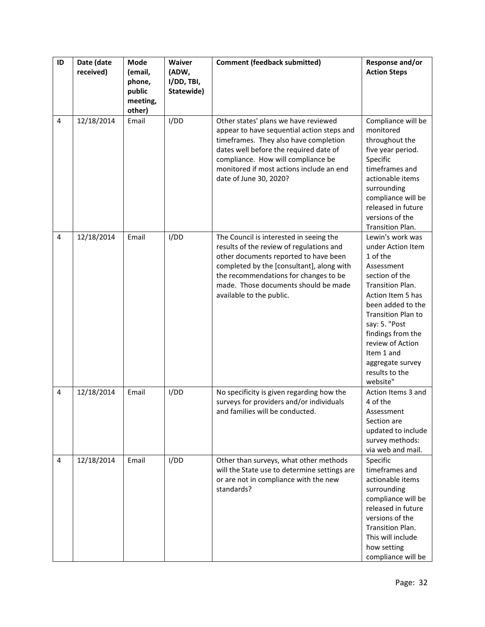| ID             | Date (date<br>received) | Mode<br>(email,<br>phone,<br>public<br>meeting,<br>other) | Waiver<br>(ADW,<br>I/DD, TBI,<br>Statewide) | <b>Comment (feedback submitted)</b>                                                                                                                                                                                                                                                    | Response and/or<br><b>Action Steps</b>                                                                                                                                                                                                                                                          |
|----------------|-------------------------|-----------------------------------------------------------|---------------------------------------------|----------------------------------------------------------------------------------------------------------------------------------------------------------------------------------------------------------------------------------------------------------------------------------------|-------------------------------------------------------------------------------------------------------------------------------------------------------------------------------------------------------------------------------------------------------------------------------------------------|
| $\overline{4}$ | 12/18/2014              | Email                                                     | I/DD                                        | Other states' plans we have reviewed<br>appear to have sequential action steps and<br>timeframes. They also have completion<br>dates well before the required date of<br>compliance. How will compliance be<br>monitored if most actions include an end<br>date of June 30, 2020?      | Compliance will be<br>monitored<br>throughout the<br>five year period.<br>Specific<br>timeframes and<br>actionable items<br>surrounding<br>compliance will be<br>released in future<br>versions of the<br>Transition Plan.                                                                      |
| 4              | 12/18/2014              | Email                                                     | I/DD                                        | The Council is interested in seeing the<br>results of the review of regulations and<br>other documents reported to have been<br>completed by the [consultant], along with<br>the recommendations for changes to be<br>made. Those documents should be made<br>available to the public. | Lewin's work was<br>under Action Item<br>1 of the<br>Assessment<br>section of the<br>Transition Plan.<br>Action Item 5 has<br>been added to the<br>Transition Plan to<br>say: 5. "Post<br>findings from the<br>review of Action<br>Item 1 and<br>aggregate survey<br>results to the<br>website" |
| $\overline{4}$ | 12/18/2014              | Email                                                     | I/DD                                        | No specificity is given regarding how the<br>surveys for providers and/or individuals<br>and families will be conducted.                                                                                                                                                               | Action Items 3 and<br>4 of the<br>Assessment<br>Section are<br>updated to include<br>survey methods:<br>via web and mail.                                                                                                                                                                       |
| 4              | 12/18/2014              | Email                                                     | I/DD                                        | Other than surveys, what other methods<br>will the State use to determine settings are<br>or are not in compliance with the new<br>standards?                                                                                                                                          | Specific<br>timeframes and<br>actionable items<br>surrounding<br>compliance will be<br>released in future<br>versions of the<br>Transition Plan.<br>This will include<br>how setting<br>compliance will be                                                                                      |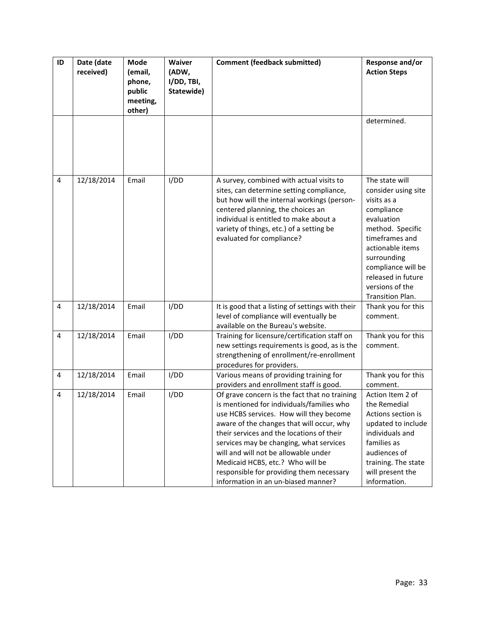| ID             | Date (date<br>received) | <b>Mode</b><br>(email,<br>phone,<br>public<br>meeting,<br>other) | Waiver<br>(ADW,<br>I/DD, TBI,<br>Statewide) | <b>Comment (feedback submitted)</b>                                                                                                                                                                                                                                                                                                                                                                                                       | Response and/or<br><b>Action Steps</b>                                                                                                                                                                                                       |
|----------------|-------------------------|------------------------------------------------------------------|---------------------------------------------|-------------------------------------------------------------------------------------------------------------------------------------------------------------------------------------------------------------------------------------------------------------------------------------------------------------------------------------------------------------------------------------------------------------------------------------------|----------------------------------------------------------------------------------------------------------------------------------------------------------------------------------------------------------------------------------------------|
|                |                         |                                                                  |                                             |                                                                                                                                                                                                                                                                                                                                                                                                                                           | determined.                                                                                                                                                                                                                                  |
| 4              | 12/18/2014              | Email                                                            | I/DD                                        | A survey, combined with actual visits to<br>sites, can determine setting compliance,<br>but how will the internal workings (person-<br>centered planning, the choices an<br>individual is entitled to make about a<br>variety of things, etc.) of a setting be<br>evaluated for compliance?                                                                                                                                               | The state will<br>consider using site<br>visits as a<br>compliance<br>evaluation<br>method. Specific<br>timeframes and<br>actionable items<br>surrounding<br>compliance will be<br>released in future<br>versions of the<br>Transition Plan. |
| $\overline{4}$ | 12/18/2014              | Email                                                            | I/DD                                        | It is good that a listing of settings with their<br>level of compliance will eventually be<br>available on the Bureau's website.                                                                                                                                                                                                                                                                                                          | Thank you for this<br>comment.                                                                                                                                                                                                               |
| $\overline{4}$ | 12/18/2014              | Email                                                            | I/DD                                        | Training for licensure/certification staff on<br>new settings requirements is good, as is the<br>strengthening of enrollment/re-enrollment<br>procedures for providers.                                                                                                                                                                                                                                                                   | Thank you for this<br>comment.                                                                                                                                                                                                               |
| 4              | 12/18/2014              | Email                                                            | I/DD                                        | Various means of providing training for<br>providers and enrollment staff is good.                                                                                                                                                                                                                                                                                                                                                        | Thank you for this<br>comment.                                                                                                                                                                                                               |
| 4              | 12/18/2014              | Email                                                            | I/DD                                        | Of grave concern is the fact that no training<br>is mentioned for individuals/families who<br>use HCBS services. How will they become<br>aware of the changes that will occur, why<br>their services and the locations of their<br>services may be changing, what services<br>will and will not be allowable under<br>Medicaid HCBS, etc.? Who will be<br>responsible for providing them necessary<br>information in an un-biased manner? | Action Item 2 of<br>the Remedial<br>Actions section is<br>updated to include<br>individuals and<br>families as<br>audiences of<br>training. The state<br>will present the<br>information.                                                    |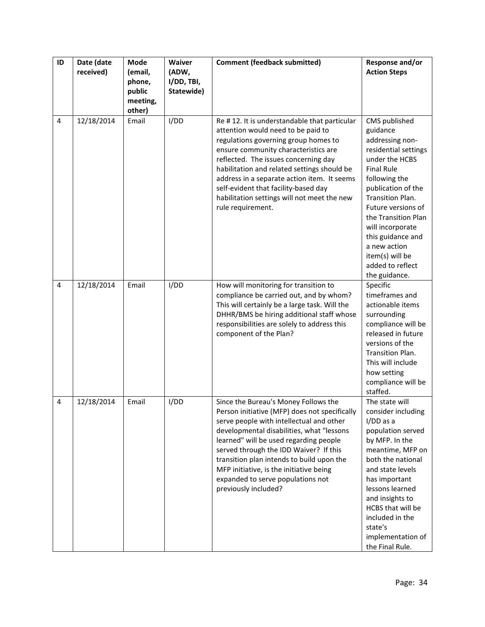| ID | Date (date | Mode                         | Waiver              | <b>Comment (feedback submitted)</b>                                                                                                                                                                                                                                                                                                                                                                                     | Response and/or                                                                                                                                                                                                                                                                                                                      |
|----|------------|------------------------------|---------------------|-------------------------------------------------------------------------------------------------------------------------------------------------------------------------------------------------------------------------------------------------------------------------------------------------------------------------------------------------------------------------------------------------------------------------|--------------------------------------------------------------------------------------------------------------------------------------------------------------------------------------------------------------------------------------------------------------------------------------------------------------------------------------|
|    | received)  | (email,<br>phone,            | (ADW,<br>I/DD, TBI, |                                                                                                                                                                                                                                                                                                                                                                                                                         | <b>Action Steps</b>                                                                                                                                                                                                                                                                                                                  |
|    |            | public<br>meeting,<br>other) | Statewide)          |                                                                                                                                                                                                                                                                                                                                                                                                                         |                                                                                                                                                                                                                                                                                                                                      |
| 4  | 12/18/2014 | Email                        | I/DD                | Re #12. It is understandable that particular<br>attention would need to be paid to<br>regulations governing group homes to<br>ensure community characteristics are<br>reflected. The issues concerning day<br>habilitation and related settings should be<br>address in a separate action item. It seems<br>self-evident that facility-based day<br>habilitation settings will not meet the new<br>rule requirement.    | CMS published<br>guidance<br>addressing non-<br>residential settings<br>under the HCBS<br><b>Final Rule</b><br>following the<br>publication of the<br>Transition Plan.<br>Future versions of<br>the Transition Plan<br>will incorporate<br>this guidance and<br>a new action<br>item(s) will be<br>added to reflect<br>the guidance. |
| 4  | 12/18/2014 | Email                        | I/DD                | How will monitoring for transition to<br>compliance be carried out, and by whom?<br>This will certainly be a large task. Will the<br>DHHR/BMS be hiring additional staff whose<br>responsibilities are solely to address this<br>component of the Plan?                                                                                                                                                                 | Specific<br>timeframes and<br>actionable items<br>surrounding<br>compliance will be<br>released in future<br>versions of the<br>Transition Plan.<br>This will include<br>how setting<br>compliance will be<br>staffed.                                                                                                               |
| 4  | 12/18/2014 | Email                        | I/DD                | Since the Bureau's Money Follows the<br>Person initiative (MFP) does not specifically<br>serve people with intellectual and other<br>developmental disabilities, what "lessons<br>learned" will be used regarding people<br>served through the IDD Waiver? If this<br>transition plan intends to build upon the<br>MFP initiative, is the initiative being<br>expanded to serve populations not<br>previously included? | The state will<br>consider including<br>$I/DD$ as a<br>population served<br>by MFP. In the<br>meantime, MFP on<br>both the national<br>and state levels<br>has important<br>lessons learned<br>and insights to<br>HCBS that will be<br>included in the<br>state's<br>implementation of<br>the Final Rule.                            |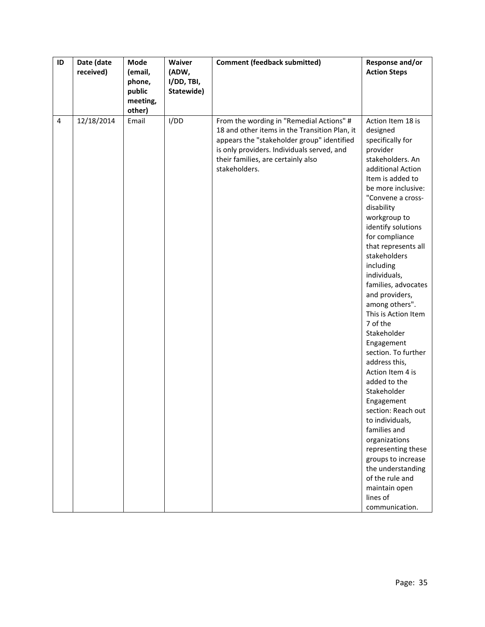| ID             | Date (date | Mode     | Waiver     | <b>Comment (feedback submitted)</b>           | Response and/or                                                                                                                                                                                                                                                                                                                                                                                      |
|----------------|------------|----------|------------|-----------------------------------------------|------------------------------------------------------------------------------------------------------------------------------------------------------------------------------------------------------------------------------------------------------------------------------------------------------------------------------------------------------------------------------------------------------|
|                | received)  | (email,  | (ADW,      |                                               | <b>Action Steps</b>                                                                                                                                                                                                                                                                                                                                                                                  |
|                |            | phone,   | I/DD, TBI, |                                               |                                                                                                                                                                                                                                                                                                                                                                                                      |
|                |            | public   | Statewide) |                                               |                                                                                                                                                                                                                                                                                                                                                                                                      |
|                |            | meeting, |            |                                               |                                                                                                                                                                                                                                                                                                                                                                                                      |
|                |            | other)   |            |                                               |                                                                                                                                                                                                                                                                                                                                                                                                      |
| $\overline{4}$ | 12/18/2014 | Email    | I/DD       | From the wording in "Remedial Actions" #      | Action Item 18 is                                                                                                                                                                                                                                                                                                                                                                                    |
|                |            |          |            | 18 and other items in the Transition Plan, it | designed                                                                                                                                                                                                                                                                                                                                                                                             |
|                |            |          |            | appears the "stakeholder group" identified    | specifically for                                                                                                                                                                                                                                                                                                                                                                                     |
|                |            |          |            | is only providers. Individuals served, and    | provider                                                                                                                                                                                                                                                                                                                                                                                             |
|                |            |          |            | their families, are certainly also            | stakeholders. An                                                                                                                                                                                                                                                                                                                                                                                     |
|                |            |          |            | stakeholders.                                 | additional Action                                                                                                                                                                                                                                                                                                                                                                                    |
|                |            |          |            |                                               | Item is added to                                                                                                                                                                                                                                                                                                                                                                                     |
|                |            |          |            |                                               | be more inclusive:                                                                                                                                                                                                                                                                                                                                                                                   |
|                |            |          |            |                                               | "Convene a cross-                                                                                                                                                                                                                                                                                                                                                                                    |
|                |            |          |            |                                               | disability                                                                                                                                                                                                                                                                                                                                                                                           |
|                |            |          |            |                                               | workgroup to                                                                                                                                                                                                                                                                                                                                                                                         |
|                |            |          |            |                                               | identify solutions                                                                                                                                                                                                                                                                                                                                                                                   |
|                |            |          |            |                                               | for compliance                                                                                                                                                                                                                                                                                                                                                                                       |
|                |            |          |            |                                               | that represents all                                                                                                                                                                                                                                                                                                                                                                                  |
|                |            |          |            |                                               | stakeholders                                                                                                                                                                                                                                                                                                                                                                                         |
|                |            |          |            |                                               | including                                                                                                                                                                                                                                                                                                                                                                                            |
|                |            |          |            |                                               | individuals,                                                                                                                                                                                                                                                                                                                                                                                         |
|                |            |          |            |                                               | families, advocates                                                                                                                                                                                                                                                                                                                                                                                  |
|                |            |          |            |                                               | and providers,                                                                                                                                                                                                                                                                                                                                                                                       |
|                |            |          |            |                                               |                                                                                                                                                                                                                                                                                                                                                                                                      |
|                |            |          |            |                                               |                                                                                                                                                                                                                                                                                                                                                                                                      |
|                |            |          |            |                                               |                                                                                                                                                                                                                                                                                                                                                                                                      |
|                |            |          |            |                                               |                                                                                                                                                                                                                                                                                                                                                                                                      |
|                |            |          |            |                                               |                                                                                                                                                                                                                                                                                                                                                                                                      |
|                |            |          |            |                                               |                                                                                                                                                                                                                                                                                                                                                                                                      |
|                |            |          |            |                                               |                                                                                                                                                                                                                                                                                                                                                                                                      |
|                |            |          |            |                                               |                                                                                                                                                                                                                                                                                                                                                                                                      |
|                |            |          |            |                                               |                                                                                                                                                                                                                                                                                                                                                                                                      |
|                |            |          |            |                                               |                                                                                                                                                                                                                                                                                                                                                                                                      |
|                |            |          |            |                                               |                                                                                                                                                                                                                                                                                                                                                                                                      |
|                |            |          |            |                                               |                                                                                                                                                                                                                                                                                                                                                                                                      |
|                |            |          |            |                                               |                                                                                                                                                                                                                                                                                                                                                                                                      |
|                |            |          |            |                                               |                                                                                                                                                                                                                                                                                                                                                                                                      |
|                |            |          |            |                                               |                                                                                                                                                                                                                                                                                                                                                                                                      |
|                |            |          |            |                                               |                                                                                                                                                                                                                                                                                                                                                                                                      |
|                |            |          |            |                                               |                                                                                                                                                                                                                                                                                                                                                                                                      |
|                |            |          |            |                                               |                                                                                                                                                                                                                                                                                                                                                                                                      |
|                |            |          |            |                                               |                                                                                                                                                                                                                                                                                                                                                                                                      |
|                |            |          |            |                                               |                                                                                                                                                                                                                                                                                                                                                                                                      |
|                |            |          |            |                                               |                                                                                                                                                                                                                                                                                                                                                                                                      |
|                |            |          |            |                                               | among others".<br>This is Action Item<br>7 of the<br>Stakeholder<br>Engagement<br>section. To further<br>address this,<br>Action Item 4 is<br>added to the<br>Stakeholder<br>Engagement<br>section: Reach out<br>to individuals,<br>families and<br>organizations<br>representing these<br>groups to increase<br>the understanding<br>of the rule and<br>maintain open<br>lines of<br>communication. |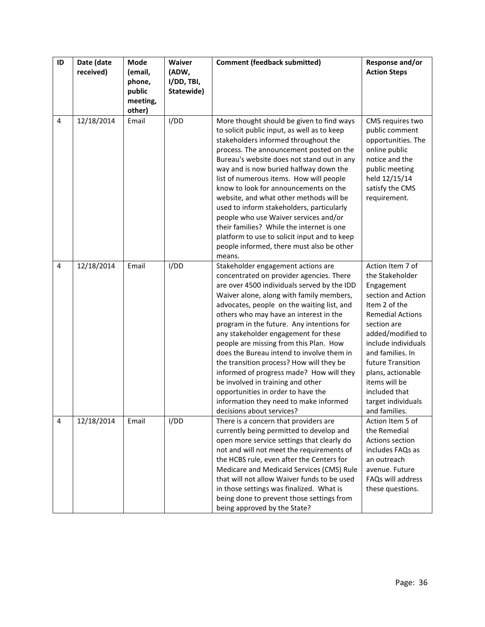| ID | Date (date<br>received) | Mode<br>(email,                        | Waiver<br>(ADW,          | <b>Comment (feedback submitted)</b>                                                                                                                                                                                                                                                                                                                                                                                                                                                                                                                                                                                                                                                     | Response and/or<br><b>Action Steps</b>                                                                                                                                                                                                                                                                                |
|----|-------------------------|----------------------------------------|--------------------------|-----------------------------------------------------------------------------------------------------------------------------------------------------------------------------------------------------------------------------------------------------------------------------------------------------------------------------------------------------------------------------------------------------------------------------------------------------------------------------------------------------------------------------------------------------------------------------------------------------------------------------------------------------------------------------------------|-----------------------------------------------------------------------------------------------------------------------------------------------------------------------------------------------------------------------------------------------------------------------------------------------------------------------|
|    |                         | phone,<br>public<br>meeting,<br>other) | I/DD, TBI,<br>Statewide) |                                                                                                                                                                                                                                                                                                                                                                                                                                                                                                                                                                                                                                                                                         |                                                                                                                                                                                                                                                                                                                       |
| 4  | 12/18/2014              | Email                                  | I/DD                     | More thought should be given to find ways<br>to solicit public input, as well as to keep<br>stakeholders informed throughout the<br>process. The announcement posted on the<br>Bureau's website does not stand out in any<br>way and is now buried halfway down the<br>list of numerous items. How will people<br>know to look for announcements on the<br>website, and what other methods will be<br>used to inform stakeholders, particularly<br>people who use Waiver services and/or<br>their families? While the internet is one<br>platform to use to solicit input and to keep<br>people informed, there must also be other<br>means.                                            | CMS requires two<br>public comment<br>opportunities. The<br>online public<br>notice and the<br>public meeting<br>held 12/15/14<br>satisfy the CMS<br>requirement.                                                                                                                                                     |
| 4  | 12/18/2014              | Email                                  | I/DD                     | Stakeholder engagement actions are<br>concentrated on provider agencies. There<br>are over 4500 individuals served by the IDD<br>Waiver alone, along with family members,<br>advocates, people on the waiting list, and<br>others who may have an interest in the<br>program in the future. Any intentions for<br>any stakeholder engagement for these<br>people are missing from this Plan. How<br>does the Bureau intend to involve them in<br>the transition process? How will they be<br>informed of progress made? How will they<br>be involved in training and other<br>opportunities in order to have the<br>information they need to make informed<br>decisions about services? | Action Item 7 of<br>the Stakeholder<br>Engagement<br>section and Action<br>Item 2 of the<br><b>Remedial Actions</b><br>section are<br>added/modified to<br>include individuals<br>and families. In<br>future Transition<br>plans, actionable<br>items will be<br>included that<br>target individuals<br>and families. |
| 4  | 12/18/2014              | Email                                  | I/DD                     | There is a concern that providers are<br>currently being permitted to develop and<br>open more service settings that clearly do<br>not and will not meet the requirements of<br>the HCBS rule, even after the Centers for<br>Medicare and Medicaid Services (CMS) Rule<br>that will not allow Waiver funds to be used<br>in those settings was finalized. What is<br>being done to prevent those settings from<br>being approved by the State?                                                                                                                                                                                                                                          | Action Item 5 of<br>the Remedial<br>Actions section<br>includes FAQs as<br>an outreach<br>avenue. Future<br>FAQs will address<br>these questions.                                                                                                                                                                     |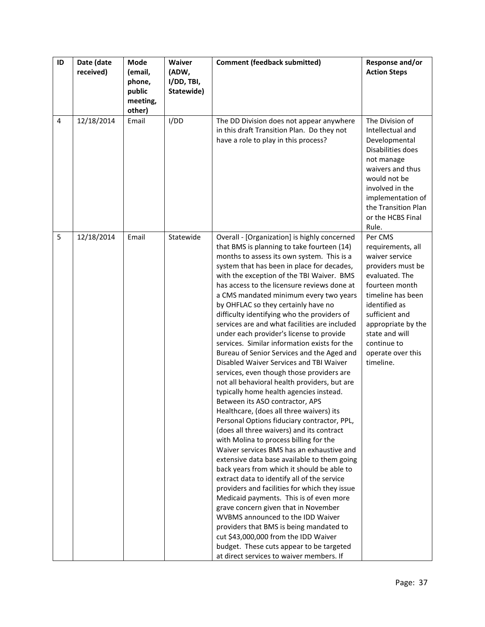| ID | Date (date<br>received) | Mode<br>(email,<br>phone,<br>public | Waiver<br>(ADW,<br>I/DD, TBI,<br>Statewide) | <b>Comment (feedback submitted)</b>                                                                                                                                                                                                                                                                                                                                                                                                                                                                                                                                                                                                                                                                                                                                                                                                                                                                                                                                                                                                                                                                                                                                                                                                                                                                                                                                                                                                                                                                                                                                | Response and/or<br><b>Action Steps</b>                                                                                                                                                                                                                   |
|----|-------------------------|-------------------------------------|---------------------------------------------|--------------------------------------------------------------------------------------------------------------------------------------------------------------------------------------------------------------------------------------------------------------------------------------------------------------------------------------------------------------------------------------------------------------------------------------------------------------------------------------------------------------------------------------------------------------------------------------------------------------------------------------------------------------------------------------------------------------------------------------------------------------------------------------------------------------------------------------------------------------------------------------------------------------------------------------------------------------------------------------------------------------------------------------------------------------------------------------------------------------------------------------------------------------------------------------------------------------------------------------------------------------------------------------------------------------------------------------------------------------------------------------------------------------------------------------------------------------------------------------------------------------------------------------------------------------------|----------------------------------------------------------------------------------------------------------------------------------------------------------------------------------------------------------------------------------------------------------|
|    |                         | meeting,<br>other)                  |                                             |                                                                                                                                                                                                                                                                                                                                                                                                                                                                                                                                                                                                                                                                                                                                                                                                                                                                                                                                                                                                                                                                                                                                                                                                                                                                                                                                                                                                                                                                                                                                                                    |                                                                                                                                                                                                                                                          |
| 4  | 12/18/2014              | Email                               | I/DD                                        | The DD Division does not appear anywhere<br>in this draft Transition Plan. Do they not<br>have a role to play in this process?                                                                                                                                                                                                                                                                                                                                                                                                                                                                                                                                                                                                                                                                                                                                                                                                                                                                                                                                                                                                                                                                                                                                                                                                                                                                                                                                                                                                                                     | The Division of<br>Intellectual and<br>Developmental<br>Disabilities does<br>not manage<br>waivers and thus<br>would not be<br>involved in the<br>implementation of<br>the Transition Plan<br>or the HCBS Final<br>Rule.                                 |
| 5  | 12/18/2014              | Email                               | Statewide                                   | Overall - [Organization] is highly concerned<br>that BMS is planning to take fourteen (14)<br>months to assess its own system. This is a<br>system that has been in place for decades,<br>with the exception of the TBI Waiver. BMS<br>has access to the licensure reviews done at<br>a CMS mandated minimum every two years<br>by OHFLAC so they certainly have no<br>difficulty identifying who the providers of<br>services are and what facilities are included<br>under each provider's license to provide<br>services. Similar information exists for the<br>Bureau of Senior Services and the Aged and<br>Disabled Waiver Services and TBI Waiver<br>services, even though those providers are<br>not all behavioral health providers, but are<br>typically home health agencies instead.<br>Between its ASO contractor, APS<br>Healthcare, (does all three waivers) its<br>Personal Options fiduciary contractor, PPL,<br>(does all three waivers) and its contract<br>with Molina to process billing for the<br>Waiver services BMS has an exhaustive and<br>extensive data base available to them going<br>back years from which it should be able to<br>extract data to identify all of the service<br>providers and facilities for which they issue<br>Medicaid payments. This is of even more<br>grave concern given that in November<br>WVBMS announced to the IDD Waiver<br>providers that BMS is being mandated to<br>cut \$43,000,000 from the IDD Waiver<br>budget. These cuts appear to be targeted<br>at direct services to waiver members. If | Per CMS<br>requirements, all<br>waiver service<br>providers must be<br>evaluated. The<br>fourteen month<br>timeline has been<br>identified as<br>sufficient and<br>appropriate by the<br>state and will<br>continue to<br>operate over this<br>timeline. |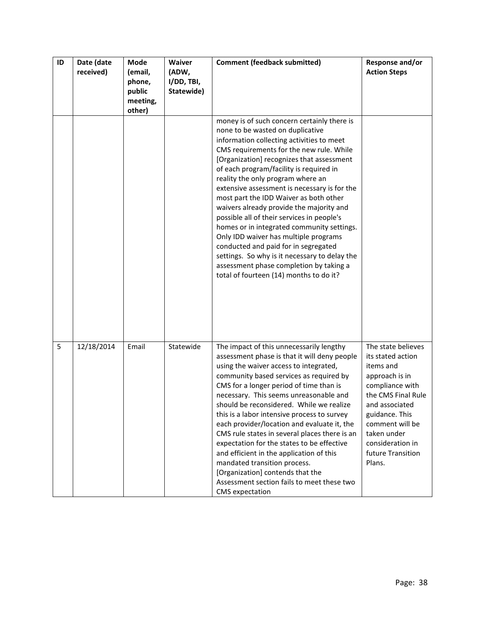| ID | Date (date<br>received) | <b>Mode</b><br>(email,<br>phone,<br>public<br>meeting,<br>other) | Waiver<br>(ADW,<br>I/DD, TBI,<br>Statewide) | <b>Comment (feedback submitted)</b>                                                                                                                                                                                                                                                                                                                                                                                                                                                                                                                                                                                                                                                                                                                             | Response and/or<br><b>Action Steps</b>                                                                                                                                                                                                   |
|----|-------------------------|------------------------------------------------------------------|---------------------------------------------|-----------------------------------------------------------------------------------------------------------------------------------------------------------------------------------------------------------------------------------------------------------------------------------------------------------------------------------------------------------------------------------------------------------------------------------------------------------------------------------------------------------------------------------------------------------------------------------------------------------------------------------------------------------------------------------------------------------------------------------------------------------------|------------------------------------------------------------------------------------------------------------------------------------------------------------------------------------------------------------------------------------------|
|    |                         |                                                                  |                                             | money is of such concern certainly there is<br>none to be wasted on duplicative<br>information collecting activities to meet<br>CMS requirements for the new rule. While<br>[Organization] recognizes that assessment<br>of each program/facility is required in<br>reality the only program where an<br>extensive assessment is necessary is for the<br>most part the IDD Waiver as both other<br>waivers already provide the majority and<br>possible all of their services in people's<br>homes or in integrated community settings.<br>Only IDD waiver has multiple programs<br>conducted and paid for in segregated<br>settings. So why is it necessary to delay the<br>assessment phase completion by taking a<br>total of fourteen (14) months to do it? |                                                                                                                                                                                                                                          |
| 5  | 12/18/2014              | Email                                                            | Statewide                                   | The impact of this unnecessarily lengthy<br>assessment phase is that it will deny people<br>using the waiver access to integrated,<br>community based services as required by<br>CMS for a longer period of time than is<br>necessary. This seems unreasonable and<br>should be reconsidered. While we realize<br>this is a labor intensive process to survey<br>each provider/location and evaluate it, the<br>CMS rule states in several places there is an<br>expectation for the states to be effective<br>and efficient in the application of this<br>mandated transition process.<br>[Organization] contends that the<br>Assessment section fails to meet these two<br><b>CMS</b> expectation                                                             | The state believes<br>its stated action<br>items and<br>approach is in<br>compliance with<br>the CMS Final Rule<br>and associated<br>guidance. This<br>comment will be<br>taken under<br>consideration in<br>future Transition<br>Plans. |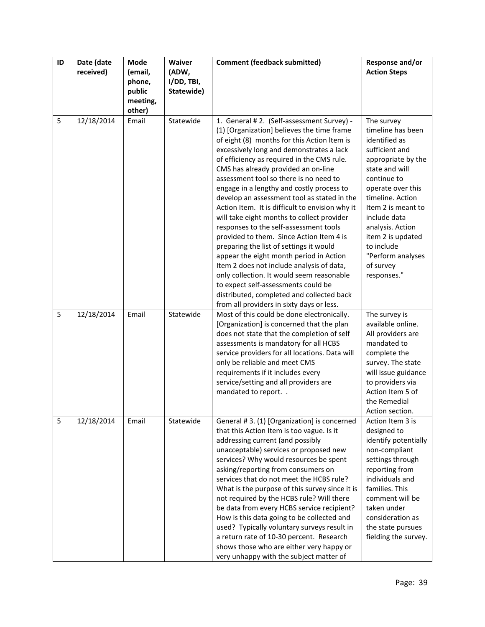| ID | Date (date | Mode              | Waiver              | <b>Comment (feedback submitted)</b>                                                      | Response and/or                        |
|----|------------|-------------------|---------------------|------------------------------------------------------------------------------------------|----------------------------------------|
|    | received)  | (email,<br>phone, | (ADW,<br>I/DD, TBI, |                                                                                          | <b>Action Steps</b>                    |
|    |            | public            | Statewide)          |                                                                                          |                                        |
|    |            | meeting,          |                     |                                                                                          |                                        |
| 5  | 12/18/2014 | other)<br>Email   | Statewide           | 1. General #2. (Self-assessment Survey) -                                                | The survey                             |
|    |            |                   |                     | (1) [Organization] believes the time frame                                               | timeline has been                      |
|    |            |                   |                     | of eight (8) months for this Action Item is                                              | identified as                          |
|    |            |                   |                     | excessively long and demonstrates a lack                                                 | sufficient and                         |
|    |            |                   |                     | of efficiency as required in the CMS rule.                                               | appropriate by the                     |
|    |            |                   |                     | CMS has already provided an on-line                                                      | state and will                         |
|    |            |                   |                     | assessment tool so there is no need to                                                   | continue to<br>operate over this       |
|    |            |                   |                     | engage in a lengthy and costly process to<br>develop an assessment tool as stated in the | timeline. Action                       |
|    |            |                   |                     | Action Item. It is difficult to envision why it                                          | Item 2 is meant to                     |
|    |            |                   |                     | will take eight months to collect provider                                               | include data                           |
|    |            |                   |                     | responses to the self-assessment tools                                                   | analysis. Action                       |
|    |            |                   |                     | provided to them. Since Action Item 4 is                                                 | item 2 is updated                      |
|    |            |                   |                     | preparing the list of settings it would                                                  | to include                             |
|    |            |                   |                     | appear the eight month period in Action<br>Item 2 does not include analysis of data,     | "Perform analyses<br>of survey         |
|    |            |                   |                     | only collection. It would seem reasonable                                                | responses."                            |
|    |            |                   |                     | to expect self-assessments could be                                                      |                                        |
|    |            |                   |                     | distributed, completed and collected back                                                |                                        |
|    |            |                   |                     | from all providers in sixty days or less.                                                |                                        |
| 5  | 12/18/2014 | Email             | Statewide           | Most of this could be done electronically.                                               | The survey is                          |
|    |            |                   |                     | [Organization] is concerned that the plan<br>does not state that the completion of self  | available online.<br>All providers are |
|    |            |                   |                     | assessments is mandatory for all HCBS                                                    | mandated to                            |
|    |            |                   |                     | service providers for all locations. Data will                                           | complete the                           |
|    |            |                   |                     | only be reliable and meet CMS                                                            | survey. The state                      |
|    |            |                   |                     | requirements if it includes every                                                        | will issue guidance                    |
|    |            |                   |                     | service/setting and all providers are                                                    | to providers via                       |
|    |            |                   |                     | mandated to report. .                                                                    | Action Item 5 of                       |
|    |            |                   |                     |                                                                                          | the Remedial<br>Action section.        |
| 5  | 12/18/2014 | Email             | Statewide           | General #3. (1) [Organization] is concerned                                              | Action Item 3 is                       |
|    |            |                   |                     | that this Action Item is too vague. Is it                                                | designed to                            |
|    |            |                   |                     | addressing current (and possibly                                                         | identify potentially                   |
|    |            |                   |                     | unacceptable) services or proposed new                                                   | non-compliant                          |
|    |            |                   |                     | services? Why would resources be spent                                                   | settings through                       |
|    |            |                   |                     | asking/reporting from consumers on<br>services that do not meet the HCBS rule?           | reporting from<br>individuals and      |
|    |            |                   |                     | What is the purpose of this survey since it is                                           | families. This                         |
|    |            |                   |                     | not required by the HCBS rule? Will there                                                | comment will be                        |
|    |            |                   |                     | be data from every HCBS service recipient?                                               | taken under                            |
|    |            |                   |                     | How is this data going to be collected and                                               | consideration as                       |
|    |            |                   |                     | used? Typically voluntary surveys result in                                              | the state pursues                      |
|    |            |                   |                     | a return rate of 10-30 percent. Research                                                 | fielding the survey.                   |
|    |            |                   |                     | shows those who are either very happy or<br>very unhappy with the subject matter of      |                                        |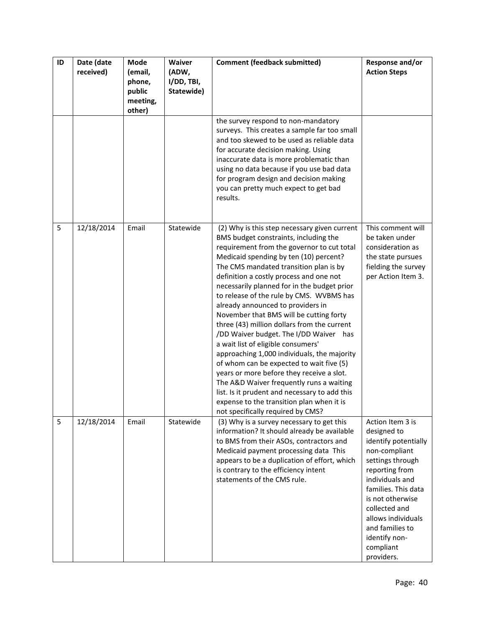| ID | Date (date<br>received) | Mode<br>(email,<br>phone,<br>public<br>meeting,<br>other) | <b>Waiver</b><br>(ADW,<br>I/DD, TBI,<br>Statewide) | <b>Comment (feedback submitted)</b>                                                                                                                                                                                                                                                                                                                                                                                                                                                                                                                                                                                                                                                                                                                                                                                                                                                                 | Response and/or<br><b>Action Steps</b>                                                                                                                                                                                                                                             |
|----|-------------------------|-----------------------------------------------------------|----------------------------------------------------|-----------------------------------------------------------------------------------------------------------------------------------------------------------------------------------------------------------------------------------------------------------------------------------------------------------------------------------------------------------------------------------------------------------------------------------------------------------------------------------------------------------------------------------------------------------------------------------------------------------------------------------------------------------------------------------------------------------------------------------------------------------------------------------------------------------------------------------------------------------------------------------------------------|------------------------------------------------------------------------------------------------------------------------------------------------------------------------------------------------------------------------------------------------------------------------------------|
|    |                         |                                                           |                                                    | the survey respond to non-mandatory<br>surveys. This creates a sample far too small<br>and too skewed to be used as reliable data<br>for accurate decision making. Using<br>inaccurate data is more problematic than<br>using no data because if you use bad data<br>for program design and decision making<br>you can pretty much expect to get bad<br>results.                                                                                                                                                                                                                                                                                                                                                                                                                                                                                                                                    |                                                                                                                                                                                                                                                                                    |
| 5  | 12/18/2014              | Email                                                     | Statewide                                          | (2) Why is this step necessary given current<br>BMS budget constraints, including the<br>requirement from the governor to cut total<br>Medicaid spending by ten (10) percent?<br>The CMS mandated transition plan is by<br>definition a costly process and one not<br>necessarily planned for in the budget prior<br>to release of the rule by CMS. WVBMS has<br>already announced to providers in<br>November that BMS will be cutting forty<br>three (43) million dollars from the current<br>/DD Waiver budget. The I/DD Waiver has<br>a wait list of eligible consumers'<br>approaching 1,000 individuals, the majority<br>of whom can be expected to wait five (5)<br>years or more before they receive a slot.<br>The A&D Waiver frequently runs a waiting<br>list. Is it prudent and necessary to add this<br>expense to the transition plan when it is<br>not specifically required by CMS? | This comment will<br>be taken under<br>consideration as<br>the state pursues<br>fielding the survey<br>per Action Item 3.                                                                                                                                                          |
| 5  | 12/18/2014              | Email                                                     | Statewide                                          | (3) Why is a survey necessary to get this<br>information? It should already be available<br>to BMS from their ASOs, contractors and<br>Medicaid payment processing data This<br>appears to be a duplication of effort, which<br>is contrary to the efficiency intent<br>statements of the CMS rule.                                                                                                                                                                                                                                                                                                                                                                                                                                                                                                                                                                                                 | Action Item 3 is<br>designed to<br>identify potentially<br>non-compliant<br>settings through<br>reporting from<br>individuals and<br>families. This data<br>is not otherwise<br>collected and<br>allows individuals<br>and families to<br>identify non-<br>compliant<br>providers. |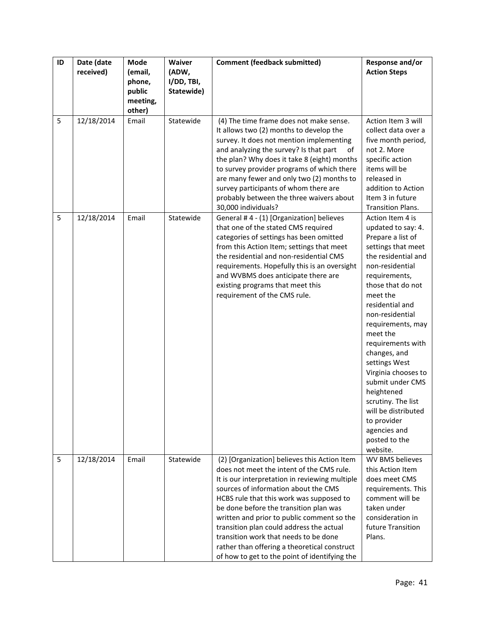| ID | Date (date<br>received) | Mode<br>(email,<br>phone,<br>public<br>meeting,<br>other) | Waiver<br>(ADW,<br>I/DD, TBI,<br>Statewide) | <b>Comment (feedback submitted)</b>                                                                                                                                                                                                                                                                                                                                                                                                                                                                           | Response and/or<br><b>Action Steps</b>                                                                                                                                                                                                                                                                                                                                                                                                                                       |
|----|-------------------------|-----------------------------------------------------------|---------------------------------------------|---------------------------------------------------------------------------------------------------------------------------------------------------------------------------------------------------------------------------------------------------------------------------------------------------------------------------------------------------------------------------------------------------------------------------------------------------------------------------------------------------------------|------------------------------------------------------------------------------------------------------------------------------------------------------------------------------------------------------------------------------------------------------------------------------------------------------------------------------------------------------------------------------------------------------------------------------------------------------------------------------|
| 5  | 12/18/2014              | Email                                                     | Statewide                                   | (4) The time frame does not make sense.<br>It allows two (2) months to develop the<br>survey. It does not mention implementing<br>and analyzing the survey? Is that part<br>of<br>the plan? Why does it take 8 (eight) months<br>to survey provider programs of which there<br>are many fewer and only two (2) months to<br>survey participants of whom there are<br>probably between the three waivers about<br>30,000 individuals?                                                                          | Action Item 3 will<br>collect data over a<br>five month period,<br>not 2. More<br>specific action<br>items will be<br>released in<br>addition to Action<br>Item 3 in future<br><b>Transition Plans.</b>                                                                                                                                                                                                                                                                      |
| 5  | 12/18/2014              | Email                                                     | Statewide                                   | General #4 - (1) [Organization] believes<br>that one of the stated CMS required<br>categories of settings has been omitted<br>from this Action Item; settings that meet<br>the residential and non-residential CMS<br>requirements. Hopefully this is an oversight<br>and WVBMS does anticipate there are<br>existing programs that meet this<br>requirement of the CMS rule.                                                                                                                                 | Action Item 4 is<br>updated to say: 4.<br>Prepare a list of<br>settings that meet<br>the residential and<br>non-residential<br>requirements,<br>those that do not<br>meet the<br>residential and<br>non-residential<br>requirements, may<br>meet the<br>requirements with<br>changes, and<br>settings West<br>Virginia chooses to<br>submit under CMS<br>heightened<br>scrutiny. The list<br>will be distributed<br>to provider<br>agencies and<br>posted to the<br>website. |
| 5  | 12/18/2014              | Email                                                     | Statewide                                   | (2) [Organization] believes this Action Item<br>does not meet the intent of the CMS rule.<br>It is our interpretation in reviewing multiple<br>sources of information about the CMS<br>HCBS rule that this work was supposed to<br>be done before the transition plan was<br>written and prior to public comment so the<br>transition plan could address the actual<br>transition work that needs to be done<br>rather than offering a theoretical construct<br>of how to get to the point of identifying the | WV BMS believes<br>this Action Item<br>does meet CMS<br>requirements. This<br>comment will be<br>taken under<br>consideration in<br>future Transition<br>Plans.                                                                                                                                                                                                                                                                                                              |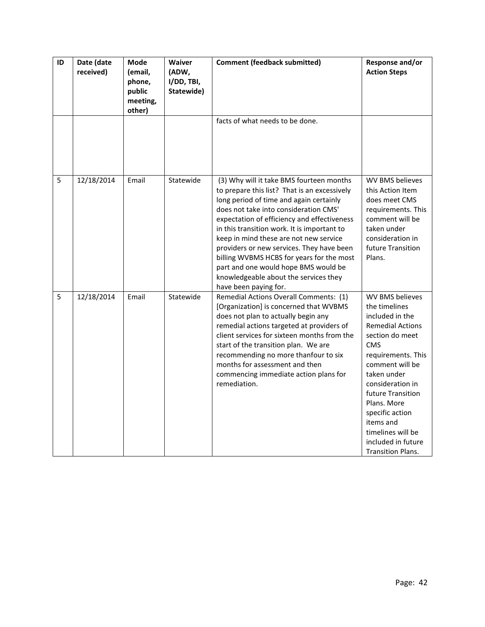| ID | Date (date<br>received) | <b>Mode</b><br>(email,<br>phone,<br>public<br>meeting,<br>other) | <b>Waiver</b><br>(ADW,<br>I/DD, TBI,<br>Statewide) | <b>Comment (feedback submitted)</b>                                                                                                                                                                                                                                                                                                                                                                                                                                                                                      | Response and/or<br><b>Action Steps</b>                                                                                                                                                                                                                                                                                                 |
|----|-------------------------|------------------------------------------------------------------|----------------------------------------------------|--------------------------------------------------------------------------------------------------------------------------------------------------------------------------------------------------------------------------------------------------------------------------------------------------------------------------------------------------------------------------------------------------------------------------------------------------------------------------------------------------------------------------|----------------------------------------------------------------------------------------------------------------------------------------------------------------------------------------------------------------------------------------------------------------------------------------------------------------------------------------|
|    |                         |                                                                  |                                                    | facts of what needs to be done.                                                                                                                                                                                                                                                                                                                                                                                                                                                                                          |                                                                                                                                                                                                                                                                                                                                        |
| 5  | 12/18/2014              | Email                                                            | Statewide                                          | (3) Why will it take BMS fourteen months<br>to prepare this list? That is an excessively<br>long period of time and again certainly<br>does not take into consideration CMS'<br>expectation of efficiency and effectiveness<br>in this transition work. It is important to<br>keep in mind these are not new service<br>providers or new services. They have been<br>billing WVBMS HCBS for years for the most<br>part and one would hope BMS would be<br>knowledgeable about the services they<br>have been paying for. | <b>WV BMS believes</b><br>this Action Item<br>does meet CMS<br>requirements. This<br>comment will be<br>taken under<br>consideration in<br>future Transition<br>Plans.                                                                                                                                                                 |
| 5  | 12/18/2014              | Email                                                            | Statewide                                          | Remedial Actions Overall Comments: (1)<br>[Organization] is concerned that WVBMS<br>does not plan to actually begin any<br>remedial actions targeted at providers of<br>client services for sixteen months from the<br>start of the transition plan. We are<br>recommending no more thanfour to six<br>months for assessment and then<br>commencing immediate action plans for<br>remediation.                                                                                                                           | WV BMS believes<br>the timelines<br>included in the<br><b>Remedial Actions</b><br>section do meet<br><b>CMS</b><br>requirements. This<br>comment will be<br>taken under<br>consideration in<br>future Transition<br>Plans. More<br>specific action<br>items and<br>timelines will be<br>included in future<br><b>Transition Plans.</b> |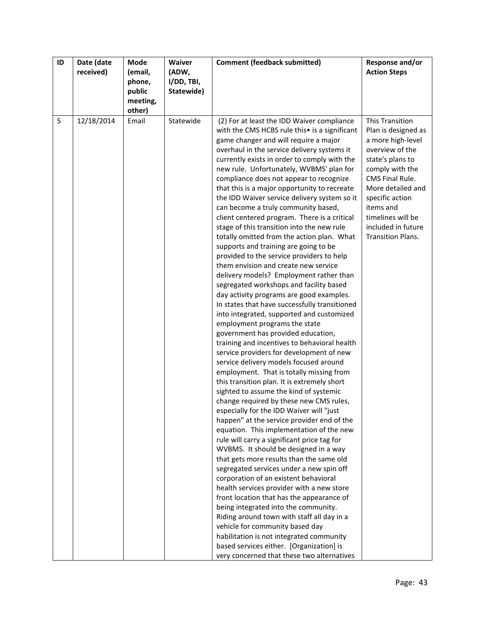| ID | Date (date | Mode     | <b>Waiver</b> | <b>Comment (feedback submitted)</b>                                                | Response and/or        |
|----|------------|----------|---------------|------------------------------------------------------------------------------------|------------------------|
|    | received)  | (email,  | (ADW,         |                                                                                    | <b>Action Steps</b>    |
|    |            | phone,   | I/DD, TBI,    |                                                                                    |                        |
|    |            | public   | Statewide)    |                                                                                    |                        |
|    |            | meeting, |               |                                                                                    |                        |
|    |            | other)   |               |                                                                                    |                        |
| 5  | 12/18/2014 | Email    | Statewide     | (2) For at least the IDD Waiver compliance                                         | <b>This Transition</b> |
|    |            |          |               | with the CMS HCBS rule this• is a significant                                      | Plan is designed as    |
|    |            |          |               | game changer and will require a major                                              | a more high-level      |
|    |            |          |               | overhaul in the service delivery systems it                                        | overview of the        |
|    |            |          |               | currently exists in order to comply with the                                       | state's plans to       |
|    |            |          |               | new rule. Unfortunately, WVBMS' plan for                                           | comply with the        |
|    |            |          |               | compliance does not appear to recognize                                            | CMS Final Rule.        |
|    |            |          |               | that this is a major opportunity to recreate                                       | More detailed and      |
|    |            |          |               | the IDD Waiver service delivery system so it                                       | specific action        |
|    |            |          |               | can become a truly community based,                                                | items and              |
|    |            |          |               | client centered program. There is a critical                                       | timelines will be      |
|    |            |          |               | stage of this transition into the new rule                                         | included in future     |
|    |            |          |               | totally omitted from the action plan. What                                         | Transition Plans.      |
|    |            |          |               | supports and training are going to be                                              |                        |
|    |            |          |               | provided to the service providers to help                                          |                        |
|    |            |          |               | them envision and create new service                                               |                        |
|    |            |          |               | delivery models? Employment rather than                                            |                        |
|    |            |          |               | segregated workshops and facility based                                            |                        |
|    |            |          |               | day activity programs are good examples.                                           |                        |
|    |            |          |               | In states that have successfully transitioned                                      |                        |
|    |            |          |               | into integrated, supported and customized                                          |                        |
|    |            |          |               | employment programs the state                                                      |                        |
|    |            |          |               | government has provided education,                                                 |                        |
|    |            |          |               | training and incentives to behavioral health                                       |                        |
|    |            |          |               | service providers for development of new<br>service delivery models focused around |                        |
|    |            |          |               | employment. That is totally missing from                                           |                        |
|    |            |          |               | this transition plan. It is extremely short                                        |                        |
|    |            |          |               | sighted to assume the kind of systemic                                             |                        |
|    |            |          |               | change required by these new CMS rules,                                            |                        |
|    |            |          |               | especially for the IDD Waiver will "just                                           |                        |
|    |            |          |               | happen" at the service provider end of the                                         |                        |
|    |            |          |               | equation. This implementation of the new                                           |                        |
|    |            |          |               | rule will carry a significant price tag for                                        |                        |
|    |            |          |               | WVBMS. It should be designed in a way                                              |                        |
|    |            |          |               | that gets more results than the same old                                           |                        |
|    |            |          |               | segregated services under a new spin off                                           |                        |
|    |            |          |               | corporation of an existent behavioral                                              |                        |
|    |            |          |               | health services provider with a new store                                          |                        |
|    |            |          |               | front location that has the appearance of                                          |                        |
|    |            |          |               | being integrated into the community.                                               |                        |
|    |            |          |               | Riding around town with staff all day in a                                         |                        |
|    |            |          |               | vehicle for community based day                                                    |                        |
|    |            |          |               | habilitation is not integrated community                                           |                        |
|    |            |          |               | based services either. [Organization] is                                           |                        |
|    |            |          |               | very concerned that these two alternatives                                         |                        |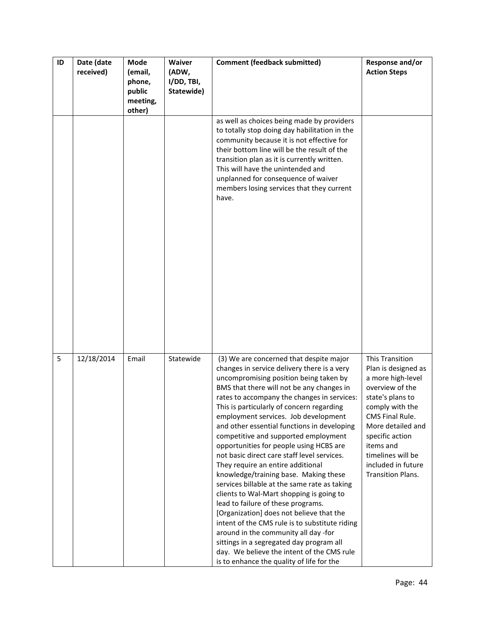| ID | Date (date<br>received) | Mode<br>(email,<br>phone,<br>public<br>meeting, | Waiver<br>(ADW,<br>I/DD, TBI,<br>Statewide) | <b>Comment (feedback submitted)</b>                                                                                                                                                                                                                                                                                                                                                                                                                                                                                                                                                                                                                                                                                                                                                                                                                                                                                                                                                             | Response and/or<br><b>Action Steps</b>                                                                                                                                                                                                                        |
|----|-------------------------|-------------------------------------------------|---------------------------------------------|-------------------------------------------------------------------------------------------------------------------------------------------------------------------------------------------------------------------------------------------------------------------------------------------------------------------------------------------------------------------------------------------------------------------------------------------------------------------------------------------------------------------------------------------------------------------------------------------------------------------------------------------------------------------------------------------------------------------------------------------------------------------------------------------------------------------------------------------------------------------------------------------------------------------------------------------------------------------------------------------------|---------------------------------------------------------------------------------------------------------------------------------------------------------------------------------------------------------------------------------------------------------------|
|    |                         | other)                                          |                                             | as well as choices being made by providers<br>to totally stop doing day habilitation in the<br>community because it is not effective for<br>their bottom line will be the result of the<br>transition plan as it is currently written.<br>This will have the unintended and<br>unplanned for consequence of waiver<br>members losing services that they current<br>have.                                                                                                                                                                                                                                                                                                                                                                                                                                                                                                                                                                                                                        |                                                                                                                                                                                                                                                               |
| 5  | 12/18/2014              | Email                                           | Statewide                                   | (3) We are concerned that despite major<br>changes in service delivery there is a very<br>uncompromising position being taken by<br>BMS that there will not be any changes in<br>rates to accompany the changes in services:<br>This is particularly of concern regarding<br>employment services. Job development<br>and other essential functions in developing<br>competitive and supported employment<br>opportunities for people using HCBS are<br>not basic direct care staff level services.<br>They require an entire additional<br>knowledge/training base. Making these<br>services billable at the same rate as taking<br>clients to Wal-Mart shopping is going to<br>lead to failure of these programs.<br>[Organization] does not believe that the<br>intent of the CMS rule is to substitute riding<br>around in the community all day -for<br>sittings in a segregated day program all<br>day. We believe the intent of the CMS rule<br>is to enhance the quality of life for the | This Transition<br>Plan is designed as<br>a more high-level<br>overview of the<br>state's plans to<br>comply with the<br>CMS Final Rule.<br>More detailed and<br>specific action<br>items and<br>timelines will be<br>included in future<br>Transition Plans. |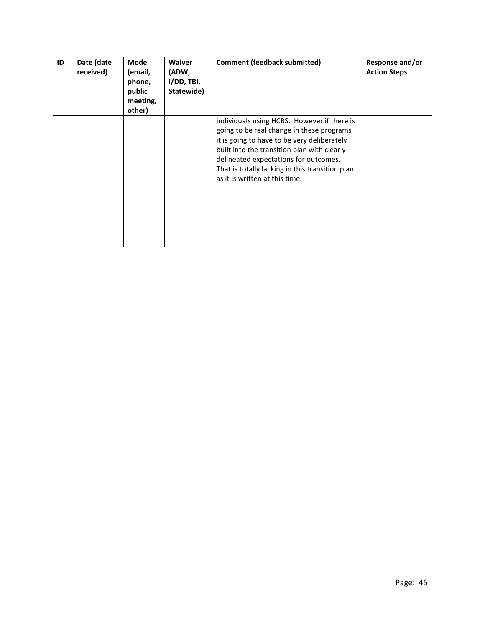| ID | Date (date<br>received) | Mode<br>(email,<br>phone,<br>public<br>meeting,<br>other) | <b>Waiver</b><br>(ADW,<br>I/DD, THI,<br>Statewide) | <b>Comment (feedback submitted)</b>                                                                                                                                                                                                                                                                                  | Response and/or<br><b>Action Steps</b> |
|----|-------------------------|-----------------------------------------------------------|----------------------------------------------------|----------------------------------------------------------------------------------------------------------------------------------------------------------------------------------------------------------------------------------------------------------------------------------------------------------------------|----------------------------------------|
|    |                         |                                                           |                                                    | individuals using HCBS. However if there is<br>going to be real change in these programs<br>it is going to have to be very deliberately<br>built into the transition plan with clear y<br>delineated expectations for outcomes.<br>That is totally lacking in this transition plan<br>as it is written at this time. |                                        |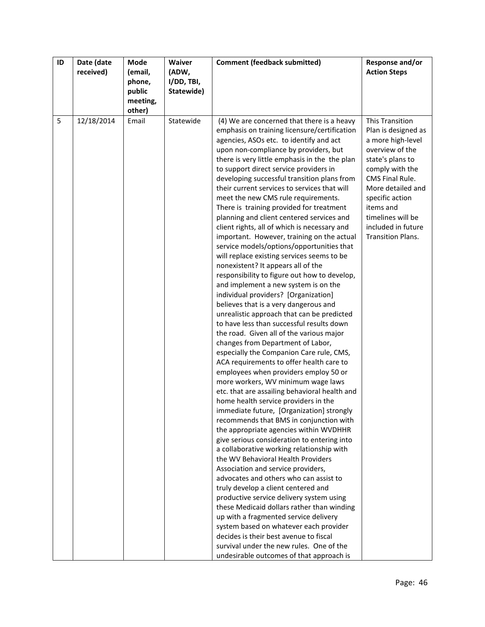| ID | Date (date | Mode     | <b>Waiver</b> | <b>Comment (feedback submitted)</b>                                                     | Response and/or        |
|----|------------|----------|---------------|-----------------------------------------------------------------------------------------|------------------------|
|    | received)  | (email,  | (ADW,         |                                                                                         | <b>Action Steps</b>    |
|    |            | phone,   | I/DD, TBI,    |                                                                                         |                        |
|    |            | public   | Statewide)    |                                                                                         |                        |
|    |            | meeting, |               |                                                                                         |                        |
|    |            | other)   |               |                                                                                         |                        |
| 5  | 12/18/2014 | Email    | Statewide     | (4) We are concerned that there is a heavy                                              | <b>This Transition</b> |
|    |            |          |               | emphasis on training licensure/certification                                            | Plan is designed as    |
|    |            |          |               | agencies, ASOs etc. to identify and act                                                 | a more high-level      |
|    |            |          |               | upon non-compliance by providers, but                                                   | overview of the        |
|    |            |          |               | there is very little emphasis in the the plan                                           | state's plans to       |
|    |            |          |               | to support direct service providers in                                                  | comply with the        |
|    |            |          |               | developing successful transition plans from                                             | <b>CMS Final Rule.</b> |
|    |            |          |               | their current services to services that will                                            | More detailed and      |
|    |            |          |               | meet the new CMS rule requirements.                                                     | specific action        |
|    |            |          |               | There is training provided for treatment                                                | items and              |
|    |            |          |               | planning and client centered services and                                               | timelines will be      |
|    |            |          |               | client rights, all of which is necessary and                                            | included in future     |
|    |            |          |               | important. However, training on the actual                                              | Transition Plans.      |
|    |            |          |               | service models/options/opportunities that                                               |                        |
|    |            |          |               | will replace existing services seems to be                                              |                        |
|    |            |          |               | nonexistent? It appears all of the                                                      |                        |
|    |            |          |               | responsibility to figure out how to develop,                                            |                        |
|    |            |          |               | and implement a new system is on the                                                    |                        |
|    |            |          |               | individual providers? [Organization]                                                    |                        |
|    |            |          |               | believes that is a very dangerous and                                                   |                        |
|    |            |          |               | unrealistic approach that can be predicted<br>to have less than successful results down |                        |
|    |            |          |               | the road. Given all of the various major                                                |                        |
|    |            |          |               | changes from Department of Labor,                                                       |                        |
|    |            |          |               | especially the Companion Care rule, CMS,                                                |                        |
|    |            |          |               | ACA requirements to offer health care to                                                |                        |
|    |            |          |               | employees when providers employ 50 or                                                   |                        |
|    |            |          |               | more workers, WV minimum wage laws                                                      |                        |
|    |            |          |               | etc. that are assailing behavioral health and                                           |                        |
|    |            |          |               | home health service providers in the                                                    |                        |
|    |            |          |               | immediate future, [Organization] strongly                                               |                        |
|    |            |          |               | recommends that BMS in conjunction with                                                 |                        |
|    |            |          |               | the appropriate agencies within WVDHHR                                                  |                        |
|    |            |          |               | give serious consideration to entering into                                             |                        |
|    |            |          |               | a collaborative working relationship with                                               |                        |
|    |            |          |               | the WV Behavioral Health Providers                                                      |                        |
|    |            |          |               | Association and service providers,                                                      |                        |
|    |            |          |               | advocates and others who can assist to                                                  |                        |
|    |            |          |               | truly develop a client centered and                                                     |                        |
|    |            |          |               | productive service delivery system using                                                |                        |
|    |            |          |               | these Medicaid dollars rather than winding                                              |                        |
|    |            |          |               | up with a fragmented service delivery                                                   |                        |
|    |            |          |               | system based on whatever each provider                                                  |                        |
|    |            |          |               | decides is their best avenue to fiscal<br>survival under the new rules. One of the      |                        |
|    |            |          |               | undesirable outcomes of that approach is                                                |                        |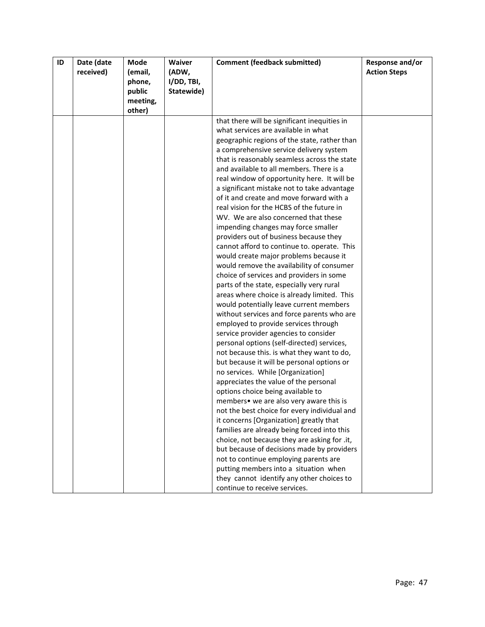| ID | Date (date | <b>Mode</b> | Waiver     | <b>Comment (feedback submitted)</b>                                                 | Response and/or     |
|----|------------|-------------|------------|-------------------------------------------------------------------------------------|---------------------|
|    | received)  | (email,     | (ADW,      |                                                                                     | <b>Action Steps</b> |
|    |            | phone,      | I/DD, TBI, |                                                                                     |                     |
|    |            | public      | Statewide) |                                                                                     |                     |
|    |            | meeting,    |            |                                                                                     |                     |
|    |            | other)      |            |                                                                                     |                     |
|    |            |             |            | that there will be significant inequities in<br>what services are available in what |                     |
|    |            |             |            | geographic regions of the state, rather than                                        |                     |
|    |            |             |            | a comprehensive service delivery system                                             |                     |
|    |            |             |            | that is reasonably seamless across the state                                        |                     |
|    |            |             |            | and available to all members. There is a                                            |                     |
|    |            |             |            | real window of opportunity here. It will be                                         |                     |
|    |            |             |            | a significant mistake not to take advantage                                         |                     |
|    |            |             |            | of it and create and move forward with a                                            |                     |
|    |            |             |            | real vision for the HCBS of the future in                                           |                     |
|    |            |             |            | WV. We are also concerned that these                                                |                     |
|    |            |             |            | impending changes may force smaller                                                 |                     |
|    |            |             |            | providers out of business because they                                              |                     |
|    |            |             |            | cannot afford to continue to. operate. This                                         |                     |
|    |            |             |            | would create major problems because it                                              |                     |
|    |            |             |            | would remove the availability of consumer                                           |                     |
|    |            |             |            | choice of services and providers in some                                            |                     |
|    |            |             |            | parts of the state, especially very rural                                           |                     |
|    |            |             |            | areas where choice is already limited. This                                         |                     |
|    |            |             |            | would potentially leave current members                                             |                     |
|    |            |             |            | without services and force parents who are                                          |                     |
|    |            |             |            | employed to provide services through                                                |                     |
|    |            |             |            | service provider agencies to consider                                               |                     |
|    |            |             |            | personal options (self-directed) services,                                          |                     |
|    |            |             |            | not because this. is what they want to do,                                          |                     |
|    |            |             |            | but because it will be personal options or                                          |                     |
|    |            |             |            | no services. While [Organization]                                                   |                     |
|    |            |             |            | appreciates the value of the personal                                               |                     |
|    |            |             |            | options choice being available to                                                   |                     |
|    |            |             |            | members• we are also very aware this is                                             |                     |
|    |            |             |            | not the best choice for every individual and                                        |                     |
|    |            |             |            | it concerns [Organization] greatly that                                             |                     |
|    |            |             |            | families are already being forced into this                                         |                     |
|    |            |             |            | choice, not because they are asking for .it,                                        |                     |
|    |            |             |            | but because of decisions made by providers                                          |                     |
|    |            |             |            | not to continue employing parents are                                               |                     |
|    |            |             |            | putting members into a situation when                                               |                     |
|    |            |             |            | they cannot identify any other choices to                                           |                     |
|    |            |             |            | continue to receive services.                                                       |                     |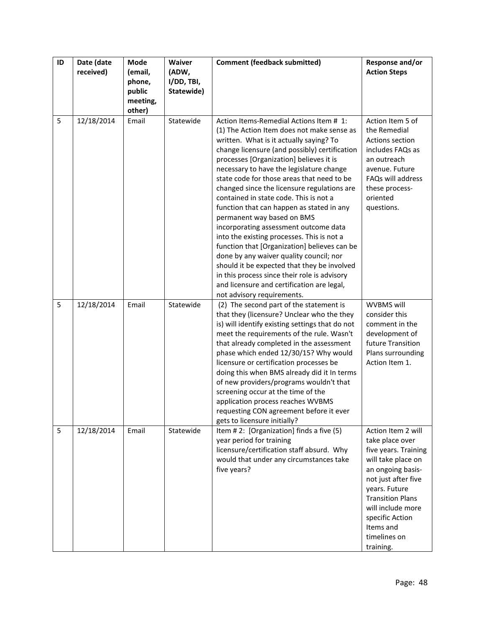| ID | Date (date<br>received) | Mode<br>(email,<br>phone,    | Waiver<br>(ADW,<br>I/DD, TBI, | <b>Comment (feedback submitted)</b>                                                                                                                                                                                                                                                                                                                                                                                                                                                                                                                                                                                                                                                                                                                                                                                                                     | Response and/or<br><b>Action Steps</b>                                                                                                                                                                                                                        |
|----|-------------------------|------------------------------|-------------------------------|---------------------------------------------------------------------------------------------------------------------------------------------------------------------------------------------------------------------------------------------------------------------------------------------------------------------------------------------------------------------------------------------------------------------------------------------------------------------------------------------------------------------------------------------------------------------------------------------------------------------------------------------------------------------------------------------------------------------------------------------------------------------------------------------------------------------------------------------------------|---------------------------------------------------------------------------------------------------------------------------------------------------------------------------------------------------------------------------------------------------------------|
|    |                         | public<br>meeting,<br>other) | Statewide)                    |                                                                                                                                                                                                                                                                                                                                                                                                                                                                                                                                                                                                                                                                                                                                                                                                                                                         |                                                                                                                                                                                                                                                               |
| 5  | 12/18/2014              | Email                        | Statewide                     | Action Items-Remedial Actions Item # 1:<br>(1) The Action Item does not make sense as<br>written. What is it actually saying? To<br>change licensure (and possibly) certification<br>processes [Organization] believes it is<br>necessary to have the legislature change<br>state code for those areas that need to be<br>changed since the licensure regulations are<br>contained in state code. This is not a<br>function that can happen as stated in any<br>permanent way based on BMS<br>incorporating assessment outcome data<br>into the existing processes. This is not a<br>function that [Organization] believes can be<br>done by any waiver quality council; nor<br>should it be expected that they be involved<br>in this process since their role is advisory<br>and licensure and certification are legal,<br>not advisory requirements. | Action Item 5 of<br>the Remedial<br>Actions section<br>includes FAQs as<br>an outreach<br>avenue. Future<br>FAQs will address<br>these process-<br>oriented<br>questions.                                                                                     |
| 5  | 12/18/2014              | Email                        | Statewide                     | (2) The second part of the statement is<br>that they (licensure? Unclear who the they<br>is) will identify existing settings that do not<br>meet the requirements of the rule. Wasn't<br>that already completed in the assessment<br>phase which ended 12/30/15? Why would<br>licensure or certification processes be<br>doing this when BMS already did it In terms<br>of new providers/programs wouldn't that<br>screening occur at the time of the<br>application process reaches WVBMS<br>requesting CON agreement before it ever<br>gets to licensure initially?                                                                                                                                                                                                                                                                                   | WVBMS will<br>consider this<br>comment in the<br>development of<br>future Transition<br>Plans surrounding<br>Action Item 1.                                                                                                                                   |
| 5  | 12/18/2014              | Email                        | Statewide                     | Item #2: [Organization] finds a five (5)<br>year period for training<br>licensure/certification staff absurd. Why<br>would that under any circumstances take<br>five years?                                                                                                                                                                                                                                                                                                                                                                                                                                                                                                                                                                                                                                                                             | Action Item 2 will<br>take place over<br>five years. Training<br>will take place on<br>an ongoing basis-<br>not just after five<br>years. Future<br><b>Transition Plans</b><br>will include more<br>specific Action<br>Items and<br>timelines on<br>training. |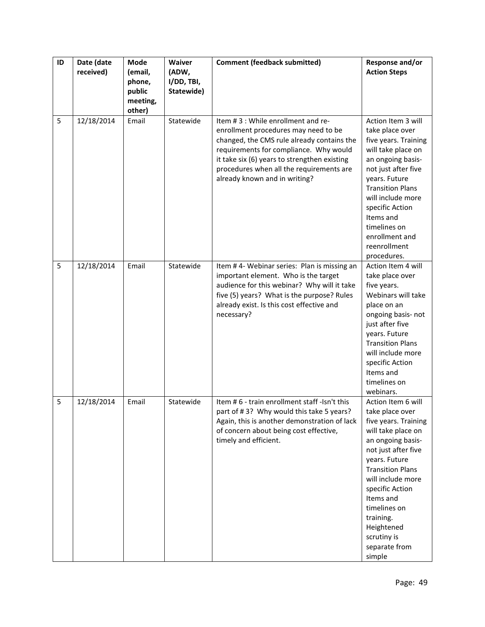| ID | Date (date<br>received) | Mode<br>(email,<br>phone,<br>public<br>meeting, | Waiver<br>(ADW,<br>I/DD, TBI,<br>Statewide) | <b>Comment (feedback submitted)</b>                                                                                                                                                                                                                                                             | Response and/or<br><b>Action Steps</b>                                                                                                                                                                                                                                                                                |
|----|-------------------------|-------------------------------------------------|---------------------------------------------|-------------------------------------------------------------------------------------------------------------------------------------------------------------------------------------------------------------------------------------------------------------------------------------------------|-----------------------------------------------------------------------------------------------------------------------------------------------------------------------------------------------------------------------------------------------------------------------------------------------------------------------|
| 5  | 12/18/2014              | other)<br>Email                                 | Statewide                                   | Item #3 : While enrollment and re-<br>enrollment procedures may need to be<br>changed, the CMS rule already contains the<br>requirements for compliance. Why would<br>it take six (6) years to strengthen existing<br>procedures when all the requirements are<br>already known and in writing? | Action Item 3 will<br>take place over<br>five years. Training<br>will take place on<br>an ongoing basis-<br>not just after five<br>years. Future<br><b>Transition Plans</b><br>will include more<br>specific Action<br>Items and<br>timelines on<br>enrollment and<br>reenrollment<br>procedures.                     |
| 5  | 12/18/2014              | Email                                           | Statewide                                   | Item #4- Webinar series: Plan is missing an<br>important element. Who is the target<br>audience for this webinar? Why will it take<br>five (5) years? What is the purpose? Rules<br>already exist. Is this cost effective and<br>necessary?                                                     | Action Item 4 will<br>take place over<br>five years.<br>Webinars will take<br>place on an<br>ongoing basis-not<br>just after five<br>years. Future<br><b>Transition Plans</b><br>will include more<br>specific Action<br>Items and<br>timelines on<br>webinars.                                                       |
| 5  | 12/18/2014              | Email                                           | Statewide                                   | Item #6 - train enrollment staff -Isn't this<br>part of #3? Why would this take 5 years?<br>Again, this is another demonstration of lack<br>of concern about being cost effective,<br>timely and efficient.                                                                                     | Action Item 6 will<br>take place over<br>five years. Training<br>will take place on<br>an ongoing basis-<br>not just after five<br>years. Future<br><b>Transition Plans</b><br>will include more<br>specific Action<br>Items and<br>timelines on<br>training.<br>Heightened<br>scrutiny is<br>separate from<br>simple |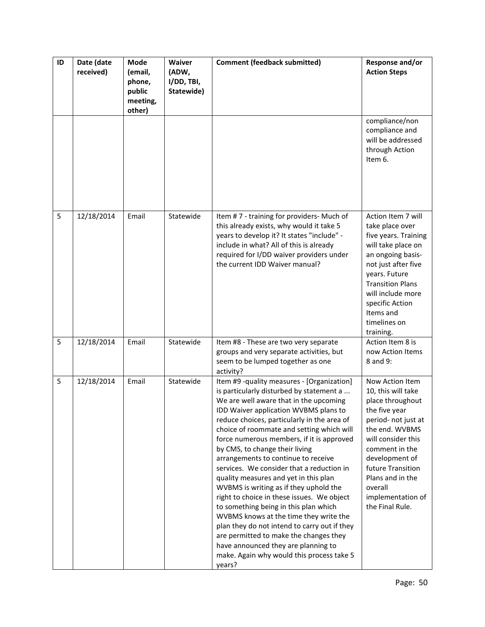| ID | Date (date<br>received) | Mode<br>(email,<br>phone,<br>public<br>meeting,<br>other) | Waiver<br>(ADW,<br>I/DD, TBI,<br>Statewide) | <b>Comment (feedback submitted)</b>                                                                                                                                                                                                                                                                                                                                                                                                                                                                                                                                                                                                                                                                                                                                                                                                                  | Response and/or<br><b>Action Steps</b>                                                                                                                                                                                                                                    |
|----|-------------------------|-----------------------------------------------------------|---------------------------------------------|------------------------------------------------------------------------------------------------------------------------------------------------------------------------------------------------------------------------------------------------------------------------------------------------------------------------------------------------------------------------------------------------------------------------------------------------------------------------------------------------------------------------------------------------------------------------------------------------------------------------------------------------------------------------------------------------------------------------------------------------------------------------------------------------------------------------------------------------------|---------------------------------------------------------------------------------------------------------------------------------------------------------------------------------------------------------------------------------------------------------------------------|
|    |                         |                                                           |                                             |                                                                                                                                                                                                                                                                                                                                                                                                                                                                                                                                                                                                                                                                                                                                                                                                                                                      | compliance/non<br>compliance and<br>will be addressed<br>through Action<br>Item 6.                                                                                                                                                                                        |
| 5  | 12/18/2014              | Email                                                     | Statewide                                   | Item #7 - training for providers- Much of<br>this already exists, why would it take 5<br>years to develop it? It states "include" -<br>include in what? All of this is already<br>required for I/DD waiver providers under<br>the current IDD Waiver manual?                                                                                                                                                                                                                                                                                                                                                                                                                                                                                                                                                                                         | Action Item 7 will<br>take place over<br>five years. Training<br>will take place on<br>an ongoing basis-<br>not just after five<br>years. Future<br><b>Transition Plans</b><br>will include more<br>specific Action<br>Items and<br>timelines on<br>training.             |
| 5  | 12/18/2014              | Email                                                     | Statewide                                   | Item #8 - These are two very separate<br>groups and very separate activities, but<br>seem to be lumped together as one<br>activity?                                                                                                                                                                                                                                                                                                                                                                                                                                                                                                                                                                                                                                                                                                                  | Action Item 8 is<br>now Action Items<br>8 and 9:                                                                                                                                                                                                                          |
| 5  | 12/18/2014              | Email                                                     | Statewide                                   | Item #9 -quality measures - [Organization]<br>is particularly disturbed by statement a<br>We are well aware that in the upcoming<br>IDD Waiver application WVBMS plans to<br>reduce choices, particularly in the area of<br>choice of roommate and setting which will<br>force numerous members, if it is approved<br>by CMS, to change their living<br>arrangements to continue to receive<br>services. We consider that a reduction in<br>quality measures and yet in this plan<br>WVBMS is writing as if they uphold the<br>right to choice in these issues. We object<br>to something being in this plan which<br>WVBMS knows at the time they write the<br>plan they do not intend to carry out if they<br>are permitted to make the changes they<br>have announced they are planning to<br>make. Again why would this process take 5<br>years? | Now Action Item<br>10, this will take<br>place throughout<br>the five year<br>period- not just at<br>the end. WVBMS<br>will consider this<br>comment in the<br>development of<br>future Transition<br>Plans and in the<br>overall<br>implementation of<br>the Final Rule. |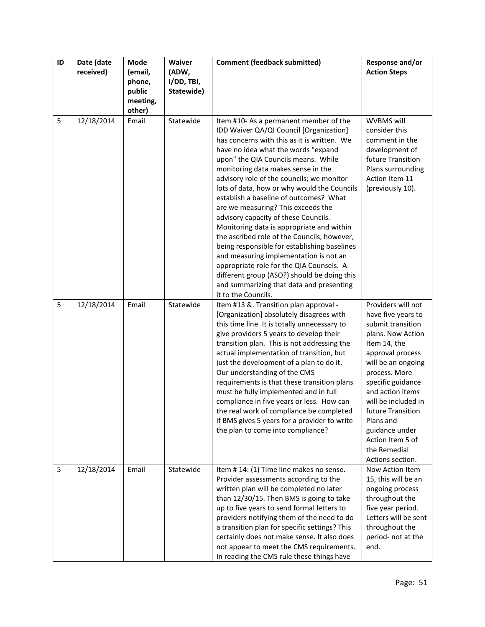| ID | Date (date<br>received) | Mode<br>(email,<br>phone,<br>public<br>meeting, | Waiver<br>(ADW,<br>I/DD, TBI,<br>Statewide) | <b>Comment (feedback submitted)</b>                                                                                                                                                                                                                                                                                                                                                                                                                                                                                                                                                                                                                                                                                                                      | Response and/or<br><b>Action Steps</b>                                                                                                                                                                                                                                                                                                    |
|----|-------------------------|-------------------------------------------------|---------------------------------------------|----------------------------------------------------------------------------------------------------------------------------------------------------------------------------------------------------------------------------------------------------------------------------------------------------------------------------------------------------------------------------------------------------------------------------------------------------------------------------------------------------------------------------------------------------------------------------------------------------------------------------------------------------------------------------------------------------------------------------------------------------------|-------------------------------------------------------------------------------------------------------------------------------------------------------------------------------------------------------------------------------------------------------------------------------------------------------------------------------------------|
| 5  | 12/18/2014              | other)<br>Email                                 | Statewide                                   | Item #10-As a permanent member of the<br>IDD Waiver QA/QI Council [Organization]<br>has concerns with this as it is written. We<br>have no idea what the words "expand<br>upon" the QIA Councils means. While<br>monitoring data makes sense in the<br>advisory role of the councils; we monitor<br>lots of data, how or why would the Councils<br>establish a baseline of outcomes? What<br>are we measuring? This exceeds the<br>advisory capacity of these Councils.<br>Monitoring data is appropriate and within<br>the ascribed role of the Councils, however,<br>being responsible for establishing baselines<br>and measuring implementation is not an<br>appropriate role for the QIA Counsels. A<br>different group (ASO?) should be doing this | WVBMS will<br>consider this<br>comment in the<br>development of<br>future Transition<br>Plans surrounding<br>Action Item 11<br>(previously 10).                                                                                                                                                                                           |
|    |                         |                                                 |                                             | and summarizing that data and presenting<br>it to the Councils.                                                                                                                                                                                                                                                                                                                                                                                                                                                                                                                                                                                                                                                                                          |                                                                                                                                                                                                                                                                                                                                           |
| 5  | 12/18/2014              | Email                                           | Statewide                                   | Item #13 &. Transition plan approval -<br>[Organization] absolutely disagrees with<br>this time line. It is totally unnecessary to<br>give providers 5 years to develop their<br>transition plan. This is not addressing the<br>actual implementation of transition, but<br>just the development of a plan to do it.<br>Our understanding of the CMS<br>requirements is that these transition plans<br>must be fully implemented and in full<br>compliance in five years or less. How can<br>the real work of compliance be completed<br>if BMS gives 5 years for a provider to write<br>the plan to come into compliance?                                                                                                                               | Providers will not<br>have five years to<br>submit transition<br>plans. Now Action<br>Item 14, the<br>approval process<br>will be an ongoing<br>process. More<br>specific guidance<br>and action items<br>will be included in<br>future Transition<br>Plans and<br>guidance under<br>Action Item 5 of<br>the Remedial<br>Actions section. |
| 5  | 12/18/2014              | Email                                           | Statewide                                   | Item #14: (1) Time line makes no sense.<br>Provider assessments according to the<br>written plan will be completed no later<br>than 12/30/15. Then BMS is going to take<br>up to five years to send formal letters to<br>providers notifying them of the need to do<br>a transition plan for specific settings? This<br>certainly does not make sense. It also does<br>not appear to meet the CMS requirements.<br>In reading the CMS rule these things have                                                                                                                                                                                                                                                                                             | Now Action Item<br>15, this will be an<br>ongoing process<br>throughout the<br>five year period.<br>Letters will be sent<br>throughout the<br>period- not at the<br>end.                                                                                                                                                                  |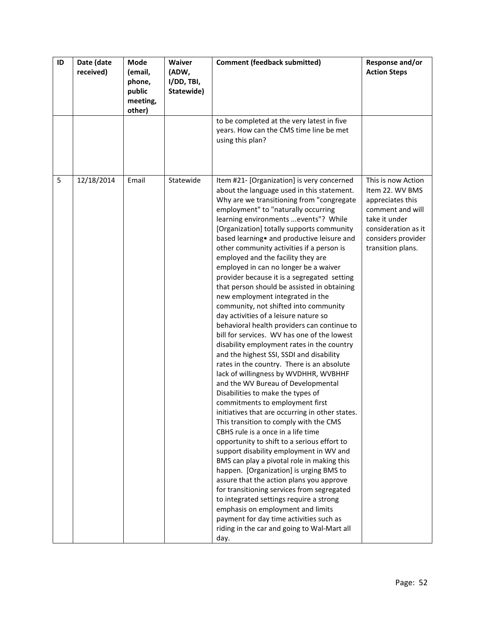| ID | Date (date<br>received) | <b>Mode</b><br>(email,<br>phone,<br>public<br>meeting,<br>other) | Waiver<br>(ADW,<br>I/DD, TBI,<br>Statewide) | <b>Comment (feedback submitted)</b>                                                                                                                                                                                                                                                                                                                                                                                                                                                                                                                                                                                                                                                                                                                                                                                                                                                                                                                                                                                                                                                                                                                                                                                                                                                                                                                                                                                                                                                                                                                                                                                                                             | Response and/or<br><b>Action Steps</b>                                                                                                                           |
|----|-------------------------|------------------------------------------------------------------|---------------------------------------------|-----------------------------------------------------------------------------------------------------------------------------------------------------------------------------------------------------------------------------------------------------------------------------------------------------------------------------------------------------------------------------------------------------------------------------------------------------------------------------------------------------------------------------------------------------------------------------------------------------------------------------------------------------------------------------------------------------------------------------------------------------------------------------------------------------------------------------------------------------------------------------------------------------------------------------------------------------------------------------------------------------------------------------------------------------------------------------------------------------------------------------------------------------------------------------------------------------------------------------------------------------------------------------------------------------------------------------------------------------------------------------------------------------------------------------------------------------------------------------------------------------------------------------------------------------------------------------------------------------------------------------------------------------------------|------------------------------------------------------------------------------------------------------------------------------------------------------------------|
|    |                         |                                                                  |                                             | to be completed at the very latest in five<br>years. How can the CMS time line be met<br>using this plan?                                                                                                                                                                                                                                                                                                                                                                                                                                                                                                                                                                                                                                                                                                                                                                                                                                                                                                                                                                                                                                                                                                                                                                                                                                                                                                                                                                                                                                                                                                                                                       |                                                                                                                                                                  |
| 5  | 12/18/2014              | Email                                                            | Statewide                                   | Item #21- [Organization] is very concerned<br>about the language used in this statement.<br>Why are we transitioning from "congregate<br>employment" to "naturally occurring<br>learning environments events"? While<br>[Organization] totally supports community<br>based learning • and productive leisure and<br>other community activities if a person is<br>employed and the facility they are<br>employed in can no longer be a waiver<br>provider because it is a segregated setting<br>that person should be assisted in obtaining<br>new employment integrated in the<br>community, not shifted into community<br>day activities of a leisure nature so<br>behavioral health providers can continue to<br>bill for services. WV has one of the lowest<br>disability employment rates in the country<br>and the highest SSI, SSDI and disability<br>rates in the country. There is an absolute<br>lack of willingness by WVDHHR, WVBHHF<br>and the WV Bureau of Developmental<br>Disabilities to make the types of<br>commitments to employment first<br>initiatives that are occurring in other states.<br>This transition to comply with the CMS<br>CBHS rule is a once in a life time<br>opportunity to shift to a serious effort to<br>support disability employment in WV and<br>BMS can play a pivotal role in making this<br>happen. [Organization] is urging BMS to<br>assure that the action plans you approve<br>for transitioning services from segregated<br>to integrated settings require a strong<br>emphasis on employment and limits<br>payment for day time activities such as<br>riding in the car and going to Wal-Mart all<br>day. | This is now Action<br>Item 22. WV BMS<br>appreciates this<br>comment and will<br>take it under<br>consideration as it<br>considers provider<br>transition plans. |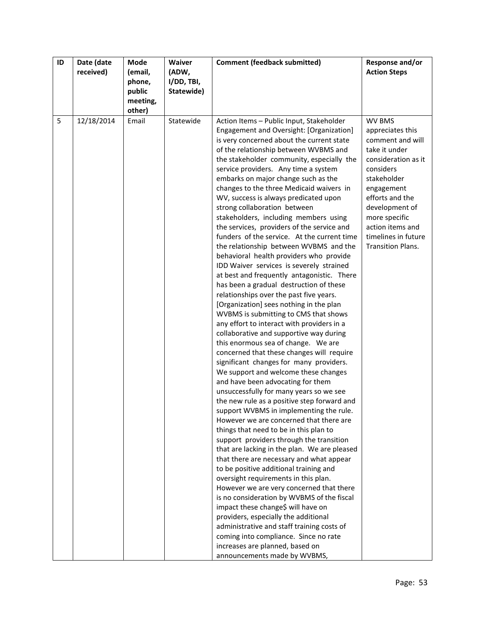| ID | Date (date | Mode     | Waiver     | <b>Comment (feedback submitted)</b>                                                  | Response and/or          |
|----|------------|----------|------------|--------------------------------------------------------------------------------------|--------------------------|
|    | received)  | (email,  | (ADW,      |                                                                                      | <b>Action Steps</b>      |
|    |            | phone,   | I/DD, TBI, |                                                                                      |                          |
|    |            | public   | Statewide) |                                                                                      |                          |
|    |            | meeting, |            |                                                                                      |                          |
|    |            | other)   |            |                                                                                      |                          |
| 5  | 12/18/2014 | Email    | Statewide  | Action Items - Public Input, Stakeholder                                             | WV BMS                   |
|    |            |          |            | Engagement and Oversight: [Organization]                                             | appreciates this         |
|    |            |          |            | is very concerned about the current state                                            | comment and will         |
|    |            |          |            | of the relationship between WVBMS and                                                | take it under            |
|    |            |          |            | the stakeholder community, especially the                                            | consideration as it      |
|    |            |          |            | service providers. Any time a system                                                 | considers                |
|    |            |          |            | embarks on major change such as the                                                  | stakeholder              |
|    |            |          |            | changes to the three Medicaid waivers in                                             | engagement               |
|    |            |          |            | WV, success is always predicated upon                                                | efforts and the          |
|    |            |          |            | strong collaboration between                                                         | development of           |
|    |            |          |            | stakeholders, including members using                                                | more specific            |
|    |            |          |            | the services, providers of the service and                                           | action items and         |
|    |            |          |            | funders of the service. At the current time                                          | timelines in future      |
|    |            |          |            | the relationship between WVBMS and the                                               | <b>Transition Plans.</b> |
|    |            |          |            | behavioral health providers who provide                                              |                          |
|    |            |          |            | IDD Waiver services is severely strained                                             |                          |
|    |            |          |            | at best and frequently antagonistic. There                                           |                          |
|    |            |          |            | has been a gradual destruction of these                                              |                          |
|    |            |          |            | relationships over the past five years.                                              |                          |
|    |            |          |            | [Organization] sees nothing in the plan                                              |                          |
|    |            |          |            | WVBMS is submitting to CMS that shows                                                |                          |
|    |            |          |            | any effort to interact with providers in a                                           |                          |
|    |            |          |            | collaborative and supportive way during                                              |                          |
|    |            |          |            | this enormous sea of change. We are                                                  |                          |
|    |            |          |            | concerned that these changes will require<br>significant changes for many providers. |                          |
|    |            |          |            | We support and welcome these changes                                                 |                          |
|    |            |          |            | and have been advocating for them                                                    |                          |
|    |            |          |            | unsuccessfully for many years so we see                                              |                          |
|    |            |          |            | the new rule as a positive step forward and                                          |                          |
|    |            |          |            | support WVBMS in implementing the rule.                                              |                          |
|    |            |          |            | However we are concerned that there are                                              |                          |
|    |            |          |            | things that need to be in this plan to                                               |                          |
|    |            |          |            | support providers through the transition                                             |                          |
|    |            |          |            | that are lacking in the plan. We are pleased                                         |                          |
|    |            |          |            | that there are necessary and what appear                                             |                          |
|    |            |          |            | to be positive additional training and                                               |                          |
|    |            |          |            | oversight requirements in this plan.                                                 |                          |
|    |            |          |            | However we are very concerned that there                                             |                          |
|    |            |          |            | is no consideration by WVBMS of the fiscal                                           |                          |
|    |            |          |            | impact these change\$ will have on                                                   |                          |
|    |            |          |            | providers, especially the additional                                                 |                          |
|    |            |          |            | administrative and staff training costs of                                           |                          |
|    |            |          |            | coming into compliance. Since no rate                                                |                          |
|    |            |          |            | increases are planned, based on                                                      |                          |
|    |            |          |            | announcements made by WVBMS,                                                         |                          |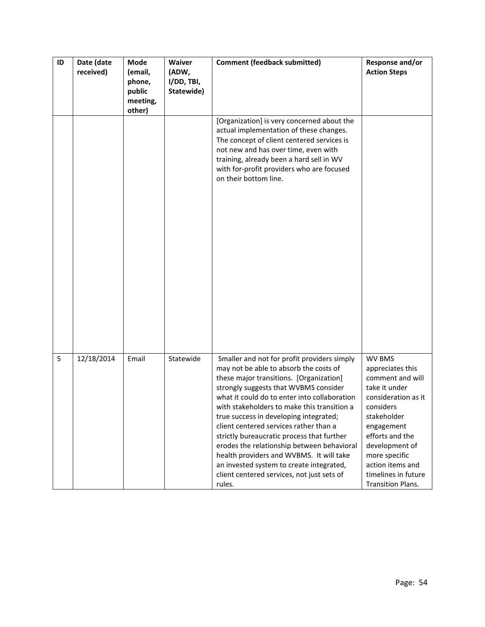| ID | Date (date<br>received) | Mode<br>(email,<br>phone,<br>public<br>meeting, | Waiver<br>(ADW,<br>I/DD, TBI,<br>Statewide) | <b>Comment (feedback submitted)</b>                                                                                                                                                                                                                                                                                                                                                                                                                                                                                                                                                                      | Response and/or<br><b>Action Steps</b>                                                                                                                                                                                                                               |
|----|-------------------------|-------------------------------------------------|---------------------------------------------|----------------------------------------------------------------------------------------------------------------------------------------------------------------------------------------------------------------------------------------------------------------------------------------------------------------------------------------------------------------------------------------------------------------------------------------------------------------------------------------------------------------------------------------------------------------------------------------------------------|----------------------------------------------------------------------------------------------------------------------------------------------------------------------------------------------------------------------------------------------------------------------|
|    |                         | other)                                          |                                             | [Organization] is very concerned about the<br>actual implementation of these changes.<br>The concept of client centered services is<br>not new and has over time, even with<br>training, already been a hard sell in WV<br>with for-profit providers who are focused<br>on their bottom line.                                                                                                                                                                                                                                                                                                            |                                                                                                                                                                                                                                                                      |
|    |                         |                                                 |                                             |                                                                                                                                                                                                                                                                                                                                                                                                                                                                                                                                                                                                          |                                                                                                                                                                                                                                                                      |
| 5  | 12/18/2014              | Email                                           | Statewide                                   | Smaller and not for profit providers simply<br>may not be able to absorb the costs of<br>these major transitions. [Organization]<br>strongly suggests that WVBMS consider<br>what it could do to enter into collaboration<br>with stakeholders to make this transition a<br>true success in developing integrated;<br>client centered services rather than a<br>strictly bureaucratic process that further<br>erodes the relationship between behavioral<br>health providers and WVBMS. It will take<br>an invested system to create integrated,<br>client centered services, not just sets of<br>rules. | <b>WV BMS</b><br>appreciates this<br>comment and will<br>take it under<br>consideration as it<br>considers<br>stakeholder<br>engagement<br>efforts and the<br>development of<br>more specific<br>action items and<br>timelines in future<br><b>Transition Plans.</b> |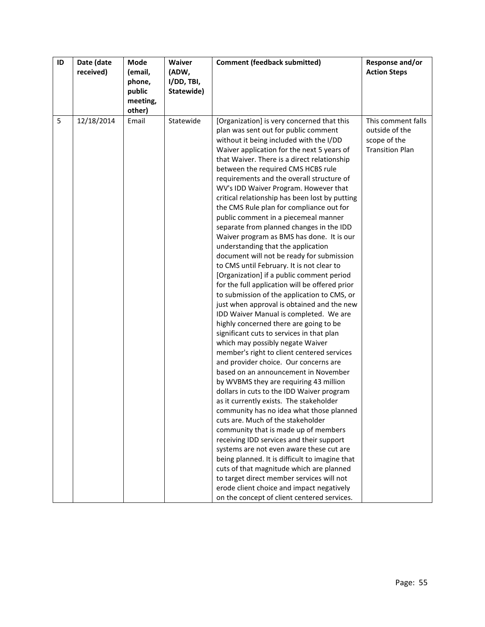| ID | Date (date<br>received) | Mode<br>(email, | Waiver<br>(ADW, | <b>Comment (feedback submitted)</b>                                                           | Response and/or<br><b>Action Steps</b> |
|----|-------------------------|-----------------|-----------------|-----------------------------------------------------------------------------------------------|----------------------------------------|
|    |                         | phone,          | I/DD, TBI,      |                                                                                               |                                        |
|    |                         | public          | Statewide)      |                                                                                               |                                        |
|    |                         | meeting,        |                 |                                                                                               |                                        |
| 5  | 12/18/2014              | other)<br>Email | Statewide       | [Organization] is very concerned that this                                                    | This comment falls                     |
|    |                         |                 |                 | plan was sent out for public comment                                                          | outside of the                         |
|    |                         |                 |                 | without it being included with the I/DD                                                       | scope of the                           |
|    |                         |                 |                 | Waiver application for the next 5 years of                                                    | <b>Transition Plan</b>                 |
|    |                         |                 |                 | that Waiver. There is a direct relationship                                                   |                                        |
|    |                         |                 |                 | between the required CMS HCBS rule                                                            |                                        |
|    |                         |                 |                 | requirements and the overall structure of                                                     |                                        |
|    |                         |                 |                 | WV's IDD Waiver Program. However that                                                         |                                        |
|    |                         |                 |                 | critical relationship has been lost by putting<br>the CMS Rule plan for compliance out for    |                                        |
|    |                         |                 |                 | public comment in a piecemeal manner                                                          |                                        |
|    |                         |                 |                 | separate from planned changes in the IDD                                                      |                                        |
|    |                         |                 |                 | Waiver program as BMS has done. It is our                                                     |                                        |
|    |                         |                 |                 | understanding that the application                                                            |                                        |
|    |                         |                 |                 | document will not be ready for submission                                                     |                                        |
|    |                         |                 |                 | to CMS until February. It is not clear to                                                     |                                        |
|    |                         |                 |                 | [Organization] if a public comment period                                                     |                                        |
|    |                         |                 |                 | for the full application will be offered prior<br>to submission of the application to CMS, or |                                        |
|    |                         |                 |                 | just when approval is obtained and the new                                                    |                                        |
|    |                         |                 |                 | IDD Waiver Manual is completed. We are                                                        |                                        |
|    |                         |                 |                 | highly concerned there are going to be                                                        |                                        |
|    |                         |                 |                 | significant cuts to services in that plan                                                     |                                        |
|    |                         |                 |                 | which may possibly negate Waiver                                                              |                                        |
|    |                         |                 |                 | member's right to client centered services                                                    |                                        |
|    |                         |                 |                 | and provider choice. Our concerns are                                                         |                                        |
|    |                         |                 |                 | based on an announcement in November<br>by WVBMS they are requiring 43 million                |                                        |
|    |                         |                 |                 | dollars in cuts to the IDD Waiver program                                                     |                                        |
|    |                         |                 |                 | as it currently exists. The stakeholder                                                       |                                        |
|    |                         |                 |                 | community has no idea what those planned                                                      |                                        |
|    |                         |                 |                 | cuts are. Much of the stakeholder                                                             |                                        |
|    |                         |                 |                 | community that is made up of members                                                          |                                        |
|    |                         |                 |                 | receiving IDD services and their support                                                      |                                        |
|    |                         |                 |                 | systems are not even aware these cut are                                                      |                                        |
|    |                         |                 |                 | being planned. It is difficult to imagine that                                                |                                        |
|    |                         |                 |                 | cuts of that magnitude which are planned<br>to target direct member services will not         |                                        |
|    |                         |                 |                 | erode client choice and impact negatively                                                     |                                        |
|    |                         |                 |                 | on the concept of client centered services.                                                   |                                        |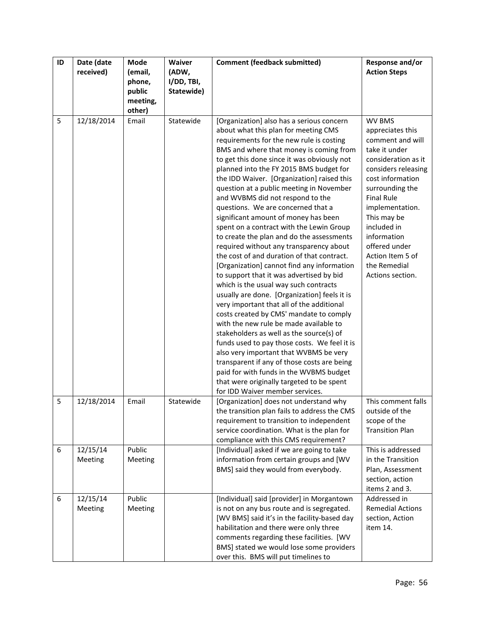| ID | Date (date                 | Mode                                              | Waiver                            | <b>Comment (feedback submitted)</b>                                                                                                                                                                                                                                                                                                                                                                                                                                                                                                                                                                                                                                                                                                                                                                                                                                                                                                                                                                                                                                                                                                                                                                                                                                                                   | Response and/or                                                                                                                                                                                                                                                                                                           |
|----|----------------------------|---------------------------------------------------|-----------------------------------|-------------------------------------------------------------------------------------------------------------------------------------------------------------------------------------------------------------------------------------------------------------------------------------------------------------------------------------------------------------------------------------------------------------------------------------------------------------------------------------------------------------------------------------------------------------------------------------------------------------------------------------------------------------------------------------------------------------------------------------------------------------------------------------------------------------------------------------------------------------------------------------------------------------------------------------------------------------------------------------------------------------------------------------------------------------------------------------------------------------------------------------------------------------------------------------------------------------------------------------------------------------------------------------------------------|---------------------------------------------------------------------------------------------------------------------------------------------------------------------------------------------------------------------------------------------------------------------------------------------------------------------------|
|    | received)                  | (email,<br>phone,<br>public<br>meeting,<br>other) | (ADW,<br>I/DD, TBI,<br>Statewide) |                                                                                                                                                                                                                                                                                                                                                                                                                                                                                                                                                                                                                                                                                                                                                                                                                                                                                                                                                                                                                                                                                                                                                                                                                                                                                                       | <b>Action Steps</b>                                                                                                                                                                                                                                                                                                       |
| 5  | 12/18/2014                 | Email                                             | Statewide                         | [Organization] also has a serious concern<br>about what this plan for meeting CMS<br>requirements for the new rule is costing<br>BMS and where that money is coming from<br>to get this done since it was obviously not<br>planned into the FY 2015 BMS budget for<br>the IDD Waiver. [Organization] raised this<br>question at a public meeting in November<br>and WVBMS did not respond to the<br>questions. We are concerned that a<br>significant amount of money has been<br>spent on a contract with the Lewin Group<br>to create the plan and do the assessments<br>required without any transparency about<br>the cost of and duration of that contract.<br>[Organization] cannot find any information<br>to support that it was advertised by bid<br>which is the usual way such contracts<br>usually are done. [Organization] feels it is<br>very important that all of the additional<br>costs created by CMS' mandate to comply<br>with the new rule be made available to<br>stakeholders as well as the source(s) of<br>funds used to pay those costs. We feel it is<br>also very important that WVBMS be very<br>transparent if any of those costs are being<br>paid for with funds in the WVBMS budget<br>that were originally targeted to be spent<br>for IDD Waiver member services. | <b>WV BMS</b><br>appreciates this<br>comment and will<br>take it under<br>consideration as it<br>considers releasing<br>cost information<br>surrounding the<br><b>Final Rule</b><br>implementation.<br>This may be<br>included in<br>information<br>offered under<br>Action Item 5 of<br>the Remedial<br>Actions section. |
| 5  | 12/18/2014                 | Email                                             | Statewide                         | [Organization] does not understand why<br>the transition plan fails to address the CMS<br>requirement to transition to independent<br>service coordination. What is the plan for<br>compliance with this CMS requirement?                                                                                                                                                                                                                                                                                                                                                                                                                                                                                                                                                                                                                                                                                                                                                                                                                                                                                                                                                                                                                                                                             | This comment falls<br>outside of the<br>scope of the<br><b>Transition Plan</b>                                                                                                                                                                                                                                            |
| 6  | 12/15/14<br><b>Meeting</b> | Public<br>Meeting                                 |                                   | [Individual] asked if we are going to take<br>information from certain groups and [WV<br>BMS] said they would from everybody.                                                                                                                                                                                                                                                                                                                                                                                                                                                                                                                                                                                                                                                                                                                                                                                                                                                                                                                                                                                                                                                                                                                                                                         | This is addressed<br>in the Transition<br>Plan, Assessment<br>section, action<br>items 2 and 3.                                                                                                                                                                                                                           |
| 6  | 12/15/14<br>Meeting        | Public<br>Meeting                                 |                                   | [Individual] said [provider] in Morgantown<br>is not on any bus route and is segregated.<br>[WV BMS] said it's in the facility-based day<br>habilitation and there were only three<br>comments regarding these facilities. [WV<br>BMS] stated we would lose some providers<br>over this. BMS will put timelines to                                                                                                                                                                                                                                                                                                                                                                                                                                                                                                                                                                                                                                                                                                                                                                                                                                                                                                                                                                                    | Addressed in<br><b>Remedial Actions</b><br>section, Action<br>item 14.                                                                                                                                                                                                                                                    |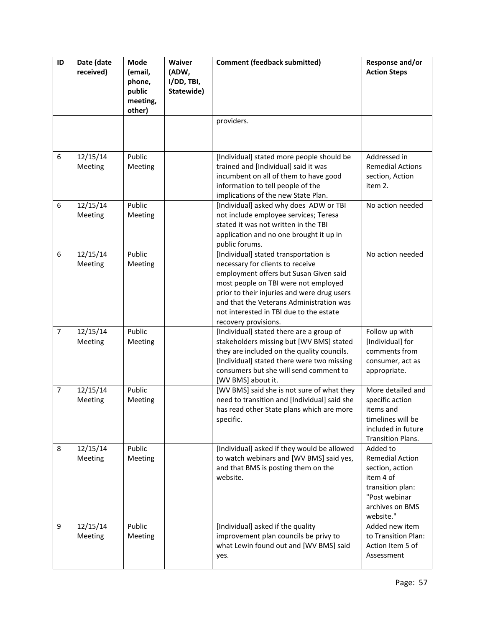| ID             | Date (date<br>received) | Mode<br>(email,<br>phone,<br>public<br>meeting,<br>other) | Waiver<br>(ADW,<br>I/DD, TBI,<br>Statewide) | <b>Comment (feedback submitted)</b>                                                                                                                                                                                                                                                                                       | Response and/or<br><b>Action Steps</b>                                                                                                  |
|----------------|-------------------------|-----------------------------------------------------------|---------------------------------------------|---------------------------------------------------------------------------------------------------------------------------------------------------------------------------------------------------------------------------------------------------------------------------------------------------------------------------|-----------------------------------------------------------------------------------------------------------------------------------------|
|                |                         |                                                           |                                             | providers.                                                                                                                                                                                                                                                                                                                |                                                                                                                                         |
| 6              | 12/15/14<br>Meeting     | Public<br>Meeting                                         |                                             | [Individual] stated more people should be<br>trained and [Individual] said it was<br>incumbent on all of them to have good<br>information to tell people of the<br>implications of the new State Plan.                                                                                                                    | Addressed in<br><b>Remedial Actions</b><br>section, Action<br>item 2.                                                                   |
| $6\,$          | 12/15/14<br>Meeting     | Public<br>Meeting                                         |                                             | [Individual] asked why does ADW or TBI<br>not include employee services; Teresa<br>stated it was not written in the TBI<br>application and no one brought it up in<br>public forums.                                                                                                                                      | No action needed                                                                                                                        |
| 6              | 12/15/14<br>Meeting     | Public<br>Meeting                                         |                                             | [Individual] stated transportation is<br>necessary for clients to receive<br>employment offers but Susan Given said<br>most people on TBI were not employed<br>prior to their injuries and were drug users<br>and that the Veterans Administration was<br>not interested in TBI due to the estate<br>recovery provisions. | No action needed                                                                                                                        |
| $\overline{7}$ | 12/15/14<br>Meeting     | Public<br>Meeting                                         |                                             | [Individual] stated there are a group of<br>stakeholders missing but [WV BMS] stated<br>they are included on the quality councils.<br>[Individual] stated there were two missing<br>consumers but she will send comment to<br>[WV BMS] about it.                                                                          | Follow up with<br>[Individual] for<br>comments from<br>consumer, act as<br>appropriate.                                                 |
| $\overline{7}$ | 12/15/14<br>Meeting     | Public<br>Meeting                                         |                                             | [WV BMS] said she is not sure of what they<br>need to transition and [Individual] said she<br>has read other State plans which are more<br>specific.                                                                                                                                                                      | More detailed and<br>specific action<br>items and<br>timelines will be<br>included in future<br>Transition Plans.                       |
| 8              | 12/15/14<br>Meeting     | Public<br>Meeting                                         |                                             | [Individual] asked if they would be allowed<br>to watch webinars and [WV BMS] said yes,<br>and that BMS is posting them on the<br>website.                                                                                                                                                                                | Added to<br><b>Remedial Action</b><br>section, action<br>item 4 of<br>transition plan:<br>"Post webinar<br>archives on BMS<br>website." |
| 9              | 12/15/14<br>Meeting     | Public<br>Meeting                                         |                                             | [Individual] asked if the quality<br>improvement plan councils be privy to<br>what Lewin found out and [WV BMS] said<br>yes.                                                                                                                                                                                              | Added new item<br>to Transition Plan:<br>Action Item 5 of<br>Assessment                                                                 |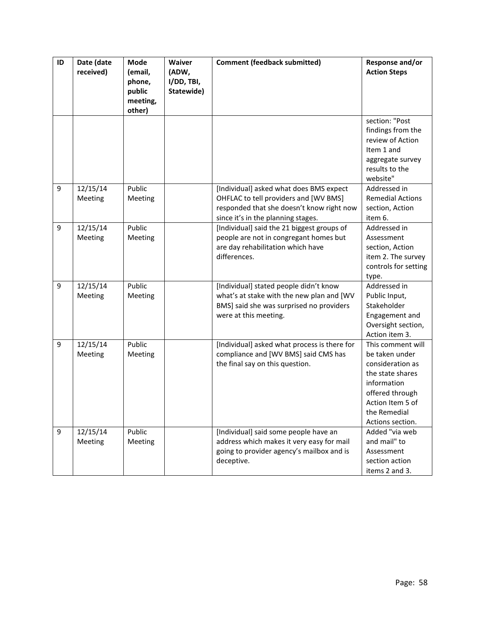| ID | Date (date<br>received) | Mode<br>(email,<br>phone,<br>public<br>meeting,<br>other) | Waiver<br>(ADW,<br>I/DD, TBI,<br>Statewide) | <b>Comment (feedback submitted)</b>                                                                                                                                 | Response and/or<br><b>Action Steps</b>                                                                                                                                |
|----|-------------------------|-----------------------------------------------------------|---------------------------------------------|---------------------------------------------------------------------------------------------------------------------------------------------------------------------|-----------------------------------------------------------------------------------------------------------------------------------------------------------------------|
|    |                         |                                                           |                                             |                                                                                                                                                                     | section: "Post<br>findings from the<br>review of Action<br>Item 1 and<br>aggregate survey<br>results to the<br>website"                                               |
| 9  | 12/15/14<br>Meeting     | Public<br>Meeting                                         |                                             | [Individual] asked what does BMS expect<br>OHFLAC to tell providers and [WV BMS]<br>responded that she doesn't know right now<br>since it's in the planning stages. | Addressed in<br><b>Remedial Actions</b><br>section, Action<br>item 6.                                                                                                 |
| 9  | 12/15/14<br>Meeting     | Public<br>Meeting                                         |                                             | [Individual] said the 21 biggest groups of<br>people are not in congregant homes but<br>are day rehabilitation which have<br>differences.                           | Addressed in<br>Assessment<br>section, Action<br>item 2. The survey<br>controls for setting<br>type.                                                                  |
| 9  | 12/15/14<br>Meeting     | Public<br>Meeting                                         |                                             | [Individual] stated people didn't know<br>what's at stake with the new plan and [WV<br>BMS] said she was surprised no providers<br>were at this meeting.            | Addressed in<br>Public Input,<br>Stakeholder<br>Engagement and<br>Oversight section,<br>Action item 3.                                                                |
| 9  | 12/15/14<br>Meeting     | Public<br>Meeting                                         |                                             | [Individual] asked what process is there for<br>compliance and [WV BMS] said CMS has<br>the final say on this question.                                             | This comment will<br>be taken under<br>consideration as<br>the state shares<br>information<br>offered through<br>Action Item 5 of<br>the Remedial<br>Actions section. |
| 9  | 12/15/14<br>Meeting     | Public<br>Meeting                                         |                                             | [Individual] said some people have an<br>address which makes it very easy for mail<br>going to provider agency's mailbox and is<br>deceptive.                       | Added "via web<br>and mail" to<br>Assessment<br>section action<br>items 2 and 3.                                                                                      |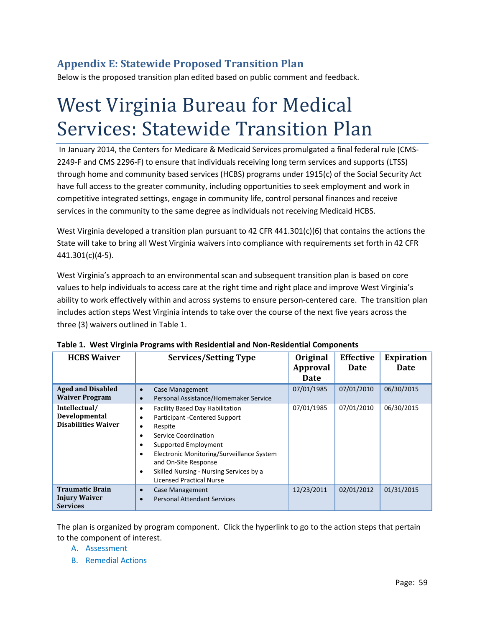## **Appendix E: Statewide Proposed Transition Plan**

Below is the proposed transition plan edited based on public comment and feedback.

# West Virginia Bureau for Medical Services: Statewide Transition Plan

In January 2014, the Centers for Medicare & Medicaid Services promulgated a final federal rule (CMS-2249-F and CMS 2296-F) to ensure that individuals receiving long term services and supports (LTSS) through home and community based services (HCBS) programs under 1915(c) of the Social Security Act have full access to the greater community, including opportunities to seek employment and work in competitive integrated settings, engage in community life, control personal finances and receive services in the community to the same degree as individuals not receiving Medicaid HCBS.

West Virginia developed a transition plan pursuant to 42 CFR 441.301(c)(6) that contains the actions the State will take to bring all West Virginia waivers into compliance with requirements set forth in 42 CFR 441.301(c)(4-5).

West Virginia's approach to an environmental scan and subsequent transition plan is based on core values to help individuals to access care at the right time and right place and improve West Virginia's ability to work effectively within and across systems to ensure person-centered care. The transition plan includes action steps West Virginia intends to take over the course of the next five years across the three (3) waivers outlined in Table 1.

| <b>HCBS Waiver</b>                                                | <b>Services/Setting Type</b>                                                                                                                                                                                                                                                                                              | Original<br><b>Approval</b><br><b>Date</b> | <b>Effective</b><br>Date | <b>Expiration</b><br>Date |
|-------------------------------------------------------------------|---------------------------------------------------------------------------------------------------------------------------------------------------------------------------------------------------------------------------------------------------------------------------------------------------------------------------|--------------------------------------------|--------------------------|---------------------------|
| <b>Aged and Disabled</b><br><b>Waiver Program</b>                 | Case Management<br>$\bullet$<br>Personal Assistance/Homemaker Service<br>$\bullet$                                                                                                                                                                                                                                        | 07/01/1985                                 | 07/01/2010               | 06/30/2015                |
| Intellectual/<br>Developmental<br><b>Disabilities Waiver</b>      | <b>Facility Based Day Habilitation</b><br>٠<br>Participant - Centered Support<br>٠<br>Respite<br>٠<br>Service Coordination<br>٠<br>Supported Employment<br>٠<br>Electronic Monitoring/Surveillance System<br>٠<br>and On-Site Response<br>Skilled Nursing - Nursing Services by a<br>٠<br><b>Licensed Practical Nurse</b> | 07/01/1985                                 | 07/01/2010               | 06/30/2015                |
| <b>Traumatic Brain</b><br><b>Injury Waiver</b><br><b>Services</b> | Case Management<br>$\bullet$<br><b>Personal Attendant Services</b>                                                                                                                                                                                                                                                        | 12/23/2011                                 | 02/01/2012               | 01/31/2015                |

|  |  | Table 1. West Virginia Programs with Residential and Non-Residential Components |  |
|--|--|---------------------------------------------------------------------------------|--|
|  |  |                                                                                 |  |

The plan is organized by program component. Click the hyperlink to go to the action steps that pertain to the component of interest.

- A. [Assessment](#page-59-0)
- B. [Remedial Actions](#page-59-1)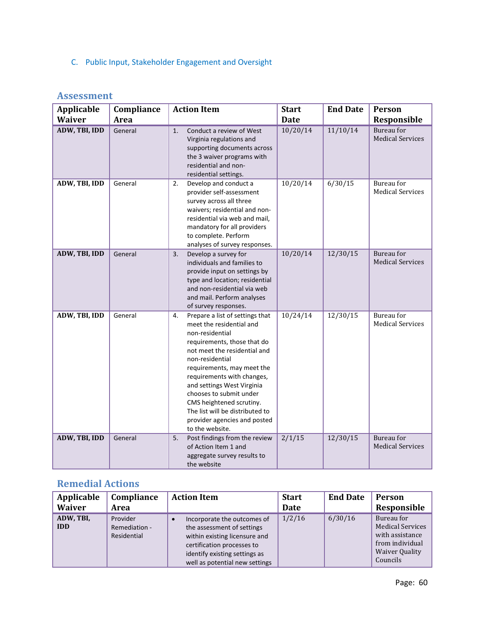<span id="page-59-0"></span>C. [Public Input, Stakeholder Engagement and Oversight](#page-63-0)

| <b>Assessment</b> |  |
|-------------------|--|
|                   |  |

| <b>Applicable</b> | Compliance | <b>Action Item</b>                                                                                                                                                                                                                                                                                                                                                                                            | <b>Start</b> | <b>End Date</b> | Person                                       |
|-------------------|------------|---------------------------------------------------------------------------------------------------------------------------------------------------------------------------------------------------------------------------------------------------------------------------------------------------------------------------------------------------------------------------------------------------------------|--------------|-----------------|----------------------------------------------|
| <b>Waiver</b>     | Area       |                                                                                                                                                                                                                                                                                                                                                                                                               | <b>Date</b>  |                 | Responsible                                  |
| ADW, TBI, IDD     | General    | Conduct a review of West<br>1.<br>Virginia regulations and<br>supporting documents across<br>the 3 waiver programs with<br>residential and non-<br>residential settings.                                                                                                                                                                                                                                      | 10/20/14     | 11/10/14        | Bureau for<br><b>Medical Services</b>        |
| ADW, TBI, IDD     | General    | 2.<br>Develop and conduct a<br>provider self-assessment<br>survey across all three<br>waivers; residential and non-<br>residential via web and mail,<br>mandatory for all providers<br>to complete. Perform<br>analyses of survey responses.                                                                                                                                                                  | 10/20/14     | 6/30/15         | Bureau for<br><b>Medical Services</b>        |
| ADW, TBI, IDD     | General    | 3.<br>Develop a survey for<br>individuals and families to<br>provide input on settings by<br>type and location; residential<br>and non-residential via web<br>and mail. Perform analyses<br>of survey responses.                                                                                                                                                                                              | 10/20/14     | 12/30/15        | Bureau for<br><b>Medical Services</b>        |
| ADW, TBI, IDD     | General    | Prepare a list of settings that<br>4.<br>meet the residential and<br>non-residential<br>requirements, those that do<br>not meet the residential and<br>non-residential<br>requirements, may meet the<br>requirements with changes,<br>and settings West Virginia<br>chooses to submit under<br>CMS heightened scrutiny.<br>The list will be distributed to<br>provider agencies and posted<br>to the website. | 10/24/14     | 12/30/15        | <b>Bureau</b> for<br><b>Medical Services</b> |
| ADW, TBI, IDD     | General    | Post findings from the review<br>5.<br>of Action Item 1 and<br>aggregate survey results to<br>the website                                                                                                                                                                                                                                                                                                     | 2/1/15       | 12/30/15        | Bureau for<br><b>Medical Services</b>        |

### <span id="page-59-1"></span>**Remedial Actions**

| Applicable<br><b>Waiver</b> | Compliance<br>Area                       | <b>Action Item</b>                                                                                                                                                                          | <b>Start</b><br>Date | <b>End Date</b> | <b>Person</b><br>Responsible                                                                              |
|-----------------------------|------------------------------------------|---------------------------------------------------------------------------------------------------------------------------------------------------------------------------------------------|----------------------|-----------------|-----------------------------------------------------------------------------------------------------------|
| ADW, TBI,<br><b>IDD</b>     | Provider<br>Remediation -<br>Residential | Incorporate the outcomes of<br>the assessment of settings<br>within existing licensure and<br>certification processes to<br>identify existing settings as<br>well as potential new settings | 1/2/16               | 6/30/16         | Bureau for<br><b>Medical Services</b><br>with assistance<br>from individual<br>Waiver Quality<br>Councils |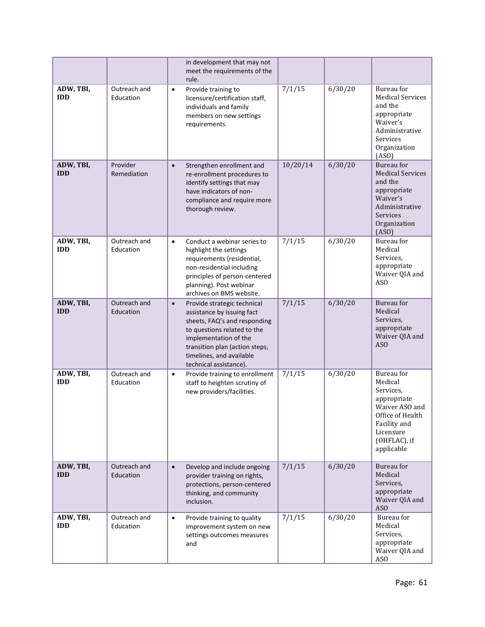|                         |                           | in development that may not<br>meet the requirements of the<br>rule.                                                                                                                                                                                   |          |         |                                                                                                                                                    |
|-------------------------|---------------------------|--------------------------------------------------------------------------------------------------------------------------------------------------------------------------------------------------------------------------------------------------------|----------|---------|----------------------------------------------------------------------------------------------------------------------------------------------------|
| ADW, TBI,<br><b>IDD</b> | Outreach and<br>Education | Provide training to<br>$\bullet$<br>licensure/certification staff,<br>individuals and family<br>members on new settings<br>requirements.                                                                                                               | 7/1/15   | 6/30/20 | Bureau for<br><b>Medical Services</b><br>and the<br>appropriate<br>Waiver's<br>Administrative<br>Services<br>Organization<br>(ASO)                 |
| ADW, TBI,<br><b>IDD</b> | Provider<br>Remediation   | Strengthen enrollment and<br>$\bullet$<br>re-enrollment procedures to<br>identify settings that may<br>have indicators of non-<br>compliance and require more<br>thorough review.                                                                      | 10/20/14 | 6/30/20 | <b>Bureau</b> for<br><b>Medical Services</b><br>and the<br>appropriate<br>Waiver's<br>Administrative<br>Services<br>Organization<br>(ASO)          |
| ADW, TBI,<br><b>IDD</b> | Outreach and<br>Education | Conduct a webinar series to<br>$\bullet$<br>highlight the settings<br>requirements (residential,<br>non-residential including<br>principles of person-centered<br>planning). Post webinar<br>archives on BMS website.                                  | 7/1/15   | 6/30/20 | <b>Bureau</b> for<br>Medical<br>Services,<br>appropriate<br>Waiver QIA and<br>AS <sub>O</sub>                                                      |
| ADW, TBI,<br><b>IDD</b> | Outreach and<br>Education | Provide strategic technical<br>$\bullet$<br>assistance by issuing fact<br>sheets, FAQ's and responding<br>to questions related to the<br>implementation of the<br>transition plan (action steps,<br>timelines, and available<br>technical assistance). | 7/1/15   | 6/30/20 | Bureau for<br>Medical<br>Services,<br>appropriate<br>Waiver QIA and<br>ASO                                                                         |
| ADW, TBI,<br><b>IDD</b> | Outreach and<br>Education | Provide training to enrollment<br>$\bullet$<br>staff to heighten scrutiny of<br>new providers/facilities.                                                                                                                                              | 7/1/15   | 6/30/20 | Bureau for<br>Medical<br>Services,<br>appropriate<br>Waiver ASO and<br>Office of Health<br>Facility and<br>Licensure<br>(OHFLAC), if<br>applicable |
| ADW, TBI,<br><b>IDD</b> | Outreach and<br>Education | Develop and include ongoing<br>$\bullet$<br>provider training on rights,<br>protections, person-centered<br>thinking, and community<br>inclusion.                                                                                                      | 7/1/15   | 6/30/20 | Bureau for<br>Medical<br>Services,<br>appropriate<br>Waiver QIA and<br>AS <sub>O</sub>                                                             |
| ADW, TBI,<br><b>IDD</b> | Outreach and<br>Education | Provide training to quality<br>$\bullet$<br>improvement system on new<br>settings outcomes measures<br>and                                                                                                                                             | 7/1/15   | 6/30/20 | Bureau for<br>Medical<br>Services,<br>appropriate<br>Waiver QIA and<br>ASO                                                                         |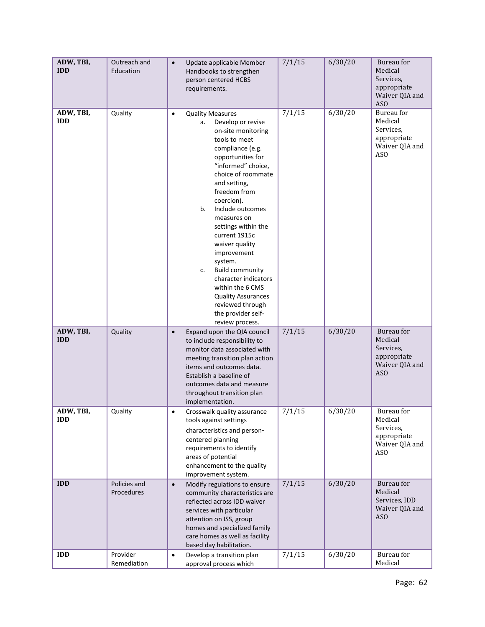| ADW, TBI,<br><b>IDD</b> | Outreach and<br>Education  | Update applicable Member<br>$\bullet$<br>Handbooks to strengthen<br>person centered HCBS<br>requirements.                                                                                                                                                                                                                                                                                                                                                                                                                                    | 7/1/15 | 6/30/20 | Bureau for<br>Medical<br>Services,<br>appropriate<br>Waiver QIA and<br>AS <sub>O</sub> |
|-------------------------|----------------------------|----------------------------------------------------------------------------------------------------------------------------------------------------------------------------------------------------------------------------------------------------------------------------------------------------------------------------------------------------------------------------------------------------------------------------------------------------------------------------------------------------------------------------------------------|--------|---------|----------------------------------------------------------------------------------------|
| ADW, TBI,<br><b>IDD</b> | Quality                    | <b>Quality Measures</b><br>$\bullet$<br>Develop or revise<br>а.<br>on-site monitoring<br>tools to meet<br>compliance (e.g.<br>opportunities for<br>"informed" choice,<br>choice of roommate<br>and setting,<br>freedom from<br>coercion).<br>Include outcomes<br>b.<br>measures on<br>settings within the<br>current 1915c<br>waiver quality<br>improvement<br>system.<br><b>Build community</b><br>c.<br>character indicators<br>within the 6 CMS<br><b>Quality Assurances</b><br>reviewed through<br>the provider self-<br>review process. | 7/1/15 | 6/30/20 | Bureau for<br>Medical<br>Services,<br>appropriate<br>Waiver QIA and<br>AS <sub>O</sub> |
| ADW, TBI,<br><b>IDD</b> | Quality                    | Expand upon the QIA council<br>$\bullet$<br>to include responsibility to<br>monitor data associated with<br>meeting transition plan action<br>items and outcomes data.<br>Establish a baseline of<br>outcomes data and measure<br>throughout transition plan<br>implementation.                                                                                                                                                                                                                                                              | 7/1/15 | 6/30/20 | Bureau for<br>Medical<br>Services,<br>appropriate<br>Waiver QIA and<br>AS <sub>O</sub> |
| ADW, TBI,<br><b>IDD</b> | Quality                    | Crosswalk quality assurance<br>tools against settings<br>characteristics and person-<br>centered planning<br>requirements to identify<br>areas of potential<br>enhancement to the quality<br>improvement system.                                                                                                                                                                                                                                                                                                                             | 7/1/15 | 6/30/20 | Bureau for<br>Medical<br>Services,<br>appropriate<br>Waiver QIA and<br>AS <sub>O</sub> |
| <b>IDD</b>              | Policies and<br>Procedures | Modify regulations to ensure<br>$\bullet$<br>community characteristics are<br>reflected across IDD waiver<br>services with particular<br>attention on ISS, group<br>homes and specialized family<br>care homes as well as facility<br>based day habilitation.                                                                                                                                                                                                                                                                                | 7/1/15 | 6/30/20 | Bureau for<br>Medical<br>Services, IDD<br>Waiver QIA and<br>AS <sub>O</sub>            |
| <b>IDD</b>              | Provider<br>Remediation    | Develop a transition plan<br>$\bullet$<br>approval process which                                                                                                                                                                                                                                                                                                                                                                                                                                                                             | 7/1/15 | 6/30/20 | Bureau for<br>Medical                                                                  |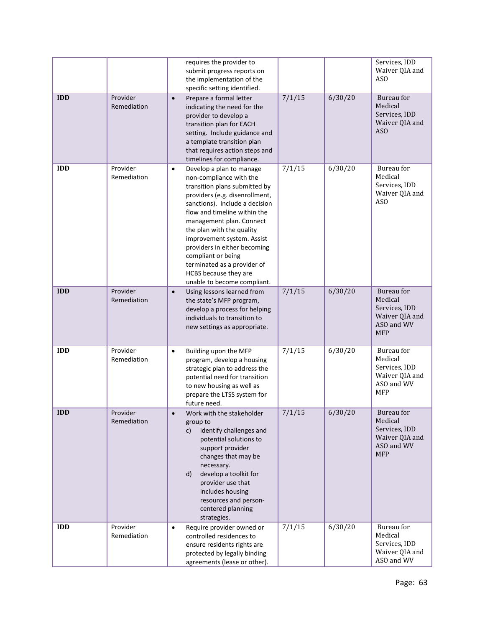|            |                         | requires the provider to<br>submit progress reports on<br>the implementation of the<br>specific setting identified.                                                                                                                                                                                                                                                                                                                       |        |         | Services, IDD<br>Waiver QIA and<br>AS <sub>O</sub>                                          |
|------------|-------------------------|-------------------------------------------------------------------------------------------------------------------------------------------------------------------------------------------------------------------------------------------------------------------------------------------------------------------------------------------------------------------------------------------------------------------------------------------|--------|---------|---------------------------------------------------------------------------------------------|
| <b>IDD</b> | Provider<br>Remediation | Prepare a formal letter<br>$\bullet$<br>indicating the need for the<br>provider to develop a<br>transition plan for EACH<br>setting. Include guidance and<br>a template transition plan<br>that requires action steps and<br>timelines for compliance.                                                                                                                                                                                    | 7/1/15 | 6/30/20 | Bureau for<br>Medical<br>Services, IDD<br>Waiver QIA and<br>AS <sub>O</sub>                 |
| <b>IDD</b> | Provider<br>Remediation | Develop a plan to manage<br>$\bullet$<br>non-compliance with the<br>transition plans submitted by<br>providers (e.g. disenrollment,<br>sanctions). Include a decision<br>flow and timeline within the<br>management plan. Connect<br>the plan with the quality<br>improvement system. Assist<br>providers in either becoming<br>compliant or being<br>terminated as a provider of<br>HCBS because they are<br>unable to become compliant. | 7/1/15 | 6/30/20 | Bureau for<br>Medical<br>Services, IDD<br>Waiver QIA and<br>AS <sub>O</sub>                 |
| <b>IDD</b> | Provider<br>Remediation | Using lessons learned from<br>$\bullet$<br>the state's MFP program,<br>develop a process for helping<br>individuals to transition to<br>new settings as appropriate.                                                                                                                                                                                                                                                                      | 7/1/15 | 6/30/20 | Bureau for<br>Medical<br>Services, IDD<br>Waiver QIA and<br>ASO and WV<br><b>MFP</b>        |
| <b>IDD</b> | Provider<br>Remediation | Building upon the MFP<br>$\bullet$<br>program, develop a housing<br>strategic plan to address the<br>potential need for transition<br>to new housing as well as<br>prepare the LTSS system for<br>future need.                                                                                                                                                                                                                            | 7/1/15 | 6/30/20 | Bureau for<br>Medical<br>Services, IDD<br>Waiver QIA and<br>ASO and WV<br><b>MFP</b>        |
| <b>IDD</b> | Provider<br>Remediation | Work with the stakeholder<br>group to<br>identify challenges and<br>C)<br>potential solutions to<br>support provider<br>changes that may be<br>necessary.<br>develop a toolkit for<br>d)<br>provider use that<br>includes housing<br>resources and person-<br>centered planning<br>strategies.                                                                                                                                            | 7/1/15 | 6/30/20 | <b>Bureau</b> for<br>Medical<br>Services, IDD<br>Waiver QIA and<br>ASO and WV<br><b>MFP</b> |
| <b>IDD</b> | Provider<br>Remediation | Require provider owned or<br>$\bullet$<br>controlled residences to<br>ensure residents rights are<br>protected by legally binding<br>agreements (lease or other).                                                                                                                                                                                                                                                                         | 7/1/15 | 6/30/20 | Bureau for<br>Medical<br>Services, IDD<br>Waiver QIA and<br>ASO and WV                      |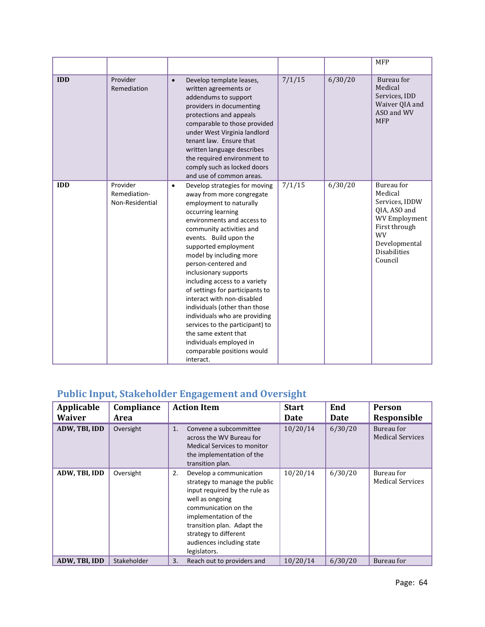|            |                                             |                                                                                                                                                                                                                                                                                                                                                                                                                                                                                                                                                                                                                      |        |         | <b>MFP</b>                                                                                                                                                |
|------------|---------------------------------------------|----------------------------------------------------------------------------------------------------------------------------------------------------------------------------------------------------------------------------------------------------------------------------------------------------------------------------------------------------------------------------------------------------------------------------------------------------------------------------------------------------------------------------------------------------------------------------------------------------------------------|--------|---------|-----------------------------------------------------------------------------------------------------------------------------------------------------------|
| <b>IDD</b> | Provider<br>Remediation                     | Develop template leases,<br>$\bullet$<br>written agreements or<br>addendums to support<br>providers in documenting<br>protections and appeals<br>comparable to those provided<br>under West Virginia landlord<br>tenant law. Ensure that<br>written language describes<br>the required environment to<br>comply such as locked doors<br>and use of common areas.                                                                                                                                                                                                                                                     | 7/1/15 | 6/30/20 | Bureau for<br>Medical<br>Services, IDD<br>Waiver QIA and<br>ASO and WV<br><b>MFP</b>                                                                      |
| <b>IDD</b> | Provider<br>Remediation-<br>Non-Residential | Develop strategies for moving<br>$\bullet$<br>away from more congregate<br>employment to naturally<br>occurring learning<br>environments and access to<br>community activities and<br>events. Build upon the<br>supported employment<br>model by including more<br>person-centered and<br>inclusionary supports<br>including access to a variety<br>of settings for participants to<br>interact with non-disabled<br>individuals (other than those<br>individuals who are providing<br>services to the participant) to<br>the same extent that<br>individuals employed in<br>comparable positions would<br>interact. | 7/1/15 | 6/30/20 | Bureau for<br>Medical<br>Services, IDDW<br>QIA, ASO and<br><b>WV Employment</b><br>First through<br>WV<br>Developmental<br><b>Disabilities</b><br>Council |

## <span id="page-63-0"></span>**Public Input, Stakeholder Engagement and Oversight**

| Applicable<br><b>Waiver</b> | Compliance<br>Area | <b>Action Item</b>                                                                                                                                                                                                                                                      | <b>Start</b><br>Date | End<br><b>Date</b> | <b>Person</b><br>Responsible          |
|-----------------------------|--------------------|-------------------------------------------------------------------------------------------------------------------------------------------------------------------------------------------------------------------------------------------------------------------------|----------------------|--------------------|---------------------------------------|
| ADW, TBI, IDD               | Oversight          | Convene a subcommittee<br>1.<br>across the WV Bureau for<br><b>Medical Services to monitor</b><br>the implementation of the<br>transition plan.                                                                                                                         | 10/20/14             | 6/30/20            | Bureau for<br><b>Medical Services</b> |
| ADW, TBI, IDD               | Oversight          | Develop a communication<br>2.<br>strategy to manage the public<br>input required by the rule as<br>well as ongoing<br>communication on the<br>implementation of the<br>transition plan. Adapt the<br>strategy to different<br>audiences including state<br>legislators. | 10/20/14             | 6/30/20            | Bureau for<br><b>Medical Services</b> |
| ADW, TBI, IDD               | Stakeholder        | 3.<br>Reach out to providers and                                                                                                                                                                                                                                        | 10/20/14             | 6/30/20            | Bureau for                            |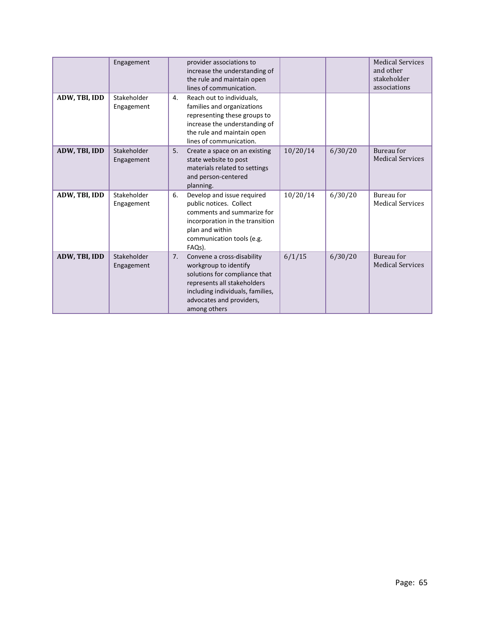|               | Engagement                |    | provider associations to<br>increase the understanding of<br>the rule and maintain open<br>lines of communication.                                                                                  |          |         | <b>Medical Services</b><br>and other<br>stakeholder<br>associations |
|---------------|---------------------------|----|-----------------------------------------------------------------------------------------------------------------------------------------------------------------------------------------------------|----------|---------|---------------------------------------------------------------------|
| ADW, TBI, IDD | Stakeholder<br>Engagement | 4. | Reach out to individuals,<br>families and organizations<br>representing these groups to<br>increase the understanding of<br>the rule and maintain open<br>lines of communication.                   |          |         |                                                                     |
| ADW, TBI, IDD | Stakeholder<br>Engagement | 5. | Create a space on an existing<br>state website to post<br>materials related to settings<br>and person-centered<br>planning.                                                                         | 10/20/14 | 6/30/20 | Bureau for<br><b>Medical Services</b>                               |
| ADW, TBI, IDD | Stakeholder<br>Engagement | 6. | Develop and issue required<br>public notices. Collect<br>comments and summarize for<br>incorporation in the transition<br>plan and within<br>communication tools (e.g.<br>FAQs).                    | 10/20/14 | 6/30/20 | Bureau for<br><b>Medical Services</b>                               |
| ADW, TBI, IDD | Stakeholder<br>Engagement | 7. | Convene a cross-disability<br>workgroup to identify<br>solutions for compliance that<br>represents all stakeholders<br>including individuals, families,<br>advocates and providers,<br>among others | 6/1/15   | 6/30/20 | Bureau for<br><b>Medical Services</b>                               |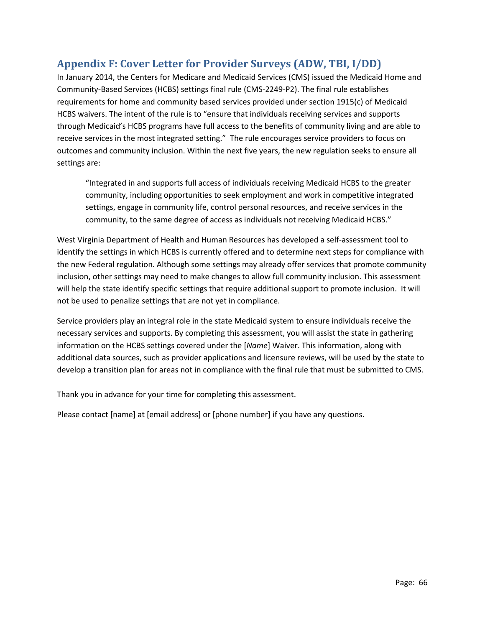## **Appendix F: Cover Letter for Provider Surveys (ADW, TBI, I/DD)**

In January 2014, the Centers for Medicare and Medicaid Services (CMS) issued the Medicaid Home and Community-Based Services (HCBS) settings final rule (CMS-2249-P2). The final rule establishes requirements for home and community based services provided under section 1915(c) of Medicaid HCBS waivers. The intent of the rule is to "ensure that individuals receiving services and supports through Medicaid's HCBS programs have full access to the benefits of community living and are able to receive services in the most integrated setting." The rule encourages service providers to focus on outcomes and community inclusion. Within the next five years, the new regulation seeks to ensure all settings are:

"Integrated in and supports full access of individuals receiving Medicaid HCBS to the greater community, including opportunities to seek employment and work in competitive integrated settings, engage in community life, control personal resources, and receive services in the community, to the same degree of access as individuals not receiving Medicaid HCBS."

West Virginia Department of Health and Human Resources has developed a self-assessment tool to identify the settings in which HCBS is currently offered and to determine next steps for compliance with the new Federal regulation. Although some settings may already offer services that promote community inclusion, other settings may need to make changes to allow full community inclusion. This assessment will help the state identify specific settings that require additional support to promote inclusion. It will not be used to penalize settings that are not yet in compliance.

Service providers play an integral role in the state Medicaid system to ensure individuals receive the necessary services and supports. By completing this assessment, you will assist the state in gathering information on the HCBS settings covered under the [*Name*] Waiver. This information, along with additional data sources, such as provider applications and licensure reviews, will be used by the state to develop a transition plan for areas not in compliance with the final rule that must be submitted to CMS.

Thank you in advance for your time for completing this assessment.

Please contact [name] at [email address] or [phone number] if you have any questions.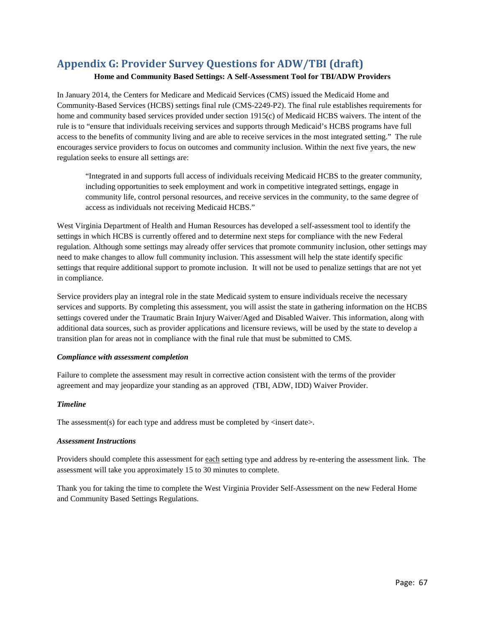## **Appendix G: Provider Survey Questions for ADW/TBI (draft)**

#### **Home and Community Based Settings: A Self-Assessment Tool for TBI/ADW Providers**

In January 2014, the Centers for Medicare and Medicaid Services (CMS) issued the Medicaid Home and Community-Based Services (HCBS) settings final rule (CMS-2249-P2). The final rule establishes requirements for home and community based services provided under section 1915(c) of Medicaid HCBS waivers. The intent of the rule is to "ensure that individuals receiving services and supports through Medicaid's HCBS programs have full access to the benefits of community living and are able to receive services in the most integrated setting." The rule encourages service providers to focus on outcomes and community inclusion. Within the next five years, the new regulation seeks to ensure all settings are:

"Integrated in and supports full access of individuals receiving Medicaid HCBS to the greater community, including opportunities to seek employment and work in competitive integrated settings, engage in community life, control personal resources, and receive services in the community, to the same degree of access as individuals not receiving Medicaid HCBS."

West Virginia Department of Health and Human Resources has developed a self-assessment tool to identify the settings in which HCBS is currently offered and to determine next steps for compliance with the new Federal regulation. Although some settings may already offer services that promote community inclusion, other settings may need to make changes to allow full community inclusion. This assessment will help the state identify specific settings that require additional support to promote inclusion. It will not be used to penalize settings that are not yet in compliance.

Service providers play an integral role in the state Medicaid system to ensure individuals receive the necessary services and supports. By completing this assessment, you will assist the state in gathering information on the HCBS settings covered under the Traumatic Brain Injury Waiver/Aged and Disabled Waiver. This information, along with additional data sources, such as provider applications and licensure reviews, will be used by the state to develop a transition plan for areas not in compliance with the final rule that must be submitted to CMS.

#### *Compliance with assessment completion*

Failure to complete the assessment may result in corrective action consistent with the terms of the provider agreement and may jeopardize your standing as an approved (TBI, ADW, IDD) Waiver Provider.

#### *Timeline*

The assessment(s) for each type and address must be completed by  $\langle$  insert date $\rangle$ .

#### *Assessment Instructions*

Providers should complete this assessment for each setting type and address by re-entering the assessment link. The assessment will take you approximately 15 to 30 minutes to complete.

Thank you for taking the time to complete the West Virginia Provider Self-Assessment on the new Federal Home and Community Based Settings Regulations.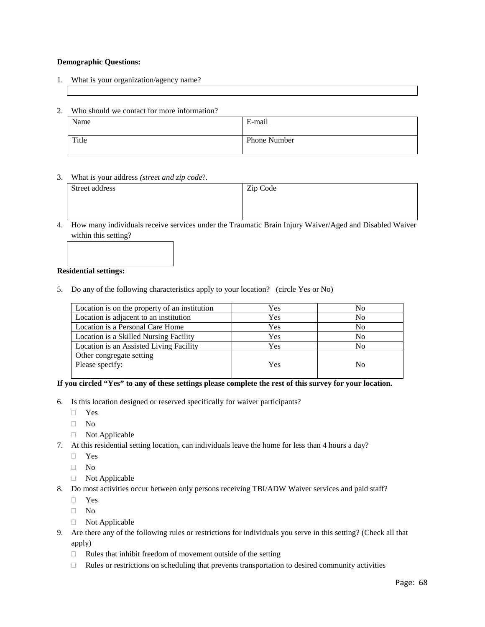#### **Demographic Questions:**

- 1. What is your organization/agency name?
- 2. Who should we contact for more information?

| Name  | E-mail              |
|-------|---------------------|
| Title | <b>Phone Number</b> |

#### 3. What is your address *(street and zip code*?*.*

| Street address | Zip Code |
|----------------|----------|
|                |          |
|                |          |

4. How many individuals receive services under the Traumatic Brain Injury Waiver/Aged and Disabled Waiver within this setting?

#### **Residential settings:**

5. Do any of the following characteristics apply to your location? (circle Yes or No)

| Location is on the property of an institution | Yes | No             |
|-----------------------------------------------|-----|----------------|
| Location is adjacent to an institution        | Yes | No             |
| Location is a Personal Care Home              | Yes | N <sub>0</sub> |
| Location is a Skilled Nursing Facility        | Yes | No             |
| Location is an Assisted Living Facility       | Yes | No             |
| Other congregate setting                      |     |                |
| Please specify:                               | Yes | No             |
|                                               |     |                |

#### **If you circled "Yes" to any of these settings please complete the rest of this survey for your location.**

- 6. Is this location designed or reserved specifically for waiver participants?
	- Yes
	- $\Box$  No
	- Not Applicable
- 7. At this residential setting location, can individuals leave the home for less than 4 hours a day?
	- Yes
	- No
	- Not Applicable
- 8. Do most activities occur between only persons receiving TBI/ADW Waiver services and paid staff?
	- Yes
	- $\Box$  No
	- Not Applicable
- 9. Are there any of the following rules or restrictions for individuals you serve in this setting? (Check all that apply)
	- $\Box$  Rules that inhibit freedom of movement outside of the setting
	- $\Box$  Rules or restrictions on scheduling that prevents transportation to desired community activities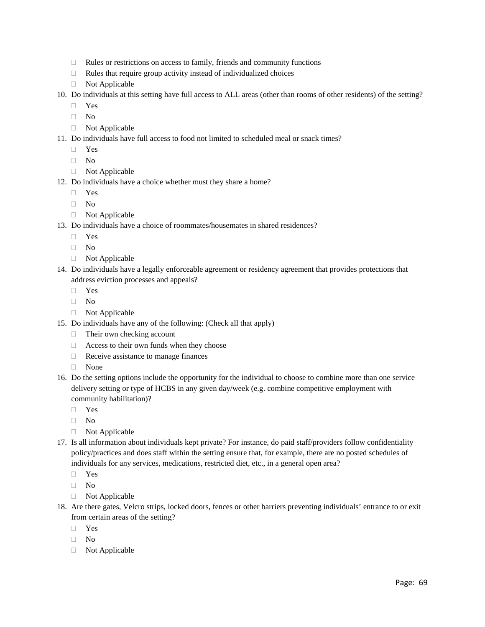- □ Rules or restrictions on access to family, friends and community functions
- $\Box$  Rules that require group activity instead of individualized choices
- Not Applicable
- 10. Do individuals at this setting have full access to ALL areas (other than rooms of other residents) of the setting?
	- Yes
	- $\Box$  No
	- Not Applicable
- 11. Do individuals have full access to food not limited to scheduled meal or snack times?
	- Yes
	- No
	- □ Not Applicable
- 12. Do individuals have a choice whether must they share a home?
	- Yes
	- $\neg$  No
	- □ Not Applicable
- 13. Do individuals have a choice of roommates/housemates in shared residences?
	- Yes
	- $\neg$  No
	- □ Not Applicable
- 14. Do individuals have a legally enforceable agreement or residency agreement that provides protections that address eviction processes and appeals?
	- Yes
	- $\neg$  No
	- □ Not Applicable
- 15. Do individuals have any of the following: (Check all that apply)
	- $\Box$  Their own checking account
	- $\Box$  Access to their own funds when they choose
	- $\Box$  Receive assistance to manage finances
	- None
- 16. Do the setting options include the opportunity for the individual to choose to combine more than one service delivery setting or type of HCBS in any given day/week (e.g. combine competitive employment with community habilitation)?
	- Yes
	- $\neg$  No
	- □ Not Applicable
- 17. Is all information about individuals kept private? For instance, do paid staff/providers follow confidentiality policy/practices and does staff within the setting ensure that, for example, there are no posted schedules of individuals for any services, medications, restricted diet, etc., in a general open area?
	- Yes
	- $\Box$  No
	- Not Applicable
- 18. Are there gates, Velcro strips, locked doors, fences or other barriers preventing individuals' entrance to or exit from certain areas of the setting?
	- Yes
	- No
	- Not Applicable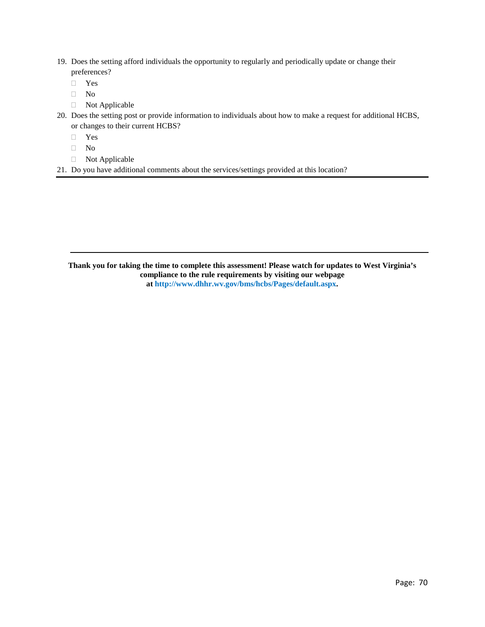- 19. Does the setting afford individuals the opportunity to regularly and periodically update or change their preferences?
	- Yes
	- $\Box$  No
	- Not Applicable
- 20. Does the setting post or provide information to individuals about how to make a request for additional HCBS, or changes to their current HCBS?
	- Yes
	- $\Box$  No
	- Not Applicable
- 21. Do you have additional comments about the services/settings provided at this location?

**Thank you for taking the time to complete this assessment! Please watch for updates to West Virginia's compliance to the rule requirements by visiting our webpage a[t http://www.dhhr.wv.gov/bms/hcbs/Pages/default.aspx.](http://www.dhhr.wv.gov/bms/hcbs/Pages/default.aspx)**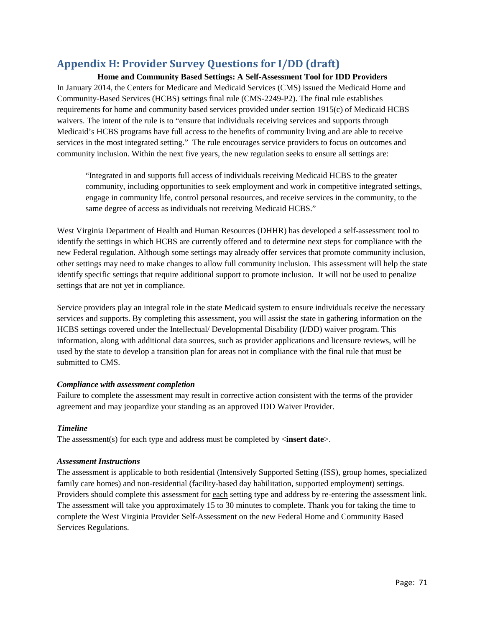## **Appendix H: Provider Survey Questions for I/DD (draft)**

**Home and Community Based Settings: A Self-Assessment Tool for IDD Providers** In January 2014, the Centers for Medicare and Medicaid Services (CMS) issued the Medicaid Home and Community-Based Services (HCBS) settings final rule (CMS-2249-P2). The final rule establishes requirements for home and community based services provided under section 1915(c) of Medicaid HCBS waivers. The intent of the rule is to "ensure that individuals receiving services and supports through Medicaid's HCBS programs have full access to the benefits of community living and are able to receive services in the most integrated setting." The rule encourages service providers to focus on outcomes and community inclusion. Within the next five years, the new regulation seeks to ensure all settings are:

"Integrated in and supports full access of individuals receiving Medicaid HCBS to the greater community, including opportunities to seek employment and work in competitive integrated settings, engage in community life, control personal resources, and receive services in the community, to the same degree of access as individuals not receiving Medicaid HCBS."

West Virginia Department of Health and Human Resources (DHHR) has developed a self-assessment tool to identify the settings in which HCBS are currently offered and to determine next steps for compliance with the new Federal regulation. Although some settings may already offer services that promote community inclusion, other settings may need to make changes to allow full community inclusion. This assessment will help the state identify specific settings that require additional support to promote inclusion. It will not be used to penalize settings that are not yet in compliance.

Service providers play an integral role in the state Medicaid system to ensure individuals receive the necessary services and supports. By completing this assessment, you will assist the state in gathering information on the HCBS settings covered under the Intellectual/ Developmental Disability (I/DD) waiver program. This information, along with additional data sources, such as provider applications and licensure reviews, will be used by the state to develop a transition plan for areas not in compliance with the final rule that must be submitted to CMS.

#### *Compliance with assessment completion*

Failure to complete the assessment may result in corrective action consistent with the terms of the provider agreement and may jeopardize your standing as an approved IDD Waiver Provider.

#### *Timeline*

The assessment(s) for each type and address must be completed by <**insert date**>.

#### *Assessment Instructions*

The assessment is applicable to both residential (Intensively Supported Setting (ISS), group homes, specialized family care homes) and non-residential (facility-based day habilitation, supported employment) settings. Providers should complete this assessment for each setting type and address by re-entering the assessment link. The assessment will take you approximately 15 to 30 minutes to complete. Thank you for taking the time to complete the West Virginia Provider Self-Assessment on the new Federal Home and Community Based Services Regulations.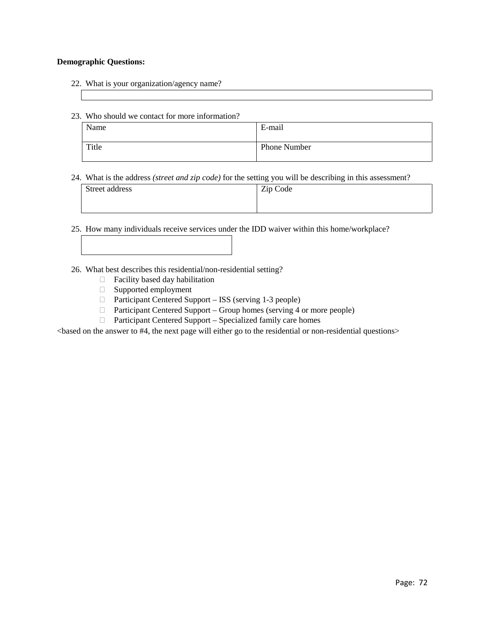#### **Demographic Questions:**

- 22. What is your organization/agency name?
- 23. Who should we contact for more information?

| Name  | E-mail              |
|-------|---------------------|
| Title | <b>Phone Number</b> |

24. What is the address *(street and zip code)* for the setting you will be describing in this assessment?

| Street address | Zip Code |
|----------------|----------|
|                |          |

25. How many individuals receive services under the IDD waiver within this home/workplace?

26. What best describes this residential/non-residential setting?

- $\Box$  Facility based day habilitation
- Supported employment
- □ Participant Centered Support ISS (serving 1-3 people)
- □ Participant Centered Support Group homes (serving 4 or more people)
- □ Participant Centered Support Specialized family care homes

<based on the answer to #4, the next page will either go to the residential or non-residential questions>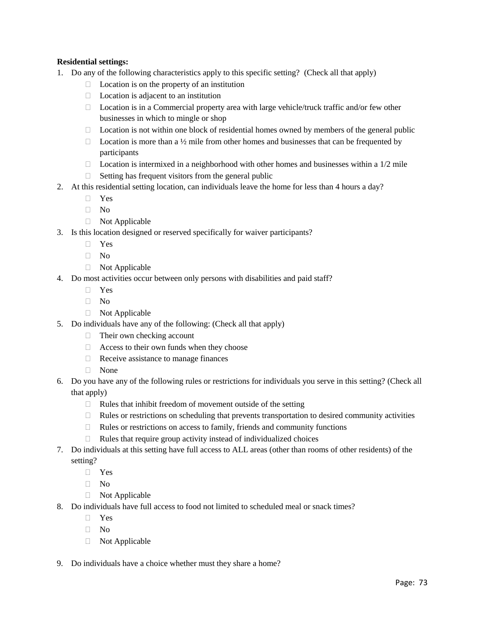#### **Residential settings:**

- 1. Do any of the following characteristics apply to this specific setting? (Check all that apply)
	- $\Box$  Location is on the property of an institution
	- $\Box$  Location is adjacent to an institution
	- $\Box$  Location is in a Commercial property area with large vehicle/truck traffic and/or few other businesses in which to mingle or shop
	- $\Box$  Location is not within one block of residential homes owned by members of the general public
	- $\Box$  Location is more than a ½ mile from other homes and businesses that can be frequented by participants
	- $\Box$  Location is intermixed in a neighborhood with other homes and businesses within a 1/2 mile
	- $\Box$  Setting has frequent visitors from the general public
- 2. At this residential setting location, can individuals leave the home for less than 4 hours a day?
	- Yes
	- $\Box$  No
	- Not Applicable
- 3. Is this location designed or reserved specifically for waiver participants?
	- Yes
	- $\Box$  No
	- Not Applicable
- 4. Do most activities occur between only persons with disabilities and paid staff?
	- Yes
	- $\neg$  No
	- □ Not Applicable
- 5. Do individuals have any of the following: (Check all that apply)
	- □ Their own checking account
	- $\Box$  Access to their own funds when they choose
	- $\Box$  Receive assistance to manage finances
	- None
- 6. Do you have any of the following rules or restrictions for individuals you serve in this setting? (Check all that apply)
	- $\Box$  Rules that inhibit freedom of movement outside of the setting
	- $\Box$  Rules or restrictions on scheduling that prevents transportation to desired community activities
	- $\Box$  Rules or restrictions on access to family, friends and community functions
	- $\Box$  Rules that require group activity instead of individualized choices
- 7. Do individuals at this setting have full access to ALL areas (other than rooms of other residents) of the setting?
	- Yes
	- No
	- Not Applicable
- 8. Do individuals have full access to food not limited to scheduled meal or snack times?
	- Yes
	- $\Box$  No
	- □ Not Applicable
- 9. Do individuals have a choice whether must they share a home?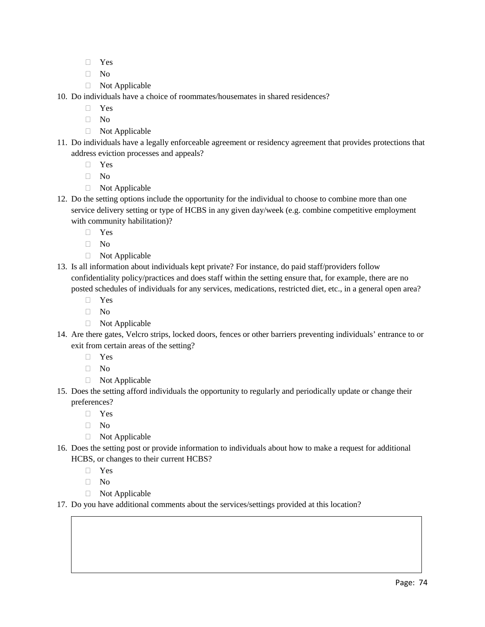- Yes
- $\neg$  No
- □ Not Applicable
- 10. Do individuals have a choice of roommates/housemates in shared residences?
	- Yes
	- $\neg$  No
	- □ Not Applicable
- 11. Do individuals have a legally enforceable agreement or residency agreement that provides protections that address eviction processes and appeals?
	- Yes
	- $\neg$  No
	- □ Not Applicable
- 12. Do the setting options include the opportunity for the individual to choose to combine more than one service delivery setting or type of HCBS in any given day/week (e.g. combine competitive employment with community habilitation)?
	- Yes
	- $\Box$  No
	- Not Applicable
- 13. Is all information about individuals kept private? For instance, do paid staff/providers follow confidentiality policy/practices and does staff within the setting ensure that, for example, there are no posted schedules of individuals for any services, medications, restricted diet, etc., in a general open area?
	- Yes
	- $\neg$  No
	- Not Applicable
- 14. Are there gates, Velcro strips, locked doors, fences or other barriers preventing individuals' entrance to or exit from certain areas of the setting?
	- Yes
	- $\Box$  No
	- Not Applicable
- 15. Does the setting afford individuals the opportunity to regularly and periodically update or change their preferences?
	- Yes
	- $\neg$  No
	- Not Applicable
- 16. Does the setting post or provide information to individuals about how to make a request for additional HCBS, or changes to their current HCBS?
	- Yes
	- No
	- Not Applicable
- 17. Do you have additional comments about the services/settings provided at this location?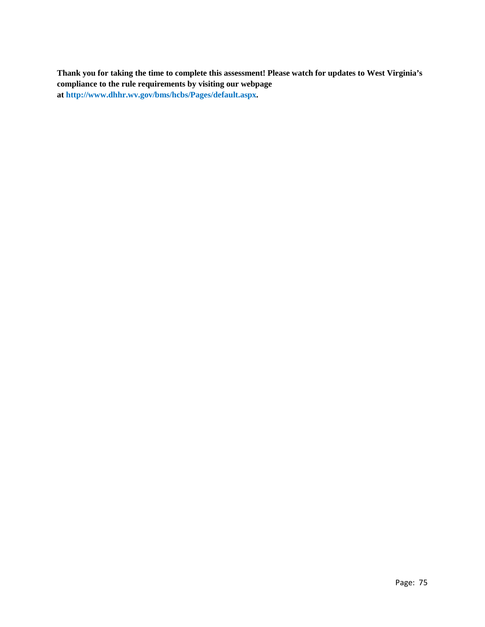**Thank you for taking the time to complete this assessment! Please watch for updates to West Virginia's compliance to the rule requirements by visiting our webpage at [http://www.dhhr.wv.gov/bms/hcbs/Pages/default.aspx.](http://www.dhhr.wv.gov/bms/hcbs/Pages/default.aspx)**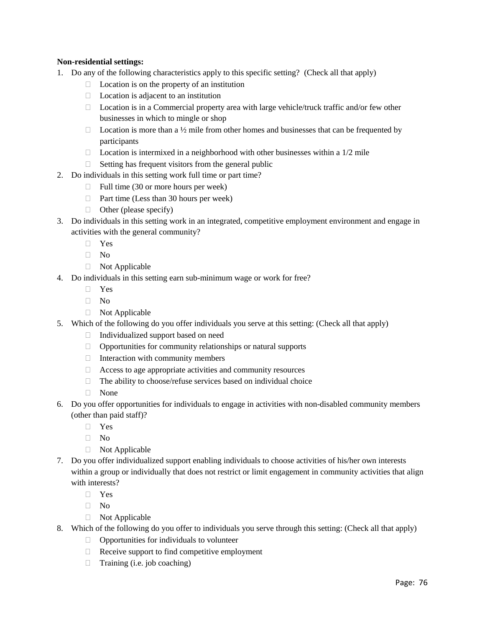#### **Non-residential settings:**

- 1. Do any of the following characteristics apply to this specific setting? (Check all that apply)
	- $\Box$  Location is on the property of an institution
	- $\Box$  Location is adjacent to an institution
	- □ Location is in a Commercial property area with large vehicle/truck traffic and/or few other businesses in which to mingle or shop
	- $\Box$  Location is more than a  $\frac{1}{2}$  mile from other homes and businesses that can be frequented by participants
	- $\Box$  Location is intermixed in a neighborhood with other businesses within a 1/2 mile
	- $\Box$  Setting has frequent visitors from the general public
- 2. Do individuals in this setting work full time or part time?
	- $\Box$  Full time (30 or more hours per week)
	- $\Box$  Part time (Less than 30 hours per week)
	- $\Box$  Other (please specify)
- 3. Do individuals in this setting work in an integrated, competitive employment environment and engage in activities with the general community?
	- Yes
	- $\neg$  No
	- Not Applicable
- 4. Do individuals in this setting earn sub-minimum wage or work for free?
	- Yes
	- $\neg$  No
	- Not Applicable
- 5. Which of the following do you offer individuals you serve at this setting: (Check all that apply)
	- $\Box$  Individualized support based on need
	- $\Box$  Opportunities for community relationships or natural supports
	- $\Box$  Interaction with community members
	- $\Box$  Access to age appropriate activities and community resources
	- $\Box$  The ability to choose/refuse services based on individual choice
	- None
- 6. Do you offer opportunities for individuals to engage in activities with non-disabled community members (other than paid staff)?
	- Yes
	- $\neg$  No
	- Not Applicable
- 7. Do you offer individualized support enabling individuals to choose activities of his/her own interests within a group or individually that does not restrict or limit engagement in community activities that align with interests?
	- Yes
	- No
	- Not Applicable
- 8. Which of the following do you offer to individuals you serve through this setting: (Check all that apply)
	- $\Box$  Opportunities for individuals to volunteer
	- $\Box$  Receive support to find competitive employment
	- $\Box$  Training (i.e. job coaching)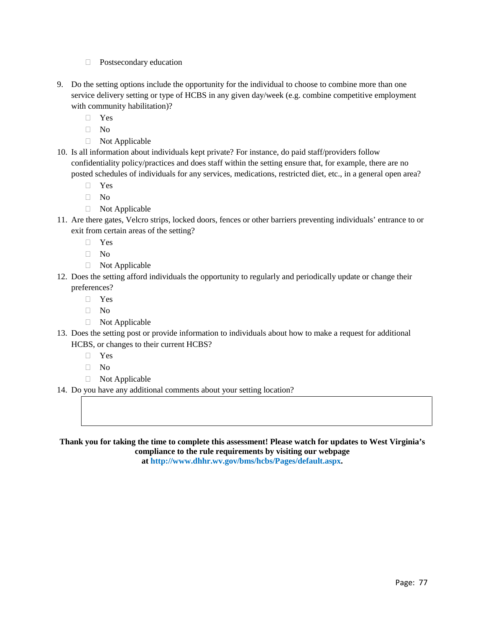- □ Postsecondary education
- 9. Do the setting options include the opportunity for the individual to choose to combine more than one service delivery setting or type of HCBS in any given day/week (e.g. combine competitive employment with community habilitation)?
	- Yes
	- $\hfill\Box$  No
	- Not Applicable
- 10. Is all information about individuals kept private? For instance, do paid staff/providers follow confidentiality policy/practices and does staff within the setting ensure that, for example, there are no posted schedules of individuals for any services, medications, restricted diet, etc., in a general open area?
	- Yes
	- $\Box$  No
	- Not Applicable
- 11. Are there gates, Velcro strips, locked doors, fences or other barriers preventing individuals' entrance to or exit from certain areas of the setting?
	- Yes
	- $\neg$  No
	- Not Applicable
- 12. Does the setting afford individuals the opportunity to regularly and periodically update or change their preferences?
	- Yes
	- $\Box$  No
	- Not Applicable
- 13. Does the setting post or provide information to individuals about how to make a request for additional HCBS, or changes to their current HCBS?
	- Yes
	- $\neg$  No
	- Not Applicable
- 14. Do you have any additional comments about your setting location?

**Thank you for taking the time to complete this assessment! Please watch for updates to West Virginia's compliance to the rule requirements by visiting our webpage** 

**at [http://www.dhhr.wv.gov/bms/hcbs/Pages/default.aspx.](http://www.dhhr.wv.gov/bms/hcbs/Pages/default.aspx)**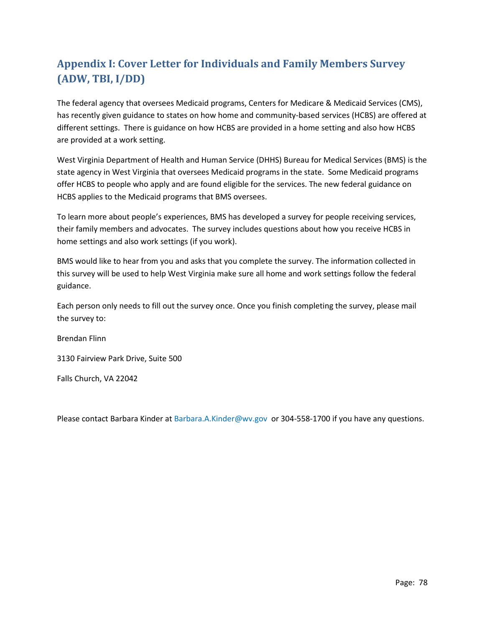# **Appendix I: Cover Letter for Individuals and Family Members Survey (ADW, TBI, I/DD)**

The federal agency that oversees Medicaid programs, Centers for Medicare & Medicaid Services (CMS), has recently given guidance to states on how home and community-based services (HCBS) are offered at different settings. There is guidance on how HCBS are provided in a home setting and also how HCBS are provided at a work setting.

West Virginia Department of Health and Human Service (DHHS) Bureau for Medical Services (BMS) is the state agency in West Virginia that oversees Medicaid programs in the state. Some Medicaid programs offer HCBS to people who apply and are found eligible for the services. The new federal guidance on HCBS applies to the Medicaid programs that BMS oversees.

To learn more about people's experiences, BMS has developed a survey for people receiving services, their family members and advocates. The survey includes questions about how you receive HCBS in home settings and also work settings (if you work).

BMS would like to hear from you and asks that you complete the survey. The information collected in this survey will be used to help West Virginia make sure all home and work settings follow the federal guidance.

Each person only needs to fill out the survey once. Once you finish completing the survey, please mail the survey to:

Brendan Flinn

3130 Fairview Park Drive, Suite 500

Falls Church, VA 22042

Please contact Barbara Kinder at [Barbara.A.Kinder@wv.gov](mailto:Barbara.A.Kinder@wv.gov) or 304-558-1700 if you have any questions.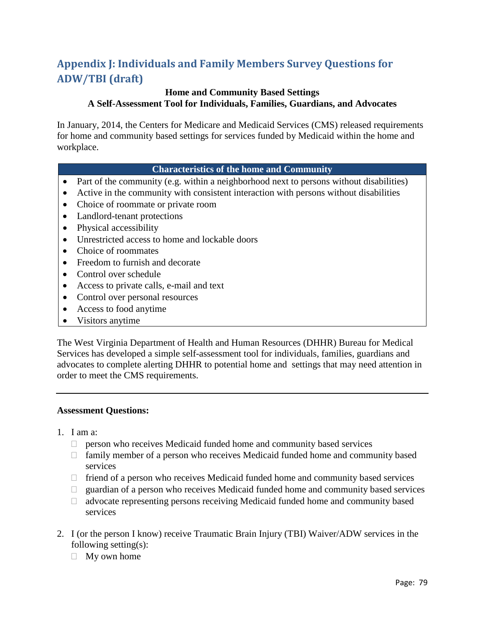# **Appendix J: Individuals and Family Members Survey Questions for ADW/TBI (draft)**

## **Home and Community Based Settings**

**A Self-Assessment Tool for Individuals, Families, Guardians, and Advocates**

In January, 2014, the Centers for Medicare and Medicaid Services (CMS) released requirements for home and community based settings for services funded by Medicaid within the home and workplace.

### **Characteristics of the home and Community**

- Part of the community (e.g. within a neighborhood next to persons without disabilities)
- Active in the community with consistent interaction with persons without disabilities
- Choice of roommate or private room
- Landlord-tenant protections
- Physical accessibility
- Unrestricted access to home and lockable doors
- Choice of roommates
- Freedom to furnish and decorate
- Control over schedule
- Access to private calls, e-mail and text
- Control over personal resources
- Access to food anytime
- Visitors anytime

The West Virginia Department of Health and Human Resources (DHHR) Bureau for Medical Services has developed a simple self-assessment tool for individuals, families, guardians and advocates to complete alerting DHHR to potential home and settings that may need attention in order to meet the CMS requirements.

#### **Assessment Questions:**

- 1. I am a:
	- $\Box$  person who receives Medicaid funded home and community based services
	- $\Box$  family member of a person who receives Medicaid funded home and community based services
	- $\Box$  friend of a person who receives Medicaid funded home and community based services
	- $\Box$  guardian of a person who receives Medicaid funded home and community based services
	- $\Box$  advocate representing persons receiving Medicaid funded home and community based services
- 2. I (or the person I know) receive Traumatic Brain Injury (TBI) Waiver/ADW services in the following setting(s):
	- $\Box$  My own home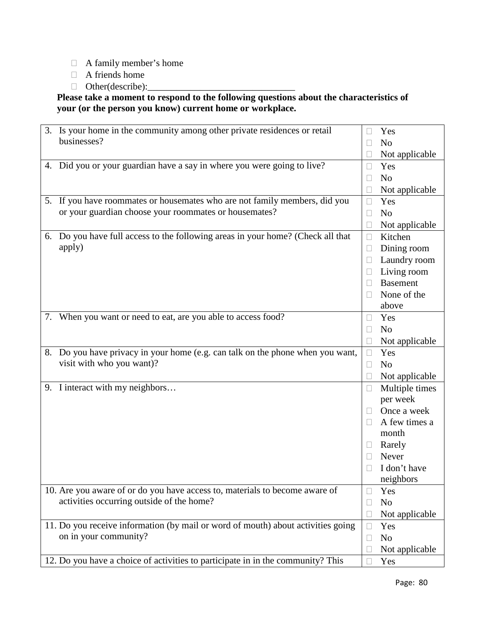- A family member's home
- A friends home
- $\Box$  Other(describe):

**Please take a moment to respond to the following questions about the characteristics of your (or the person you know) current home or workplace.**

| 3. Is your home in the community among other private residences or retail        |        | Yes                   |
|----------------------------------------------------------------------------------|--------|-----------------------|
| businesses?                                                                      |        | N <sub>o</sub>        |
|                                                                                  |        | Not applicable        |
| 4. Did you or your guardian have a say in where you were going to live?          | $\Box$ | Yes                   |
|                                                                                  | П      | N <sub>o</sub>        |
|                                                                                  |        | Not applicable        |
| 5. If you have roommates or housemates who are not family members, did you       | $\Box$ | Yes                   |
| or your guardian choose your roommates or housemates?                            | $\Box$ | N <sub>o</sub>        |
|                                                                                  |        | Not applicable        |
| 6. Do you have full access to the following areas in your home? (Check all that  | $\Box$ | Kitchen               |
| apply)                                                                           | $\Box$ | Dining room           |
|                                                                                  |        | Laundry room          |
|                                                                                  |        | Living room           |
|                                                                                  |        | <b>Basement</b>       |
|                                                                                  |        | None of the           |
|                                                                                  |        | above                 |
| 7. When you want or need to eat, are you able to access food?                    | $\Box$ | Yes                   |
|                                                                                  |        | N <sub>o</sub>        |
|                                                                                  |        | Not applicable        |
| 8. Do you have privacy in your home (e.g. can talk on the phone when you want,   | $\Box$ | Yes                   |
| visit with who you want)?                                                        | $\Box$ | N <sub>o</sub>        |
|                                                                                  |        | Not applicable        |
| 9. I interact with my neighbors                                                  | □      | Multiple times        |
|                                                                                  |        |                       |
|                                                                                  |        | per week              |
|                                                                                  | $\Box$ | Once a week           |
|                                                                                  |        | A few times a         |
|                                                                                  |        | month                 |
|                                                                                  |        | Rarely                |
|                                                                                  |        | Never                 |
|                                                                                  |        | I don't have          |
|                                                                                  |        | neighbors             |
| 10. Are you aware of or do you have access to, materials to become aware of      | $\Box$ | Yes                   |
| activities occurring outside of the home?                                        | $\Box$ | N <sub>o</sub>        |
|                                                                                  |        | Not applicable        |
| 11. Do you receive information (by mail or word of mouth) about activities going | $\Box$ | Yes                   |
| on in your community?                                                            | $\Box$ | N <sub>0</sub>        |
| 12. Do you have a choice of activities to participate in in the community? This  |        | Not applicable<br>Yes |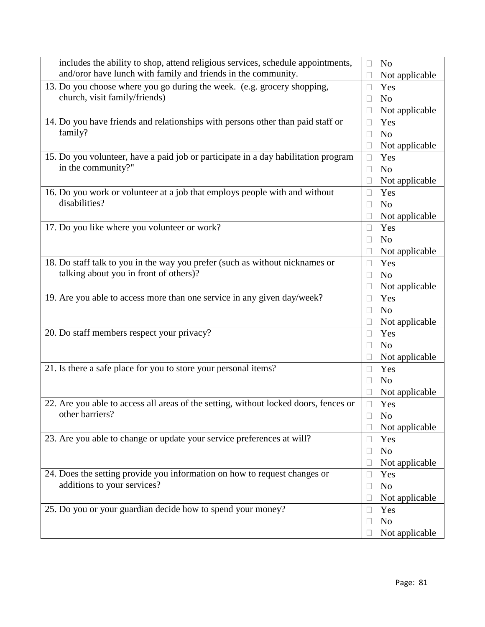| includes the ability to shop, attend religious services, schedule appointments,      | $\Box$       | N <sub>o</sub> |
|--------------------------------------------------------------------------------------|--------------|----------------|
| and/oror have lunch with family and friends in the community.                        |              | Not applicable |
| 13. Do you choose where you go during the week. (e.g. grocery shopping,              | П            | Yes            |
| church, visit family/friends)                                                        | $\Box$       | N <sub>o</sub> |
|                                                                                      |              | Not applicable |
| 14. Do you have friends and relationships with persons other than paid staff or      | $\Box$       | Yes            |
| family?                                                                              | $\Box$       | N <sub>o</sub> |
|                                                                                      |              | Not applicable |
| 15. Do you volunteer, have a paid job or participate in a day habilitation program   | $\Box$       | Yes            |
| in the community?"                                                                   | П            | N <sub>o</sub> |
|                                                                                      |              | Not applicable |
| 16. Do you work or volunteer at a job that employs people with and without           | $\Box$       | Yes            |
| disabilities?                                                                        |              | N <sub>o</sub> |
|                                                                                      |              | Not applicable |
| 17. Do you like where you volunteer or work?                                         |              | Yes            |
|                                                                                      | П            | N <sub>o</sub> |
|                                                                                      |              | Not applicable |
| 18. Do staff talk to you in the way you prefer (such as without nicknames or         | П            | Yes            |
| talking about you in front of others)?                                               | П            | N <sub>o</sub> |
|                                                                                      |              | Not applicable |
| 19. Are you able to access more than one service in any given day/week?              | $\Box$       | Yes            |
|                                                                                      | $\mathbf{L}$ | N <sub>o</sub> |
|                                                                                      |              | Not applicable |
| 20. Do staff members respect your privacy?                                           | Ш            | Yes            |
|                                                                                      | $\Box$       | N <sub>o</sub> |
|                                                                                      |              | Not applicable |
| 21. Is there a safe place for you to store your personal items?                      | $\Box$       | Yes            |
|                                                                                      |              | N <sub>o</sub> |
|                                                                                      |              | Not applicable |
| 22. Are you able to access all areas of the setting, without locked doors, fences or | П            | Yes            |
| other barriers?                                                                      |              | N <sub>o</sub> |
|                                                                                      |              | Not applicable |
| 23. Are you able to change or update your service preferences at will?               |              | Yes            |
|                                                                                      |              | N <sub>o</sub> |
|                                                                                      |              | Not applicable |
| 24. Does the setting provide you information on how to request changes or            | П            | Yes            |
| additions to your services?                                                          | $\Box$       | N <sub>o</sub> |
|                                                                                      |              | Not applicable |
| 25. Do you or your guardian decide how to spend your money?                          | $\Box$       | Yes            |
|                                                                                      | $\Box$       | N <sub>o</sub> |
|                                                                                      |              | Not applicable |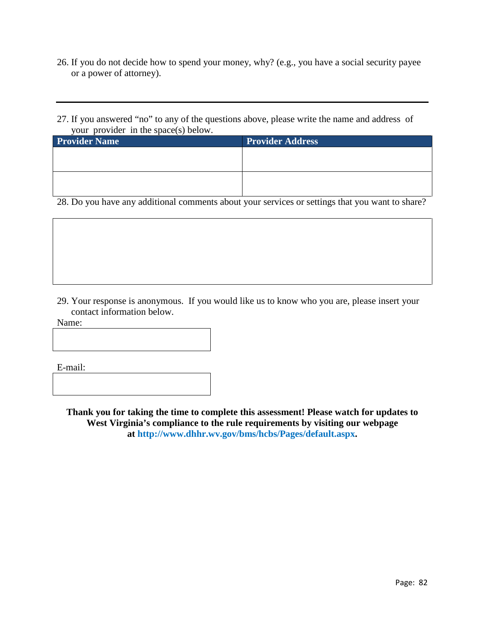- 26. If you do not decide how to spend your money, why? (e.g., you have a social security payee or a power of attorney).
- 27. If you answered "no" to any of the questions above, please write the name and address of your provider in the space(s) below.

| <b>Provider Name</b> | <b>Provider Address</b> |
|----------------------|-------------------------|
|                      |                         |
|                      |                         |
|                      |                         |
|                      |                         |

28. Do you have any additional comments about your services or settings that you want to share?

29. Your response is anonymous. If you would like us to know who you are, please insert your contact information below.

Name:

E-mail:

**Thank you for taking the time to complete this assessment! Please watch for updates to West Virginia's compliance to the rule requirements by visiting our webpage at [http://www.dhhr.wv.gov/bms/hcbs/Pages/default.aspx.](http://www.dhhr.wv.gov/bms/hcbs/Pages/default.aspx)**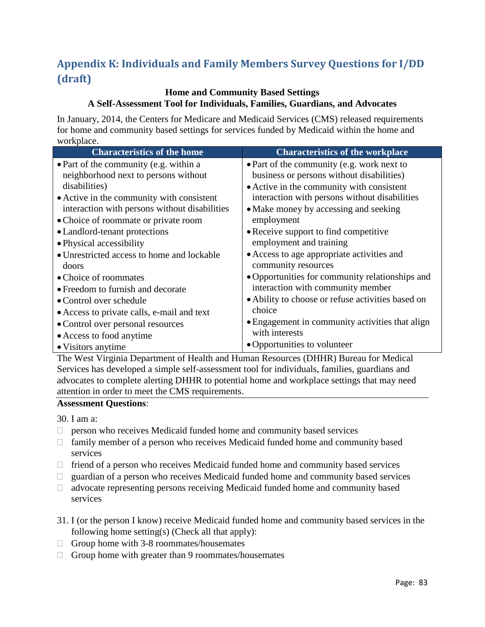# **Appendix K: Individuals and Family Members Survey Questions for I/DD (draft)**

### **Home and Community Based Settings A Self-Assessment Tool for Individuals, Families, Guardians, and Advocates**

In January, 2014, the Centers for Medicare and Medicaid Services (CMS) released requirements for home and community based settings for services funded by Medicaid within the home and workplace.

| <b>Characteristics of the home</b>            | <b>Characteristics of the workplace</b>           |
|-----------------------------------------------|---------------------------------------------------|
| • Part of the community (e.g. within a        | • Part of the community (e.g. work next to        |
| neighborhood next to persons without          | business or persons without disabilities)         |
| disabilities)                                 | • Active in the community with consistent         |
| • Active in the community with consistent     | interaction with persons without disabilities     |
| interaction with persons without disabilities | • Make money by accessing and seeking             |
| • Choice of roommate or private room          | employment                                        |
| • Landlord-tenant protections                 | • Receive support to find competitive             |
| • Physical accessibility                      | employment and training                           |
| • Unrestricted access to home and lockable    | • Access to age appropriate activities and        |
| doors                                         | community resources                               |
| • Choice of roommates                         | • Opportunities for community relationships and   |
| • Freedom to furnish and decorate             | interaction with community member                 |
| • Control over schedule                       | • Ability to choose or refuse activities based on |
| • Access to private calls, e-mail and text    | choice                                            |
| • Control over personal resources             | • Engagement in community activities that align   |
| • Access to food anytime                      | with interests                                    |
| • Visitors anytime                            | • Opportunities to volunteer                      |
| $\cdots$<br>1 T T<br>$\mathbf{v}$             | $\sqrt{N}$<br>$C = 3L + 1$<br>$\mathbf{r}$        |

The West Virginia Department of Health and Human Resources (DHHR) Bureau for Medical Services has developed a simple self-assessment tool for individuals, families, guardians and advocates to complete alerting DHHR to potential home and workplace settings that may need attention in order to meet the CMS requirements.

### **Assessment Questions**:

30. I am a:

- $\Box$  person who receives Medicaid funded home and community based services
- $\Box$  family member of a person who receives Medicaid funded home and community based services
- $\Box$  friend of a person who receives Medicaid funded home and community based services
- $\Box$  guardian of a person who receives Medicaid funded home and community based services
- $\Box$  advocate representing persons receiving Medicaid funded home and community based services
- 31. I (or the person I know) receive Medicaid funded home and community based services in the following home setting(s) (Check all that apply):
- $\Box$  Group home with 3-8 roommates/housemates
- $\Box$  Group home with greater than 9 roommates/housemates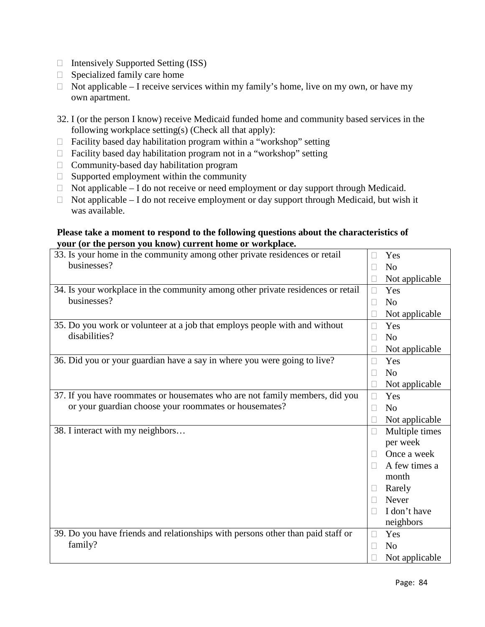- $\Box$  Intensively Supported Setting (ISS)
- $\Box$  Specialized family care home
- $\Box$  Not applicable I receive services within my family's home, live on my own, or have my own apartment.
- 32. I (or the person I know) receive Medicaid funded home and community based services in the following workplace setting(s) (Check all that apply):
- $\Box$  Facility based day habilitation program within a "workshop" setting
- $\Box$  Facility based day habilitation program not in a "workshop" setting
- $\Box$  Community-based day habilitation program
- $\Box$  Supported employment within the community
- $\Box$  Not applicable I do not receive or need employment or day support through Medicaid.
- $\Box$  Not applicable I do not receive employment or day support through Medicaid, but wish it was available.

#### **Please take a moment to respond to the following questions about the characteristics of your (or the person you know) current home or workplace.**

| 33. Is your home in the community among other private residences or retail      | Yes<br>П                 |
|---------------------------------------------------------------------------------|--------------------------|
| businesses?                                                                     | N <sub>o</sub><br>$\Box$ |
|                                                                                 | Not applicable<br>$\Box$ |
| 34. Is your workplace in the community among other private residences or retail | $\Box$<br>Yes            |
| businesses?                                                                     | N <sub>o</sub><br>П      |
|                                                                                 | Not applicable<br>$\Box$ |
| 35. Do you work or volunteer at a job that employs people with and without      | Yes<br>П                 |
| disabilities?                                                                   | N <sub>0</sub><br>П      |
|                                                                                 | Not applicable<br>$\Box$ |
| 36. Did you or your guardian have a say in where you were going to live?        | Yes<br>$\Box$            |
|                                                                                 | N <sub>0</sub><br>П      |
|                                                                                 | Not applicable<br>$\Box$ |
| 37. If you have roommates or housemates who are not family members, did you     | Yes<br>$\Box$            |
| or your guardian choose your roommates or housemates?                           | N <sub>o</sub><br>П      |
|                                                                                 | Not applicable<br>$\Box$ |
| 38. I interact with my neighbors                                                | Multiple times<br>$\Box$ |
|                                                                                 | per week                 |
|                                                                                 | Once a week<br>П         |
|                                                                                 | A few times a<br>П       |
|                                                                                 | month                    |
|                                                                                 | Rarely<br>$\Box$         |
|                                                                                 | Never<br>$\Box$          |
|                                                                                 | I don't have<br>П        |
|                                                                                 | neighbors                |
| 39. Do you have friends and relationships with persons other than paid staff or | Yes<br>$\Box$            |
| family?                                                                         | N <sub>0</sub><br>$\Box$ |
|                                                                                 | Not applicable           |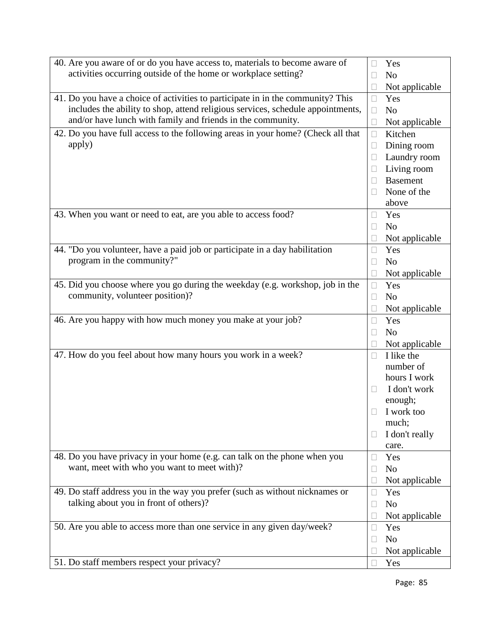| 40. Are you aware of or do you have access to, materials to become aware of      | Yes<br>$\mathbf{L}$            |
|----------------------------------------------------------------------------------|--------------------------------|
| activities occurring outside of the home or workplace setting?                   | N <sub>o</sub><br>$\Box$       |
|                                                                                  | Not applicable<br>$\Box$       |
| 41. Do you have a choice of activities to participate in in the community? This  | Yes<br>$\Box$                  |
| includes the ability to shop, attend religious services, schedule appointments,  | N <sub>o</sub><br>$\Box$       |
| and/or have lunch with family and friends in the community.                      | Not applicable<br>$\Box$       |
| 42. Do you have full access to the following areas in your home? (Check all that | Kitchen<br>$\Box$              |
| apply)                                                                           | Dining room<br>$\Box$          |
|                                                                                  | Laundry room<br>$\Box$         |
|                                                                                  | Living room<br>$\Box$          |
|                                                                                  | <b>Basement</b><br>П           |
|                                                                                  | None of the<br>$\Box$          |
|                                                                                  | above                          |
| 43. When you want or need to eat, are you able to access food?                   | Yes<br>$\Box$                  |
|                                                                                  | N <sub>o</sub><br>$\mathbf{L}$ |
|                                                                                  | Not applicable<br>$\Box$       |
| 44. "Do you volunteer, have a paid job or participate in a day habilitation      | Yes<br>$\Box$                  |
| program in the community?"                                                       | N <sub>o</sub><br>$\Box$       |
|                                                                                  | Not applicable<br>$\Box$       |
| 45. Did you choose where you go during the weekday (e.g. workshop, job in the    | Yes<br>$\Box$                  |
| community, volunteer position)?                                                  | N <sub>o</sub><br>$\Box$       |
|                                                                                  | Not applicable<br>$\Box$       |
| 46. Are you happy with how much money you make at your job?                      | Yes<br>$\Box$                  |
|                                                                                  | N <sub>o</sub><br>$\Box$       |
|                                                                                  | Not applicable<br>$\Box$       |
| 47. How do you feel about how many hours you work in a week?                     | I like the<br>$\Box$           |
|                                                                                  | number of                      |
|                                                                                  | hours I work                   |
|                                                                                  | I don't work<br>П              |
|                                                                                  | enough;                        |
|                                                                                  | I work too<br>$\Box$           |
|                                                                                  | much;                          |
|                                                                                  | I don't really<br>$\Box$       |
|                                                                                  | care.                          |
| 48. Do you have privacy in your home (e.g. can talk on the phone when you        | Yes<br>$\Box$                  |
| want, meet with who you want to meet with)?                                      | N <sub>o</sub><br>$\Box$       |
|                                                                                  | Not applicable<br>$\Box$       |
| 49. Do staff address you in the way you prefer (such as without nicknames or     | Yes<br>$\Box$                  |
| talking about you in front of others)?                                           | N <sub>o</sub><br>$\Box$       |
|                                                                                  | Not applicable<br>□            |
| 50. Are you able to access more than one service in any given day/week?          | Yes<br>$\Box$                  |
|                                                                                  | N <sub>o</sub><br>$\Box$       |
|                                                                                  | Not applicable<br>$\Box$       |
| 51. Do staff members respect your privacy?                                       | Yes<br>П                       |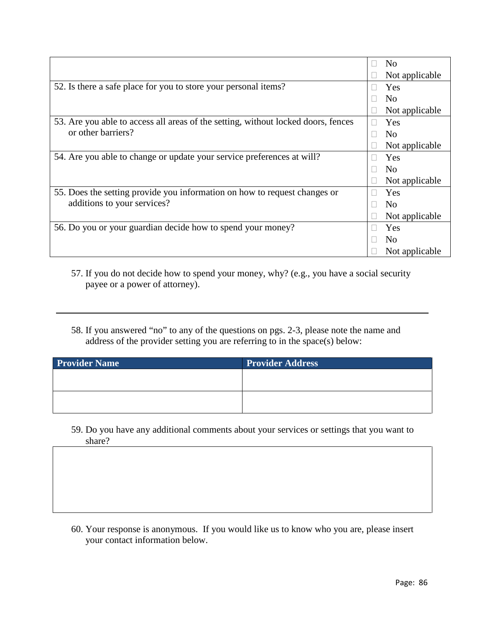|                                                                                   | N <sub>0</sub> |
|-----------------------------------------------------------------------------------|----------------|
|                                                                                   | Not applicable |
| 52. Is there a safe place for you to store your personal items?                   | Yes            |
|                                                                                   | N <sub>0</sub> |
|                                                                                   | Not applicable |
| 53. Are you able to access all areas of the setting, without locked doors, fences | Yes<br>ш       |
| or other barriers?                                                                | N <sub>0</sub> |
|                                                                                   | Not applicable |
| 54. Are you able to change or update your service preferences at will?            | Yes            |
|                                                                                   | N <sub>0</sub> |
|                                                                                   | Not applicable |
| 55. Does the setting provide you information on how to request changes or         | Yes            |
| additions to your services?                                                       | N <sub>0</sub> |
|                                                                                   | Not applicable |
| 56. Do you or your guardian decide how to spend your money?                       | Yes            |
|                                                                                   | N <sub>0</sub> |
|                                                                                   | Not applicable |

57. If you do not decide how to spend your money, why? (e.g., you have a social security payee or a power of attorney).

58. If you answered "no" to any of the questions on pgs. 2-3, please note the name and address of the provider setting you are referring to in the space(s) below:

| <b>Provider Name</b> | <b>Provider Address</b> |
|----------------------|-------------------------|
|                      |                         |
|                      |                         |
|                      |                         |
|                      |                         |

59. Do you have any additional comments about your services or settings that you want to share?

60. Your response is anonymous. If you would like us to know who you are, please insert your contact information below.